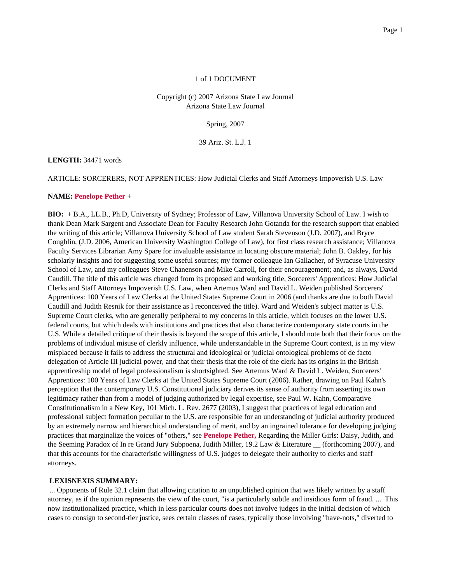## 1 of 1 DOCUMENT

## Copyright (c) 2007 Arizona State Law Journal Arizona State Law Journal

Spring, 2007

39 Ariz. St. L.J. 1

## **LENGTH:** 34471 words

ARTICLE: SORCERERS, NOT APPRENTICES: How Judicial Clerks and Staff Attorneys Impoverish U.S. Law

## **NAME: Penelope Pether** +

**BIO:** + B.A., LL.B., Ph.D, University of Sydney; Professor of Law, Villanova University School of Law. I wish to thank Dean Mark Sargent and Associate Dean for Faculty Research John Gotanda for the research support that enabled the writing of this article; Villanova University School of Law student Sarah Stevenson (J.D. 2007), and Bryce Coughlin, (J.D. 2006, American University Washington College of Law), for first class research assistance; Villanova Faculty Services Librarian Amy Spare for invaluable assistance in locating obscure material; John B. Oakley, for his scholarly insights and for suggesting some useful sources; my former colleague Ian Gallacher, of Syracuse University School of Law, and my colleagues Steve Chanenson and Mike Carroll, for their encouragement; and, as always, David Caudill. The title of this article was changed from its proposed and working title, Sorcerers' Apprentices: How Judicial Clerks and Staff Attorneys Impoverish U.S. Law, when Artemus Ward and David L. Weiden published Sorcerers' Apprentices: 100 Years of Law Clerks at the United States Supreme Court in 2006 (and thanks are due to both David Caudill and Judith Resnik for their assistance as I reconceived the title). Ward and Weiden's subject matter is U.S. Supreme Court clerks, who are generally peripheral to my concerns in this article, which focuses on the lower U.S. federal courts, but which deals with institutions and practices that also characterize contemporary state courts in the U.S. While a detailed critique of their thesis is beyond the scope of this article, I should note both that their focus on the problems of individual misuse of clerkly influence, while understandable in the Supreme Court context, is in my view misplaced because it fails to address the structural and ideological or judicial ontological problems of de facto delegation of Article III judicial power, and that their thesis that the role of the clerk has its origins in the British apprenticeship model of legal professionalism is shortsighted. See Artemus Ward & David L. Weiden, Sorcerers' Apprentices: 100 Years of Law Clerks at the United States Supreme Court (2006). Rather, drawing on Paul Kahn's perception that the contemporary U.S. Constitutional judiciary derives its sense of authority from asserting its own legitimacy rather than from a model of judging authorized by legal expertise, see Paul W. Kahn, Comparative Constitutionalism in a New Key, 101 Mich. L. Rev. 2677 (2003), I suggest that practices of legal education and professional subject formation peculiar to the U.S. are responsible for an understanding of judicial authority produced by an extremely narrow and hierarchical understanding of merit, and by an ingrained tolerance for developing judging practices that marginalize the voices of "others," see **Penelope Pether,** Regarding the Miller Girls: Daisy, Judith, and the Seeming Paradox of In re Grand Jury Subpoena, Judith Miller, 19.2 Law & Literature \_\_ (forthcoming 2007), and that this accounts for the characteristic willingness of U.S. judges to delegate their authority to clerks and staff attorneys.

## **LEXISNEXIS SUMMARY:**

... Opponents of Rule 32.1 claim that allowing citation to an unpublished opinion that was likely written by a staff attorney, as if the opinion represents the view of the court, "is a particularly subtle and insidious form of fraud. ... This now institutionalized practice, which in less particular courts does not involve judges in the initial decision of which cases to consign to second-tier justice, sees certain classes of cases, typically those involving "have-nots," diverted to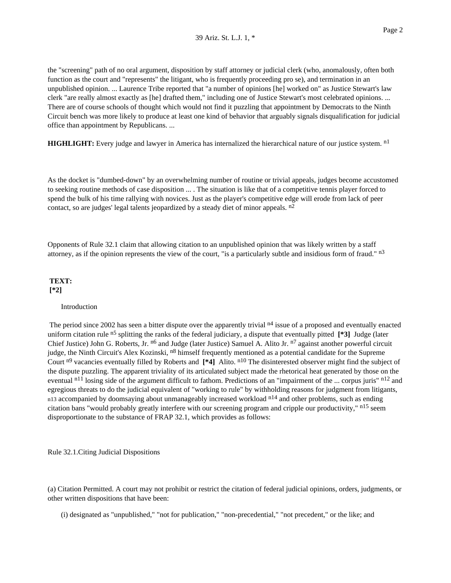the "screening" path of no oral argument, disposition by staff attorney or judicial clerk (who, anomalously, often both function as the court and "represents" the litigant, who is frequently proceeding pro se), and termination in an unpublished opinion. ... Laurence Tribe reported that "a number of opinions [he] worked on" as Justice Stewart's law clerk "are really almost exactly as [he] drafted them," including one of Justice Stewart's most celebrated opinions. ... There are of course schools of thought which would not find it puzzling that appointment by Democrats to the Ninth Circuit bench was more likely to produce at least one kind of behavior that arguably signals disqualification for judicial office than appointment by Republicans. ...

**HIGHLIGHT:** Every judge and lawyer in America has internalized the hierarchical nature of our justice system. n<sup>1</sup>

As the docket is "dumbed-down" by an overwhelming number of routine or trivial appeals, judges become accustomed to seeking routine methods of case disposition ... . The situation is like that of a competitive tennis player forced to spend the bulk of his time rallying with novices. Just as the player's competitive edge will erode from lack of peer contact, so are judges' legal talents jeopardized by a steady diet of minor appeals. n<sup>2</sup>

Opponents of Rule 32.1 claim that allowing citation to an unpublished opinion that was likely written by a staff attorney, as if the opinion represents the view of the court, "is a particularly subtle and insidious form of fraud." n3

# **TEXT: [\*2]**

## Introduction

The period since 2002 has seen a bitter dispute over the apparently trivial  $n<sup>4</sup>$  issue of a proposed and eventually enacted uniform citation rule n5 splitting the ranks of the federal judiciary, a dispute that eventually pitted **[\*3]** Judge (later Chief Justice) John G. Roberts, Jr. <sup>n6</sup> and Judge (later Justice) Samuel A. Alito Jr. <sup>n7</sup> against another powerful circuit judge, the Ninth Circuit's Alex Kozinski, <sup>n8</sup> himself frequently mentioned as a potential candidate for the Supreme Court <sup>n9</sup> vacancies eventually filled by Roberts and [\*4] Alito. <sup>n10</sup> The disinterested observer might find the subject of the dispute puzzling. The apparent triviality of its articulated subject made the rhetorical heat generated by those on the eventual <sup>n11</sup> losing side of the argument difficult to fathom. Predictions of an "impairment of the ... corpus juris" <sup>n12</sup> and egregious threats to do the judicial equivalent of "working to rule" by withholding reasons for judgment from litigants, n13 accompanied by doomsaying about unmanageably increased workload n<sup>14</sup> and other problems, such as ending citation bans "would probably greatly interfere with our screening program and cripple our productivity," n15 seem disproportionate to the substance of FRAP 32.1, which provides as follows:

Rule 32.1.Citing Judicial Dispositions

(a) Citation Permitted. A court may not prohibit or restrict the citation of federal judicial opinions, orders, judgments, or other written dispositions that have been:

(i) designated as "unpublished," "not for publication," "non-precedential," "not precedent," or the like; and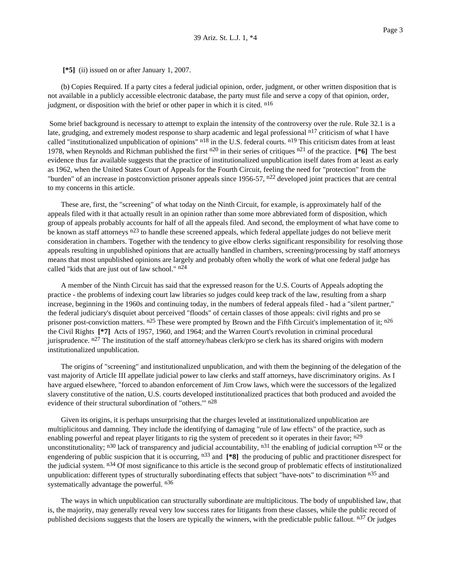**[\*5]** (ii) issued on or after January 1, 2007.

(b) Copies Required. If a party cites a federal judicial opinion, order, judgment, or other written disposition that is not available in a publicly accessible electronic database, the party must file and serve a copy of that opinion, order, judgment, or disposition with the brief or other paper in which it is cited.  $n^{16}$ 

Some brief background is necessary to attempt to explain the intensity of the controversy over the rule. Rule 32.1 is a late, grudging, and extremely modest response to sharp academic and legal professional n<sup>17</sup> criticism of what I have called "institutionalized unpublication of opinions" n<sup>18</sup> in the U.S. federal courts. n<sup>19</sup> This criticism dates from at least 1978, when Reynolds and Richman published the first n20 in their series of critiques n21 of the practice. **[\*6]** The best evidence thus far available suggests that the practice of institutionalized unpublication itself dates from at least as early as 1962, when the United States Court of Appeals for the Fourth Circuit, feeling the need for "protection" from the "burden" of an increase in postconviction prisoner appeals since  $1956-57$ ,  $n^{22}$  developed joint practices that are central to my concerns in this article.

These are, first, the "screening" of what today on the Ninth Circuit, for example, is approximately half of the appeals filed with it that actually result in an opinion rather than some more abbreviated form of disposition, which group of appeals probably accounts for half of all the appeals filed. And second, the employment of what have come to be known as staff attorneys <sup>n23</sup> to handle these screened appeals, which federal appellate judges do not believe merit consideration in chambers. Together with the tendency to give elbow clerks significant responsibility for resolving those appeals resulting in unpublished opinions that are actually handled in chambers, screening/processing by staff attorneys means that most unpublished opinions are largely and probably often wholly the work of what one federal judge has called "kids that are just out of law school."  $n24$ 

A member of the Ninth Circuit has said that the expressed reason for the U.S. Courts of Appeals adopting the practice - the problems of indexing court law libraries so judges could keep track of the law, resulting from a sharp increase, beginning in the 1960s and continuing today, in the numbers of federal appeals filed - had a "silent partner," the federal judiciary's disquiet about perceived "floods" of certain classes of those appeals: civil rights and pro se prisoner post-conviction matters.  $n^{25}$  These were prompted by Brown and the Fifth Circuit's implementation of it;  $n^{26}$ the Civil Rights **[\*7]** Acts of 1957, 1960, and 1964; and the Warren Court's revolution in criminal procedural jurisprudence. n<sup>27</sup> The institution of the staff attorney/habeas clerk/pro se clerk has its shared origins with modern institutionalized unpublication.

The origins of "screening" and institutionalized unpublication, and with them the beginning of the delegation of the vast majority of Article III appellate judicial power to law clerks and staff attorneys, have discriminatory origins. As I have argued elsewhere, "forced to abandon enforcement of Jim Crow laws, which were the successors of the legalized slavery constitutive of the nation, U.S. courts developed institutionalized practices that both produced and avoided the evidence of their structural subordination of "others.'" n28

Given its origins, it is perhaps unsurprising that the charges leveled at institutionalized unpublication are multiplicitous and damning. They include the identifying of damaging "rule of law effects" of the practice, such as enabling powerful and repeat player litigants to rig the system of precedent so it operates in their favor; n<sup>29</sup> unconstitutionality;  $n30$  lack of transparency and judicial accountability,  $n31$  the enabling of judicial corruption  $n32$  or the engendering of public suspicion that it is occurring, n33 and **[\*8]** the producing of public and practitioner disrespect for the judicial system. n<sup>34</sup> Of most significance to this article is the second group of problematic effects of institutionalized unpublication: different types of structurally subordinating effects that subject "have-nots" to discrimination n<sup>35</sup> and systematically advantage the powerful. n<sup>36</sup>

The ways in which unpublication can structurally subordinate are multiplicitous. The body of unpublished law, that is, the majority, may generally reveal very low success rates for litigants from these classes, while the public record of published decisions suggests that the losers are typically the winners, with the predictable public fallout.  $n37$  Or judges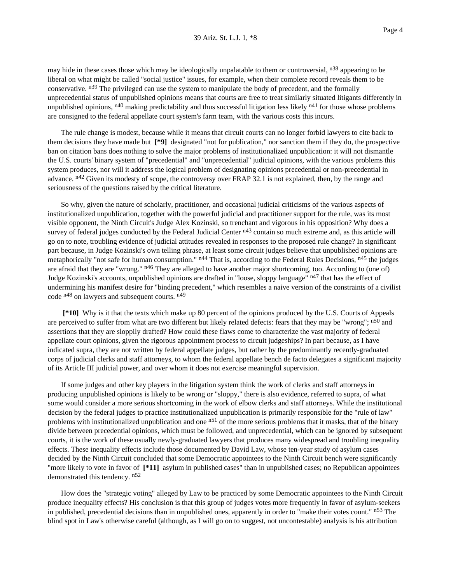may hide in these cases those which may be ideologically unpalatable to them or controversial, n<sup>38</sup> appearing to be liberal on what might be called "social justice" issues, for example, when their complete record reveals them to be conservative. n<sup>39</sup> The privileged can use the system to manipulate the body of precedent, and the formally unprecedential status of unpublished opinions means that courts are free to treat similarly situated litigants differently in unpublished opinions,  $n^{40}$  making predictability and thus successful litigation less likely  $n^{41}$  for those whose problems are consigned to the federal appellate court system's farm team, with the various costs this incurs.

The rule change is modest, because while it means that circuit courts can no longer forbid lawyers to cite back to them decisions they have made but **[\*9]** designated "not for publication," nor sanction them if they do, the prospective ban on citation bans does nothing to solve the major problems of institutionalized unpublication: it will not dismantle the U.S. courts' binary system of "precedential" and "unprecedential" judicial opinions, with the various problems this system produces, nor will it address the logical problem of designating opinions precedential or non-precedential in advance. <sup>n42</sup> Given its modesty of scope, the controversy over FRAP 32.1 is not explained, then, by the range and seriousness of the questions raised by the critical literature.

So why, given the nature of scholarly, practitioner, and occasional judicial criticisms of the various aspects of institutionalized unpublication, together with the powerful judicial and practitioner support for the rule, was its most visible opponent, the Ninth Circuit's Judge Alex Kozinski, so trenchant and vigorous in his opposition? Why does a survey of federal judges conducted by the Federal Judicial Center <sup>n43</sup> contain so much extreme and, as this article will go on to note, troubling evidence of judicial attitudes revealed in responses to the proposed rule change? In significant part because, in Judge Kozinski's own telling phrase, at least some circuit judges believe that unpublished opinions are metaphorically "not safe for human consumption." n<sup>44</sup> That is, according to the Federal Rules Decisions, n<sup>45</sup> the judges are afraid that they are "wrong." n<sup>46</sup> They are alleged to have another major shortcoming, too. According to (one of) Judge Kozinski's accounts, unpublished opinions are drafted in "loose, sloppy language" n<sup>47</sup> that has the effect of undermining his manifest desire for "binding precedent," which resembles a naive version of the constraints of a civilist code n48 on lawyers and subsequent courts. n49

**[\*10]** Why is it that the texts which make up 80 percent of the opinions produced by the U.S. Courts of Appeals are perceived to suffer from what are two different but likely related defects: fears that they may be "wrong"; n<sup>50</sup> and assertions that they are sloppily drafted? How could these flaws come to characterize the vast majority of federal appellate court opinions, given the rigorous appointment process to circuit judgeships? In part because, as I have indicated supra, they are not written by federal appellate judges, but rather by the predominantly recently-graduated corps of judicial clerks and staff attorneys, to whom the federal appellate bench de facto delegates a significant majority of its Article III judicial power, and over whom it does not exercise meaningful supervision.

If some judges and other key players in the litigation system think the work of clerks and staff attorneys in producing unpublished opinions is likely to be wrong or "sloppy," there is also evidence, referred to supra, of what some would consider a more serious shortcoming in the work of elbow clerks and staff attorneys. While the institutional decision by the federal judges to practice institutionalized unpublication is primarily responsible for the "rule of law" problems with institutionalized unpublication and one n<sup>51</sup> of the more serious problems that it masks, that of the binary divide between precedential opinions, which must be followed, and unprecedential, which can be ignored by subsequent courts, it is the work of these usually newly-graduated lawyers that produces many widespread and troubling inequality effects. These inequality effects include those documented by David Law, whose ten-year study of asylum cases decided by the Ninth Circuit concluded that some Democratic appointees to the Ninth Circuit bench were significantly "more likely to vote in favor of  $[*11]$  asylum in published cases" than in unpublished cases; no Republican appointees demonstrated this tendency. n52

How does the "strategic voting" alleged by Law to be practiced by some Democratic appointees to the Ninth Circuit produce inequality effects? His conclusion is that this group of judges votes more frequently in favor of asylum-seekers in published, precedential decisions than in unpublished ones, apparently in order to "make their votes count." n<sup>53</sup> The blind spot in Law's otherwise careful (although, as I will go on to suggest, not uncontestable) analysis is his attribution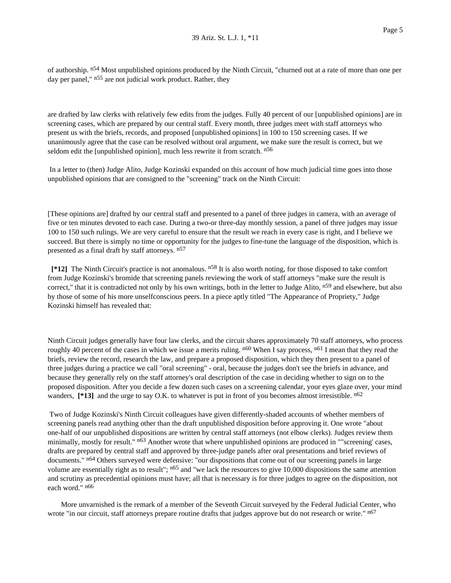of authorship. n<sup>54</sup> Most unpublished opinions produced by the Ninth Circuit, "churned out at a rate of more than one per day per panel," n<sup>55</sup> are not judicial work product. Rather, they

are drafted by law clerks with relatively few edits from the judges. Fully 40 percent of our [unpublished opinions] are in screening cases, which are prepared by our central staff. Every month, three judges meet with staff attorneys who present us with the briefs, records, and proposed [unpublished opinions] in 100 to 150 screening cases. If we unanimously agree that the case can be resolved without oral argument, we make sure the result is correct, but we seldom edit the [unpublished opinion], much less rewrite it from scratch. n<sup>56</sup>

In a letter to (then) Judge Alito, Judge Kozinski expanded on this account of how much judicial time goes into those unpublished opinions that are consigned to the "screening" track on the Ninth Circuit:

[These opinions are] drafted by our central staff and presented to a panel of three judges in camera, with an average of five or ten minutes devoted to each case. During a two-or three-day monthly session, a panel of three judges may issue 100 to 150 such rulings. We are very careful to ensure that the result we reach in every case is right, and I believe we succeed. But there is simply no time or opportunity for the judges to fine-tune the language of the disposition, which is presented as a final draft by staff attorneys. n57

**[\*12]** The Ninth Circuit's practice is not anomalous. n58 It is also worth noting, for those disposed to take comfort from Judge Kozinski's bromide that screening panels reviewing the work of staff attorneys "make sure the result is correct," that it is contradicted not only by his own writings, both in the letter to Judge Alito, n<sup>59</sup> and elsewhere, but also by those of some of his more unselfconscious peers. In a piece aptly titled "The Appearance of Propriety," Judge Kozinski himself has revealed that:

Ninth Circuit judges generally have four law clerks, and the circuit shares approximately 70 staff attorneys, who process roughly 40 percent of the cases in which we issue a merits ruling.  $n60$  When I say process,  $n61$  I mean that they read the briefs, review the record, research the law, and prepare a proposed disposition, which they then present to a panel of three judges during a practice we call "oral screening" - oral, because the judges don't see the briefs in advance, and because they generally rely on the staff attorney's oral description of the case in deciding whether to sign on to the proposed disposition. After you decide a few dozen such cases on a screening calendar, your eyes glaze over, your mind wanders, [\*13] and the urge to say O.K. to whatever is put in front of you becomes almost irresistible. n<sup>62</sup>

Two of Judge Kozinski's Ninth Circuit colleagues have given differently-shaded accounts of whether members of screening panels read anything other than the draft unpublished disposition before approving it. One wrote "about one-half of our unpublished dispositions are written by central staff attorneys (not elbow clerks). Judges review them minimally, mostly for result." n<sup>63</sup> Another wrote that where unpublished opinions are produced in ""screening' cases, drafts are prepared by central staff and approved by three-judge panels after oral presentations and brief reviews of documents." n64 Others surveyed were defensive: "our dispositions that come out of our screening panels in large volume are essentially right as to result";  $n65$  and "we lack the resources to give 10,000 dispositions the same attention and scrutiny as precedential opinions must have; all that is necessary is for three judges to agree on the disposition, not each word." n66

More unvarnished is the remark of a member of the Seventh Circuit surveyed by the Federal Judicial Center, who wrote "in our circuit, staff attorneys prepare routine drafts that judges approve but do not research or write." n<sup>67</sup>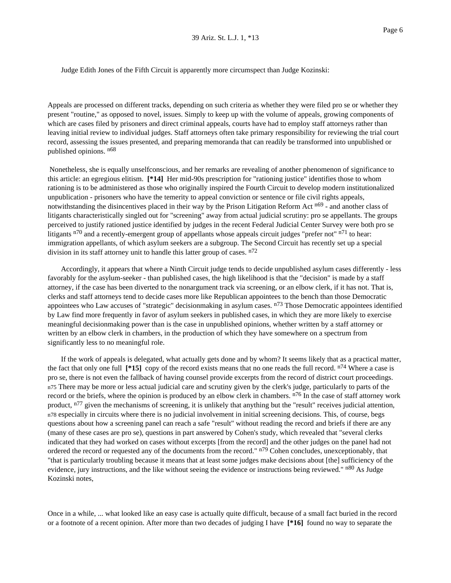Judge Edith Jones of the Fifth Circuit is apparently more circumspect than Judge Kozinski:

Appeals are processed on different tracks, depending on such criteria as whether they were filed pro se or whether they present "routine," as opposed to novel, issues. Simply to keep up with the volume of appeals, growing components of which are cases filed by prisoners and direct criminal appeals, courts have had to employ staff attorneys rather than leaving initial review to individual judges. Staff attorneys often take primary responsibility for reviewing the trial court record, assessing the issues presented, and preparing memoranda that can readily be transformed into unpublished or published opinions. n68

Nonetheless, she is equally unselfconscious, and her remarks are revealing of another phenomenon of significance to this article: an egregious elitism. **[\*14]** Her mid-90s prescription for "rationing justice" identifies those to whom rationing is to be administered as those who originally inspired the Fourth Circuit to develop modern institutionalized unpublication - prisoners who have the temerity to appeal conviction or sentence or file civil rights appeals, notwithstanding the disincentives placed in their way by the Prison Litigation Reform Act n<sup>69</sup> - and another class of litigants characteristically singled out for "screening" away from actual judicial scrutiny: pro se appellants. The groups perceived to justify rationed justice identified by judges in the recent Federal Judicial Center Survey were both pro se litigants  $n^{70}$  and a recently-emergent group of appellants whose appeals circuit judges "prefer not"  $n^{71}$  to hear: immigration appellants, of which asylum seekers are a subgroup. The Second Circuit has recently set up a special division in its staff attorney unit to handle this latter group of cases.  $n^{72}$ 

Accordingly, it appears that where a Ninth Circuit judge tends to decide unpublished asylum cases differently - less favorably for the asylum-seeker - than published cases, the high likelihood is that the "decision" is made by a staff attorney, if the case has been diverted to the nonargument track via screening, or an elbow clerk, if it has not. That is, clerks and staff attorneys tend to decide cases more like Republican appointees to the bench than those Democratic appointees who Law accuses of "strategic" decisionmaking in asylum cases. n<sup>73</sup> Those Democratic appointees identified by Law find more frequently in favor of asylum seekers in published cases, in which they are more likely to exercise meaningful decisionmaking power than is the case in unpublished opinions, whether written by a staff attorney or written by an elbow clerk in chambers, in the production of which they have somewhere on a spectrum from significantly less to no meaningful role.

If the work of appeals is delegated, what actually gets done and by whom? It seems likely that as a practical matter, the fact that only one full **[\*15]** copy of the record exists means that no one reads the full record. n74 Where a case is pro se, there is not even the fallback of having counsel provide excerpts from the record of district court proceedings. n75 There may be more or less actual judicial care and scrutiny given by the clerk's judge, particularly to parts of the record or the briefs, where the opinion is produced by an elbow clerk in chambers. <sup>n76</sup> In the case of staff attorney work product,  $n^{77}$  given the mechanisms of screening, it is unlikely that anything but the "result" receives judicial attention, n78 especially in circuits where there is no judicial involvement in initial screening decisions. This, of course, begs questions about how a screening panel can reach a safe "result" without reading the record and briefs if there are any (many of these cases are pro se), questions in part answered by Cohen's study, which revealed that "several clerks indicated that they had worked on cases without excerpts [from the record] and the other judges on the panel had not ordered the record or requested any of the documents from the record." n<sup>79</sup> Cohen concludes, unexceptionably, that "that is particularly troubling because it means that at least some judges make decisions about [the] sufficiency of the evidence, jury instructions, and the like without seeing the evidence or instructions being reviewed." n<sup>80</sup> As Judge Kozinski notes,

Once in a while, ... what looked like an easy case is actually quite difficult, because of a small fact buried in the record or a footnote of a recent opinion. After more than two decades of judging I have **[\*16]** found no way to separate the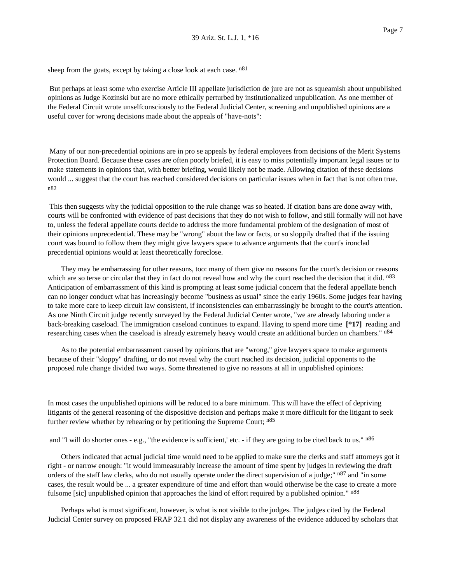sheep from the goats, except by taking a close look at each case.  $n81$ 

But perhaps at least some who exercise Article III appellate jurisdiction de jure are not as squeamish about unpublished opinions as Judge Kozinski but are no more ethically perturbed by institutionalized unpublication. As one member of the Federal Circuit wrote unselfconsciously to the Federal Judicial Center, screening and unpublished opinions are a useful cover for wrong decisions made about the appeals of "have-nots":

Many of our non-precedential opinions are in pro se appeals by federal employees from decisions of the Merit Systems Protection Board. Because these cases are often poorly briefed, it is easy to miss potentially important legal issues or to make statements in opinions that, with better briefing, would likely not be made. Allowing citation of these decisions would ... suggest that the court has reached considered decisions on particular issues when in fact that is not often true. n82

This then suggests why the judicial opposition to the rule change was so heated. If citation bans are done away with, courts will be confronted with evidence of past decisions that they do not wish to follow, and still formally will not have to, unless the federal appellate courts decide to address the more fundamental problem of the designation of most of their opinions unprecedential. These may be "wrong" about the law or facts, or so sloppily drafted that if the issuing court was bound to follow them they might give lawyers space to advance arguments that the court's ironclad precedential opinions would at least theoretically foreclose.

They may be embarrassing for other reasons, too: many of them give no reasons for the court's decision or reasons which are so terse or circular that they in fact do not reveal how and why the court reached the decision that it did. n<sup>83</sup> Anticipation of embarrassment of this kind is prompting at least some judicial concern that the federal appellate bench can no longer conduct what has increasingly become "business as usual" since the early 1960s. Some judges fear having to take more care to keep circuit law consistent, if inconsistencies can embarrassingly be brought to the court's attention. As one Ninth Circuit judge recently surveyed by the Federal Judicial Center wrote, "we are already laboring under a back-breaking caseload. The immigration caseload continues to expand. Having to spend more time **[\*17]** reading and researching cases when the caseload is already extremely heavy would create an additional burden on chambers." n84

As to the potential embarrassment caused by opinions that are "wrong," give lawyers space to make arguments because of their "sloppy" drafting, or do not reveal why the court reached its decision, judicial opponents to the proposed rule change divided two ways. Some threatened to give no reasons at all in unpublished opinions:

In most cases the unpublished opinions will be reduced to a bare minimum. This will have the effect of depriving litigants of the general reasoning of the dispositive decision and perhaps make it more difficult for the litigant to seek further review whether by rehearing or by petitioning the Supreme Court;  $n85$ 

and "I will do shorter ones - e.g., "the evidence is sufficient,' etc. - if they are going to be cited back to us."  $n86$ 

Others indicated that actual judicial time would need to be applied to make sure the clerks and staff attorneys got it right - or narrow enough: "it would immeasurably increase the amount of time spent by judges in reviewing the draft orders of the staff law clerks, who do not usually operate under the direct supervision of a judge;" n<sup>87</sup> and "in some cases, the result would be ... a greater expenditure of time and effort than would otherwise be the case to create a more fulsome [sic] unpublished opinion that approaches the kind of effort required by a published opinion." n88

Perhaps what is most significant, however, is what is not visible to the judges. The judges cited by the Federal Judicial Center survey on proposed FRAP 32.1 did not display any awareness of the evidence adduced by scholars that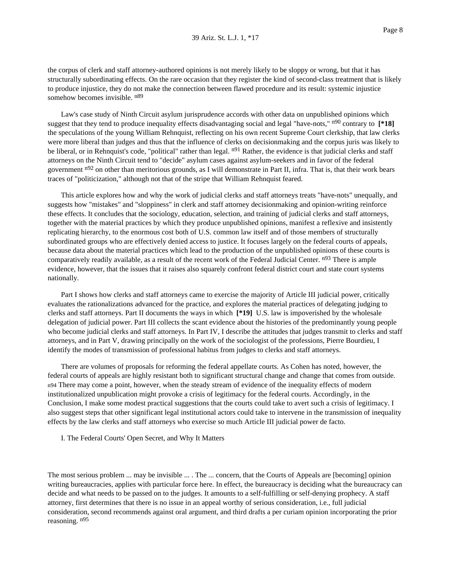the corpus of clerk and staff attorney-authored opinions is not merely likely to be sloppy or wrong, but that it has structurally subordinating effects. On the rare occasion that they register the kind of second-class treatment that is likely to produce injustice, they do not make the connection between flawed procedure and its result: systemic injustice somehow becomes invisible.  $n89$ 

Law's case study of Ninth Circuit asylum jurisprudence accords with other data on unpublished opinions which suggest that they tend to produce inequality effects disadvantaging social and legal "have-nots," n90 contrary to **[\*18]** the speculations of the young William Rehnquist, reflecting on his own recent Supreme Court clerkship, that law clerks were more liberal than judges and thus that the influence of clerks on decisionmaking and the corpus juris was likely to be liberal, or in Rehnquist's code, "political" rather than legal. n<sup>91</sup> Rather, the evidence is that judicial clerks and staff attorneys on the Ninth Circuit tend to "decide" asylum cases against asylum-seekers and in favor of the federal government n92 on other than meritorious grounds, as I will demonstrate in Part II, infra. That is, that their work bears traces of "politicization," although not that of the stripe that William Rehnquist feared.

This article explores how and why the work of judicial clerks and staff attorneys treats "have-nots" unequally, and suggests how "mistakes" and "sloppiness" in clerk and staff attorney decisionmaking and opinion-writing reinforce these effects. It concludes that the sociology, education, selection, and training of judicial clerks and staff attorneys, together with the material practices by which they produce unpublished opinions, manifest a reflexive and insistently replicating hierarchy, to the enormous cost both of U.S. common law itself and of those members of structurally subordinated groups who are effectively denied access to justice. It focuses largely on the federal courts of appeals, because data about the material practices which lead to the production of the unpublished opinions of these courts is comparatively readily available, as a result of the recent work of the Federal Judicial Center. n93 There is ample evidence, however, that the issues that it raises also squarely confront federal district court and state court systems nationally.

Part I shows how clerks and staff attorneys came to exercise the majority of Article III judicial power, critically evaluates the rationalizations advanced for the practice, and explores the material practices of delegating judging to clerks and staff attorneys. Part II documents the ways in which **[\*19]** U.S. law is impoverished by the wholesale delegation of judicial power. Part III collects the scant evidence about the histories of the predominantly young people who become judicial clerks and staff attorneys. In Part IV, I describe the attitudes that judges transmit to clerks and staff attorneys, and in Part V, drawing principally on the work of the sociologist of the professions, Pierre Bourdieu, I identify the modes of transmission of professional habitus from judges to clerks and staff attorneys.

There are volumes of proposals for reforming the federal appellate courts. As Cohen has noted, however, the federal courts of appeals are highly resistant both to significant structural change and change that comes from outside. n94 There may come a point, however, when the steady stream of evidence of the inequality effects of modern institutionalized unpublication might provoke a crisis of legitimacy for the federal courts. Accordingly, in the Conclusion, I make some modest practical suggestions that the courts could take to avert such a crisis of legitimacy. I also suggest steps that other significant legal institutional actors could take to intervene in the transmission of inequality effects by the law clerks and staff attorneys who exercise so much Article III judicial power de facto.

I. The Federal Courts' Open Secret, and Why It Matters

The most serious problem ... may be invisible ... . The ... concern, that the Courts of Appeals are [becoming] opinion writing bureaucracies, applies with particular force here. In effect, the bureaucracy is deciding what the bureaucracy can decide and what needs to be passed on to the judges. It amounts to a self-fulfilling or self-denying prophecy. A staff attorney, first determines that there is no issue in an appeal worthy of serious consideration, i.e., full judicial consideration, second recommends against oral argument, and third drafts a per curiam opinion incorporating the prior reasoning. n95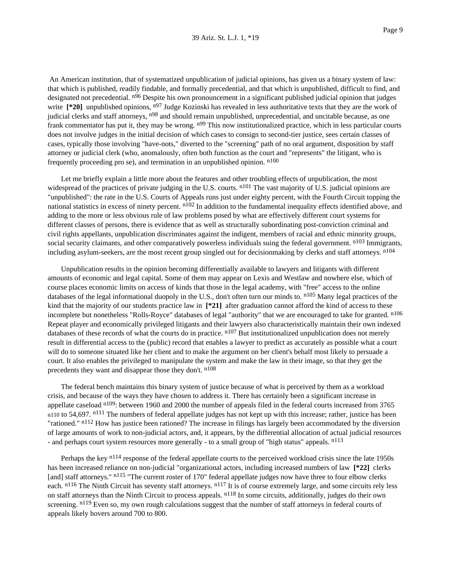An American institution, that of systematized unpublication of judicial opinions, has given us a binary system of law: that which is published, readily findable, and formally precedential, and that which is unpublished, difficult to find, and designated not precedential. n<sup>96</sup> Despite his own pronouncement in a significant published judicial opinion that judges write  $[*/20]$  unpublished opinions, n<sup>97</sup> Judge Kozinski has revealed in less authoritative texts that they are the work of judicial clerks and staff attorneys, n<sup>98</sup> and should remain unpublished, unprecedential, and uncitable because, as one frank commentator has put it, they may be wrong. n<sup>99</sup> This now institutionalized practice, which in less particular courts does not involve judges in the initial decision of which cases to consign to second-tier justice, sees certain classes of cases, typically those involving "have-nots," diverted to the "screening" path of no oral argument, disposition by staff attorney or judicial clerk (who, anomalously, often both function as the court and "represents" the litigant, who is frequently proceeding pro se), and termination in an unpublished opinion. n100

Let me briefly explain a little more about the features and other troubling effects of unpublication, the most widespread of the practices of private judging in the U.S. courts.  $n101$  The vast majority of U.S. judicial opinions are "unpublished": the rate in the U.S. Courts of Appeals runs just under eighty percent, with the Fourth Circuit topping the national statistics in excess of ninety percent. n<sup>102</sup> In addition to the fundamental inequality effects identified above, and adding to the more or less obvious rule of law problems posed by what are effectively different court systems for different classes of persons, there is evidence that as well as structurally subordinating post-conviction criminal and civil rights appellants, unpublication discriminates against the indigent, members of racial and ethnic minority groups, social security claimants, and other comparatively powerless individuals suing the federal government. <sup>n103</sup> Immigrants, including asylum-seekers, are the most recent group singled out for decisionmaking by clerks and staff attorneys. <sup>n104</sup>

Unpublication results in the opinion becoming differentially available to lawyers and litigants with different amounts of economic and legal capital. Some of them may appear on Lexis and Westlaw and nowhere else, which of course places economic limits on access of kinds that those in the legal academy, with "free" access to the online databases of the legal informational duopoly in the U.S., don't often turn our minds to.  $n_{105}$  Many legal practices of the kind that the majority of our students practice law in  $[21]$  after graduation cannot afford the kind of access to these incomplete but nonetheless "Rolls-Royce" databases of legal "authority" that we are encouraged to take for granted. n<sup>106</sup> Repeat player and economically privileged litigants and their lawyers also characteristically maintain their own indexed databases of these records of what the courts do in practice. n<sup>107</sup> But institutionalized unpublication does not merely result in differential access to the (public) record that enables a lawyer to predict as accurately as possible what a court will do to someone situated like her client and to make the argument on her client's behalf most likely to persuade a court. It also enables the privileged to manipulate the system and make the law in their image, so that they get the precedents they want and disappear those they don't. n108

The federal bench maintains this binary system of justice because of what is perceived by them as a workload crisis, and because of the ways they have chosen to address it. There has certainly been a significant increase in appellate caseload <sup>n109</sup>: between 1960 and 2000 the number of appeals filed in the federal courts increased from 3765 n110 to 54,697. n<sup>111</sup> The numbers of federal appellate judges has not kept up with this increase; rather, justice has been "rationed." n<sup>112</sup> How has justice been rationed? The increase in filings has largely been accommodated by the diversion of large amounts of work to non-judicial actors, and, it appears, by the differential allocation of actual judicial resources - and perhaps court system resources more generally - to a small group of "high status" appeals. n<sup>113</sup>

Perhaps the key n114 response of the federal appellate courts to the perceived workload crisis since the late 1950s has been increased reliance on non-judicial "organizational actors, including increased numbers of law [\*22] clerks [and] staff attorneys." n<sup>115</sup> "The current roster of 170" federal appellate judges now have three to four elbow clerks each. n<sup>116</sup> The Ninth Circuit has seventy staff attorneys. n<sup>117</sup> It is of course extremely large, and some circuits rely less on staff attorneys than the Ninth Circuit to process appeals. n<sup>118</sup> In some circuits, additionally, judges do their own screening. n<sup>119</sup> Even so, my own rough calculations suggest that the number of staff attorneys in federal courts of appeals likely hovers around 700 to 800.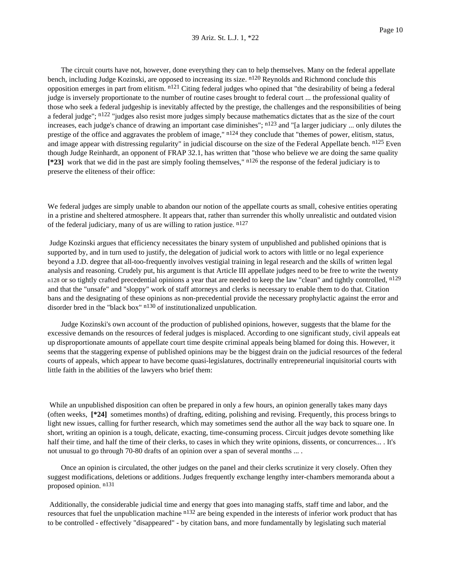The circuit courts have not, however, done everything they can to help themselves. Many on the federal appellate bench, including Judge Kozinski, are opposed to increasing its size. n<sup>120</sup> Reynolds and Richmond conclude this opposition emerges in part from elitism. n<sup>121</sup> Citing federal judges who opined that "the desirability of being a federal judge is inversely proportionate to the number of routine cases brought to federal court ... the professional quality of those who seek a federal judgeship is inevitably affected by the prestige, the challenges and the responsibilities of being a federal judge";  $n^{122}$  "judges also resist more judges simply because mathematics dictates that as the size of the court increases, each judge's chance of drawing an important case diminishes";  $n^{123}$  and "[a larger judiciary ... only dilutes the prestige of the office and aggravates the problem of image,"  $n124$  they conclude that "themes of power, elitism, status, and image appear with distressing regularity" in judicial discourse on the size of the Federal Appellate bench. n<sup>125</sup> Even though Judge Reinhardt, an opponent of FRAP 32.1, has written that "those who believe we are doing the same quality **[\*23]** work that we did in the past are simply fooling themselves," n126 the response of the federal judiciary is to preserve the eliteness of their office:

We federal judges are simply unable to abandon our notion of the appellate courts as small, cohesive entities operating in a pristine and sheltered atmosphere. It appears that, rather than surrender this wholly unrealistic and outdated vision of the federal judiciary, many of us are willing to ration justice. n127

Judge Kozinski argues that efficiency necessitates the binary system of unpublished and published opinions that is supported by, and in turn used to justify, the delegation of judicial work to actors with little or no legal experience beyond a J.D. degree that all-too-frequently involves vestigial training in legal research and the skills of written legal analysis and reasoning. Crudely put, his argument is that Article III appellate judges need to be free to write the twenty n128 or so tightly crafted precedential opinions a year that are needed to keep the law "clean" and tightly controlled,  $n129$ and that the "unsafe" and "sloppy" work of staff attorneys and clerks is necessary to enable them to do that. Citation bans and the designating of these opinions as non-precedential provide the necessary prophylactic against the error and disorder bred in the "black box" <sup>n130</sup> of institutionalized unpublication.

Judge Kozinski's own account of the production of published opinions, however, suggests that the blame for the excessive demands on the resources of federal judges is misplaced. According to one significant study, civil appeals eat up disproportionate amounts of appellate court time despite criminal appeals being blamed for doing this. However, it seems that the staggering expense of published opinions may be the biggest drain on the judicial resources of the federal courts of appeals, which appear to have become quasi-legislatures, doctrinally entrepreneurial inquisitorial courts with little faith in the abilities of the lawyers who brief them:

While an unpublished disposition can often be prepared in only a few hours, an opinion generally takes many days (often weeks, **[\*24]** sometimes months) of drafting, editing, polishing and revising. Frequently, this process brings to light new issues, calling for further research, which may sometimes send the author all the way back to square one. In short, writing an opinion is a tough, delicate, exacting, time-consuming process. Circuit judges devote something like half their time, and half the time of their clerks, to cases in which they write opinions, dissents, or concurrences... . It's not unusual to go through 70-80 drafts of an opinion over a span of several months ....

Once an opinion is circulated, the other judges on the panel and their clerks scrutinize it very closely. Often they suggest modifications, deletions or additions. Judges frequently exchange lengthy inter-chambers memoranda about a proposed opinion. n131

Additionally, the considerable judicial time and energy that goes into managing staffs, staff time and labor, and the resources that fuel the unpublication machine n<sup>132</sup> are being expended in the interests of inferior work product that has to be controlled - effectively "disappeared" - by citation bans, and more fundamentally by legislating such material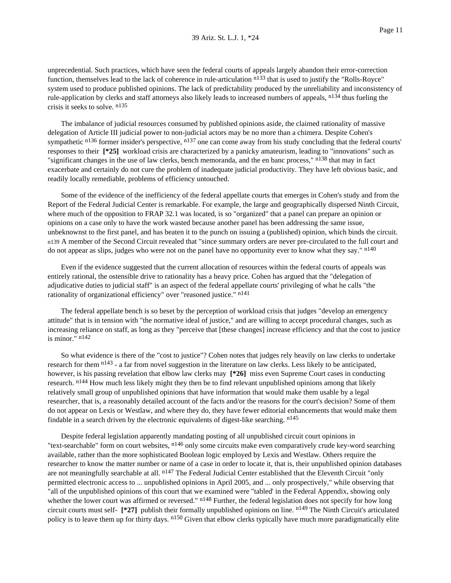unprecedential. Such practices, which have seen the federal courts of appeals largely abandon their error-correction function, themselves lead to the lack of coherence in rule-articulation  $n^{133}$  that is used to justify the "Rolls-Royce" system used to produce published opinions. The lack of predictability produced by the unreliability and inconsistency of rule-application by clerks and staff attorneys also likely leads to increased numbers of appeals, n<sup>134</sup> thus fueling the crisis it seeks to solve. n135

The imbalance of judicial resources consumed by published opinions aside, the claimed rationality of massive delegation of Article III judicial power to non-judicial actors may be no more than a chimera. Despite Cohen's sympathetic  $136$  former insider's perspective,  $137$  one can come away from his study concluding that the federal courts' responses to their **[\*25]** workload crisis are characterized by a panicky amateurism, leading to "innovations" such as "significant changes in the use of law clerks, bench memoranda, and the en banc process," n<sup>138</sup> that may in fact exacerbate and certainly do not cure the problem of inadequate judicial productivity. They have left obvious basic, and readily locally remediable, problems of efficiency untouched.

Some of the evidence of the inefficiency of the federal appellate courts that emerges in Cohen's study and from the Report of the Federal Judicial Center is remarkable. For example, the large and geographically dispersed Ninth Circuit, where much of the opposition to FRAP 32.1 was located, is so "organized" that a panel can prepare an opinion or opinions on a case only to have the work wasted because another panel has been addressing the same issue, unbeknownst to the first panel, and has beaten it to the punch on issuing a (published) opinion, which binds the circuit. n139 A member of the Second Circuit revealed that "since summary orders are never pre-circulated to the full court and do not appear as slips, judges who were not on the panel have no opportunity ever to know what they say." n<sup>140</sup>

Even if the evidence suggested that the current allocation of resources within the federal courts of appeals was entirely rational, the ostensible drive to rationality has a heavy price. Cohen has argued that the "delegation of adjudicative duties to judicial staff" is an aspect of the federal appellate courts' privileging of what he calls "the rationality of organizational efficiency" over "reasoned justice." n141

The federal appellate bench is so beset by the perception of workload crisis that judges "develop an emergency attitude" that is in tension with "the normative ideal of justice," and are willing to accept procedural changes, such as increasing reliance on staff, as long as they "perceive that [these changes] increase efficiency and that the cost to justice is minor." n142

So what evidence is there of the "cost to justice"? Cohen notes that judges rely heavily on law clerks to undertake research for them  $n^{143}$  - a far from novel suggestion in the literature on law clerks. Less likely to be anticipated, however, is his passing revelation that elbow law clerks may **[\*26]** miss even Supreme Court cases in conducting research. n144 How much less likely might they then be to find relevant unpublished opinions among that likely relatively small group of unpublished opinions that have information that would make them usable by a legal researcher, that is, a reasonably detailed account of the facts and/or the reasons for the court's decision? Some of them do not appear on Lexis or Westlaw, and where they do, they have fewer editorial enhancements that would make them findable in a search driven by the electronic equivalents of digest-like searching.  $n^{145}$ 

Despite federal legislation apparently mandating posting of all unpublished circuit court opinions in "text-searchable" form on court websites, <sup>n146</sup> only some circuits make even comparatively crude key-word searching available, rather than the more sophisticated Boolean logic employed by Lexis and Westlaw. Others require the researcher to know the matter number or name of a case in order to locate it, that is, their unpublished opinion databases are not meaningfully searchable at all. n<sup>147</sup> The Federal Judicial Center established that the Eleventh Circuit "only permitted electronic access to ... unpublished opinions in April 2005, and ... only prospectively," while observing that "all of the unpublished opinions of this court that we examined were "tabled' in the Federal Appendix, showing only whether the lower court was affirmed or reversed." n<sup>148</sup> Further, the federal legislation does not specify for how long circuit courts must self- **[\*27]** publish their formally unpublished opinions on line. n149 The Ninth Circuit's articulated policy is to leave them up for thirty days. <sup>n150</sup> Given that elbow clerks typically have much more paradigmatically elite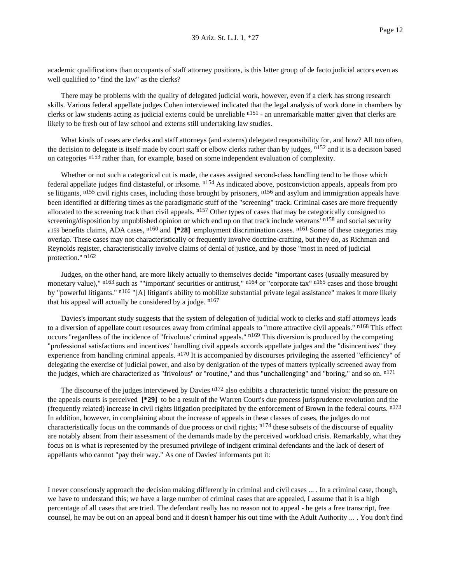academic qualifications than occupants of staff attorney positions, is this latter group of de facto judicial actors even as well qualified to "find the law" as the clerks?

There may be problems with the quality of delegated judicial work, however, even if a clerk has strong research skills. Various federal appellate judges Cohen interviewed indicated that the legal analysis of work done in chambers by clerks or law students acting as judicial externs could be unreliable  $n151$  - an unremarkable matter given that clerks are likely to be fresh out of law school and externs still undertaking law studies.

What kinds of cases are clerks and staff attorneys (and externs) delegated responsibility for, and how? All too often, the decision to delegate is itself made by court staff or elbow clerks rather than by judges,  $n^{152}$  and it is a decision based on categories <sup>n153</sup> rather than, for example, based on some independent evaluation of complexity.

Whether or not such a categorical cut is made, the cases assigned second-class handling tend to be those which federal appellate judges find distasteful, or irksome. n154 As indicated above, postconviction appeals, appeals from pro se litigants, n<sup>155</sup> civil rights cases, including those brought by prisoners, n<sup>156</sup> and asylum and immigration appeals have been identified at differing times as the paradigmatic stuff of the "screening" track. Criminal cases are more frequently allocated to the screening track than civil appeals.  $n157$  Other types of cases that may be categorically consigned to screening/disposition by unpublished opinion or which end up on that track include veterans' n<sup>158</sup> and social security n159 benefits claims, ADA cases, n160 and **[\*28]** employment discrimination cases. n161 Some of these categories may overlap. These cases may not characteristically or frequently involve doctrine-crafting, but they do, as Richman and Reynolds register, characteristically involve claims of denial of justice, and by those "most in need of judicial protection." n162

Judges, on the other hand, are more likely actually to themselves decide "important cases (usually measured by monetary value)," n<sup>163</sup> such as ""important' securities or antitrust," n<sup>164</sup> or "corporate tax" n<sup>165</sup> cases and those brought by "powerful litigants." <sup>n166</sup> "[A] litigant's ability to mobilize substantial private legal assistance" makes it more likely that his appeal will actually be considered by a judge.  $n^{167}$ 

Davies's important study suggests that the system of delegation of judicial work to clerks and staff attorneys leads to a diversion of appellate court resources away from criminal appeals to "more attractive civil appeals." n168 This effect occurs "regardless of the incidence of "frivolous' criminal appeals." <sup>n169</sup> This diversion is produced by the competing "professional satisfactions and incentives" handling civil appeals accords appellate judges and the "disincentives" they experience from handling criminal appeals. n<sup>170</sup> It is accompanied by discourses privileging the asserted "efficiency" of delegating the exercise of judicial power, and also by denigration of the types of matters typically screened away from the judges, which are characterized as "frivolous" or "routine," and thus "unchallenging" and "boring," and so on. n<sup>171</sup>

The discourse of the judges interviewed by Davies <sup>n172</sup> also exhibits a characteristic tunnel vision: the pressure on the appeals courts is perceived **[\*29]** to be a result of the Warren Court's due process jurisprudence revolution and the (frequently related) increase in civil rights litigation precipitated by the enforcement of Brown in the federal courts.  $<sup>n173</sup>$ </sup> In addition, however, in complaining about the increase of appeals in these classes of cases, the judges do not characteristically focus on the commands of due process or civil rights;  $n174$  these subsets of the discourse of equality are notably absent from their assessment of the demands made by the perceived workload crisis. Remarkably, what they focus on is what is represented by the presumed privilege of indigent criminal defendants and the lack of desert of appellants who cannot "pay their way." As one of Davies' informants put it:

I never consciously approach the decision making differently in criminal and civil cases ... . In a criminal case, though, we have to understand this; we have a large number of criminal cases that are appealed, I assume that it is a high percentage of all cases that are tried. The defendant really has no reason not to appeal - he gets a free transcript, free counsel, he may be out on an appeal bond and it doesn't hamper his out time with the Adult Authority ... . You don't find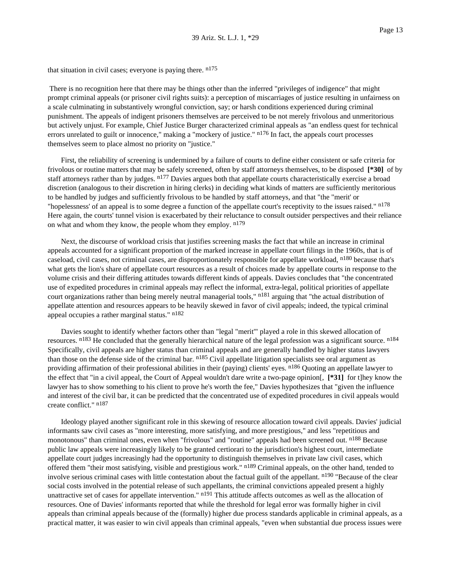that situation in civil cases; everyone is paying there.  $n^{175}$ 

There is no recognition here that there may be things other than the inferred "privileges of indigence" that might prompt criminal appeals (or prisoner civil rights suits): a perception of miscarriages of justice resulting in unfairness on a scale culminating in substantively wrongful conviction, say; or harsh conditions experienced during criminal punishment. The appeals of indigent prisoners themselves are perceived to be not merely frivolous and unmeritorious but actively unjust. For example, Chief Justice Burger characterized criminal appeals as "an endless quest for technical errors unrelated to guilt or innocence," making a "mockery of justice." n176 In fact, the appeals court processes themselves seem to place almost no priority on "justice."

First, the reliability of screening is undermined by a failure of courts to define either consistent or safe criteria for frivolous or routine matters that may be safely screened, often by staff attorneys themselves, to be disposed **[\*30]** of by staff attorneys rather than by judges. n<sup>177</sup> Davies argues both that appellate courts characteristically exercise a broad discretion (analogous to their discretion in hiring clerks) in deciding what kinds of matters are sufficiently meritorious to be handled by judges and sufficiently frivolous to be handled by staff attorneys, and that "the "merit' or "hopelessness' of an appeal is to some degree a function of the appellate court's receptivity to the issues raised." n<sup>178</sup> Here again, the courts' tunnel vision is exacerbated by their reluctance to consult outsider perspectives and their reliance on what and whom they know, the people whom they employ.  $n^{179}$ 

Next, the discourse of workload crisis that justifies screening masks the fact that while an increase in criminal appeals accounted for a significant proportion of the marked increase in appellate court filings in the 1960s, that is of caseload, civil cases, not criminal cases, are disproportionately responsible for appellate workload, <sup>n180</sup> because that's what gets the lion's share of appellate court resources as a result of choices made by appellate courts in response to the volume crisis and their differing attitudes towards different kinds of appeals. Davies concludes that "the concentrated use of expedited procedures in criminal appeals may reflect the informal, extra-legal, political priorities of appellate court organizations rather than being merely neutral managerial tools,"  $n181$  arguing that "the actual distribution of appellate attention and resources appears to be heavily skewed in favor of civil appeals; indeed, the typical criminal appeal occupies a rather marginal status." n<sup>182</sup>

Davies sought to identify whether factors other than "legal "merit'" played a role in this skewed allocation of resources. <sup>n183</sup> He concluded that the generally hierarchical nature of the legal profession was a significant source. <sup>n184</sup> Specifically, civil appeals are higher status than criminal appeals and are generally handled by higher status lawyers than those on the defense side of the criminal bar. n<sup>185</sup> Civil appellate litigation specialists see oral argument as providing affirmation of their professional abilities in their (paying) clients' eyes. <sup>n186</sup> Quoting an appellate lawyer to the effect that "in a civil appeal, the Court of Appeal wouldn't dare write a two-page opinion[, **[\*31]** for t]hey know the lawyer has to show something to his client to prove he's worth the fee," Davies hypothesizes that "given the influence and interest of the civil bar, it can be predicted that the concentrated use of expedited procedures in civil appeals would create conflict." n187

Ideology played another significant role in this skewing of resource allocation toward civil appeals. Davies' judicial informants saw civil cases as "more interesting, more satisfying, and more prestigious," and less "repetitious and monotonous" than criminal ones, even when "frivolous" and "routine" appeals had been screened out. n<sup>188</sup> Because public law appeals were increasingly likely to be granted certiorari to the jurisdiction's highest court, intermediate appellate court judges increasingly had the opportunity to distinguish themselves in private law civil cases, which offered them "their most satisfying, visible and prestigious work." <sup>n189</sup> Criminal appeals, on the other hand, tended to involve serious criminal cases with little contestation about the factual guilt of the appellant. n190 "Because of the clear social costs involved in the potential release of such appellants, the criminal convictions appealed present a highly unattractive set of cases for appellate intervention." <sup>n191</sup> This attitude affects outcomes as well as the allocation of resources. One of Davies' informants reported that while the threshold for legal error was formally higher in civil appeals than criminal appeals because of the (formally) higher due process standards applicable in criminal appeals, as a practical matter, it was easier to win civil appeals than criminal appeals, "even when substantial due process issues were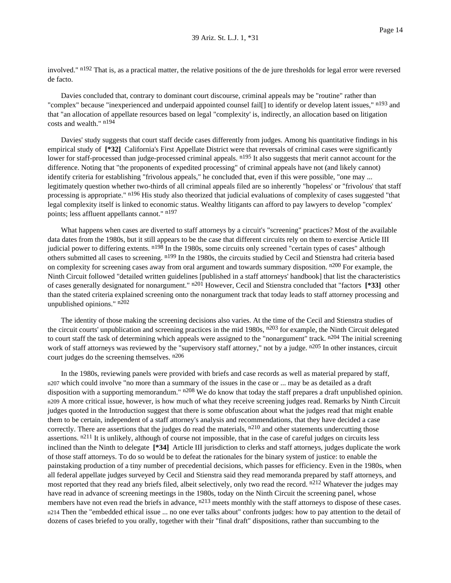involved." n<sup>192</sup> That is, as a practical matter, the relative positions of the de jure thresholds for legal error were reversed de facto.

Davies concluded that, contrary to dominant court discourse, criminal appeals may be "routine" rather than "complex" because "inexperienced and underpaid appointed counsel fail[] to identify or develop latent issues," n<sup>193</sup> and that "an allocation of appellate resources based on legal "complexity' is, indirectly, an allocation based on litigation costs and wealth." n194

Davies' study suggests that court staff decide cases differently from judges. Among his quantitative findings in his empirical study of  $[^*32]$  California's First Appellate District were that reversals of criminal cases were significantly lower for staff-processed than judge-processed criminal appeals. <sup>n195</sup> It also suggests that merit cannot account for the difference. Noting that "the proponents of expedited processing" of criminal appeals have not (and likely cannot) identify criteria for establishing "frivolous appeals," he concluded that, even if this were possible, "one may ... legitimately question whether two-thirds of all criminal appeals filed are so inherently "hopeless' or "frivolous' that staff processing is appropriate." n196 His study also theorized that judicial evaluations of complexity of cases suggested "that legal complexity itself is linked to economic status. Wealthy litigants can afford to pay lawyers to develop "complex' points; less affluent appellants cannot." n197

What happens when cases are diverted to staff attorneys by a circuit's "screening" practices? Most of the available data dates from the 1980s, but it still appears to be the case that different circuits rely on them to exercise Article III judicial power to differing extents. <sup>n198</sup> In the 1980s, some circuits only screened "certain types of cases" although others submitted all cases to screening. n199 In the 1980s, the circuits studied by Cecil and Stienstra had criteria based on complexity for screening cases away from oral argument and towards summary disposition. n<sup>200</sup> For example, the Ninth Circuit followed "detailed written guidelines [published in a staff attorneys' handbook] that list the characteristics of cases generally designated for nonargument." n201 However, Cecil and Stienstra concluded that "factors **[\*33]** other than the stated criteria explained screening onto the nonargument track that today leads to staff attorney processing and unpublished opinions." n202

The identity of those making the screening decisions also varies. At the time of the Cecil and Stienstra studies of the circuit courts' unpublication and screening practices in the mid 1980s,  $n^{203}$  for example, the Ninth Circuit delegated to court staff the task of determining which appeals were assigned to the "nonargument" track.  $n^{204}$  The initial screening work of staff attorneys was reviewed by the "supervisory staff attorney," not by a judge. n<sup>205</sup> In other instances, circuit court judges do the screening themselves.  $n^{206}$ 

In the 1980s, reviewing panels were provided with briefs and case records as well as material prepared by staff, n207 which could involve "no more than a summary of the issues in the case or ... may be as detailed as a draft disposition with a supporting memorandum."  $n^{208}$  We do know that today the staff prepares a draft unpublished opinion. n209 A more critical issue, however, is how much of what they receive screening judges read. Remarks by Ninth Circuit judges quoted in the Introduction suggest that there is some obfuscation about what the judges read that might enable them to be certain, independent of a staff attorney's analysis and recommendations, that they have decided a case correctly. There are assertions that the judges do read the materials,  $n^{210}$  and other statements undercutting those assertions.  $n^{211}$  It is unlikely, although of course not impossible, that in the case of careful judges on circuits less inclined than the Ninth to delegate **[\*34]** Article III jurisdiction to clerks and staff attorneys, judges duplicate the work of those staff attorneys. To do so would be to defeat the rationales for the binary system of justice: to enable the painstaking production of a tiny number of precedential decisions, which passes for efficiency. Even in the 1980s, when all federal appellate judges surveyed by Cecil and Stienstra said they read memoranda prepared by staff attorneys, and most reported that they read any briefs filed, albeit selectively, only two read the record. n<sup>212</sup> Whatever the judges may have read in advance of screening meetings in the 1980s, today on the Ninth Circuit the screening panel, whose members have not even read the briefs in advance,  $n^{213}$  meets monthly with the staff attorneys to dispose of these cases. n214 Then the "embedded ethical issue ... no one ever talks about" confronts judges: how to pay attention to the detail of dozens of cases briefed to you orally, together with their "final draft" dispositions, rather than succumbing to the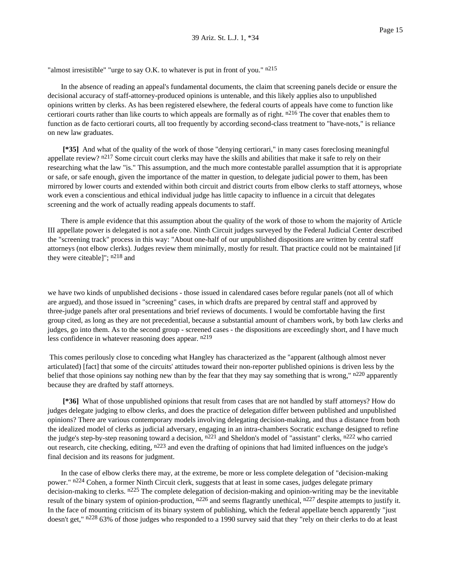"almost irresistible" "urge to say O.K. to whatever is put in front of you."  $n^{215}$ 

In the absence of reading an appeal's fundamental documents, the claim that screening panels decide or ensure the decisional accuracy of staff-attorney-produced opinions is untenable, and this likely applies also to unpublished opinions written by clerks. As has been registered elsewhere, the federal courts of appeals have come to function like certiorari courts rather than like courts to which appeals are formally as of right.  $n^{216}$  The cover that enables them to function as de facto certiorari courts, all too frequently by according second-class treatment to "have-nots," is reliance on new law graduates.

**[\*35]** And what of the quality of the work of those "denying certiorari," in many cases foreclosing meaningful appellate review? n<sup>217</sup> Some circuit court clerks may have the skills and abilities that make it safe to rely on their researching what the law "is." This assumption, and the much more contestable parallel assumption that it is appropriate or safe, or safe enough, given the importance of the matter in question, to delegate judicial power to them, has been mirrored by lower courts and extended within both circuit and district courts from elbow clerks to staff attorneys, whose work even a conscientious and ethical individual judge has little capacity to influence in a circuit that delegates screening and the work of actually reading appeals documents to staff.

There is ample evidence that this assumption about the quality of the work of those to whom the majority of Article III appellate power is delegated is not a safe one. Ninth Circuit judges surveyed by the Federal Judicial Center described the "screening track" process in this way: "About one-half of our unpublished dispositions are written by central staff attorneys (not elbow clerks). Judges review them minimally, mostly for result. That practice could not be maintained [if they were citeable]"; n218 and

we have two kinds of unpublished decisions - those issued in calendared cases before regular panels (not all of which are argued), and those issued in "screening" cases, in which drafts are prepared by central staff and approved by three-judge panels after oral presentations and brief reviews of documents. I would be comfortable having the first group cited, as long as they are not precedential, because a substantial amount of chambers work, by both law clerks and judges, go into them. As to the second group - screened cases - the dispositions are exceedingly short, and I have much less confidence in whatever reasoning does appear. n219

This comes perilously close to conceding what Hangley has characterized as the "apparent (although almost never articulated) [fact] that some of the circuits' attitudes toward their non-reporter published opinions is driven less by the belief that those opinions say nothing new than by the fear that they may say something that is wrong," n<sup>220</sup> apparently because they are drafted by staff attorneys.

**[\*36]** What of those unpublished opinions that result from cases that are not handled by staff attorneys? How do judges delegate judging to elbow clerks, and does the practice of delegation differ between published and unpublished opinions? There are various contemporary models involving delegating decision-making, and thus a distance from both the idealized model of clerks as judicial adversary, engaging in an intra-chambers Socratic exchange designed to refine the judge's step-by-step reasoning toward a decision,  $n^{221}$  and Sheldon's model of "assistant" clerks,  $n^{222}$  who carried out research, cite checking, editing, n223 and even the drafting of opinions that had limited influences on the judge's final decision and its reasons for judgment.

In the case of elbow clerks there may, at the extreme, be more or less complete delegation of "decision-making power." n<sup>224</sup> Cohen, a former Ninth Circuit clerk, suggests that at least in some cases, judges delegate primary decision-making to clerks.  $n^{225}$  The complete delegation of decision-making and opinion-writing may be the inevitable result of the binary system of opinion-production,  $n^{226}$  and seems flagrantly unethical,  $n^{227}$  despite attempts to justify it. In the face of mounting criticism of its binary system of publishing, which the federal appellate bench apparently "just doesn't get," n<sup>228</sup> 63% of those judges who responded to a 1990 survey said that they "rely on their clerks to do at least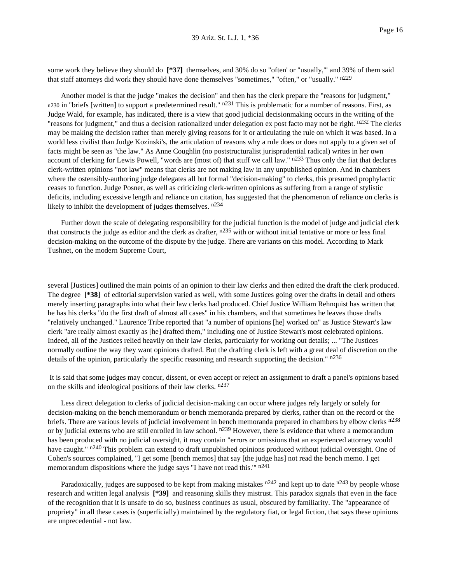some work they believe they should do **[\*37]** themselves, and 30% do so "often' or "usually,'" and 39% of them said that staff attorneys did work they should have done themselves "sometimes," "often," or "usually." n229

Another model is that the judge "makes the decision" and then has the clerk prepare the "reasons for judgment," n230 in "briefs [written] to support a predetermined result."  $n^{231}$  This is problematic for a number of reasons. First, as Judge Wald, for example, has indicated, there is a view that good judicial decisionmaking occurs in the writing of the "reasons for judgment," and thus a decision rationalized under delegation ex post facto may not be right. n<sup>232</sup> The clerks may be making the decision rather than merely giving reasons for it or articulating the rule on which it was based. In a world less civilist than Judge Kozinski's, the articulation of reasons why a rule does or does not apply to a given set of facts might be seen as "the law." As Anne Coughlin (no poststructuralist jurisprudential radical) writes in her own account of clerking for Lewis Powell, "words are (most of) that stuff we call law." n<sup>233</sup> Thus only the fiat that declares clerk-written opinions "not law" means that clerks are not making law in any unpublished opinion. And in chambers where the ostensibly-authoring judge delegates all but formal "decision-making" to clerks, this presumed prophylactic ceases to function. Judge Posner, as well as criticizing clerk-written opinions as suffering from a range of stylistic deficits, including excessive length and reliance on citation, has suggested that the phenomenon of reliance on clerks is likely to inhibit the development of judges themselves.  $n234$ 

Further down the scale of delegating responsibility for the judicial function is the model of judge and judicial clerk that constructs the judge as editor and the clerk as drafter,  $n235$  with or without initial tentative or more or less final decision-making on the outcome of the dispute by the judge. There are variants on this model. According to Mark Tushnet, on the modern Supreme Court,

several [Justices] outlined the main points of an opinion to their law clerks and then edited the draft the clerk produced. The degree **[\*38]** of editorial supervision varied as well, with some Justices going over the drafts in detail and others merely inserting paragraphs into what their law clerks had produced. Chief Justice William Rehnquist has written that he has his clerks "do the first draft of almost all cases" in his chambers, and that sometimes he leaves those drafts "relatively unchanged." Laurence Tribe reported that "a number of opinions [he] worked on" as Justice Stewart's law clerk "are really almost exactly as [he] drafted them," including one of Justice Stewart's most celebrated opinions. Indeed, all of the Justices relied heavily on their law clerks, particularly for working out details; ... "The Justices normally outline the way they want opinions drafted. But the drafting clerk is left with a great deal of discretion on the details of the opinion, particularly the specific reasoning and research supporting the decision." n236

It is said that some judges may concur, dissent, or even accept or reject an assignment to draft a panel's opinions based on the skills and ideological positions of their law clerks. n237

Less direct delegation to clerks of judicial decision-making can occur where judges rely largely or solely for decision-making on the bench memorandum or bench memoranda prepared by clerks, rather than on the record or the briefs. There are various levels of judicial involvement in bench memoranda prepared in chambers by elbow clerks n<sup>238</sup> or by judicial externs who are still enrolled in law school. n<sup>239</sup> However, there is evidence that where a memorandum has been produced with no judicial oversight, it may contain "errors or omissions that an experienced attorney would have caught." n<sup>240</sup> This problem can extend to draft unpublished opinions produced without judicial oversight. One of Cohen's sources complained, "I get some [bench memos] that say [the judge has] not read the bench memo. I get memorandum dispositions where the judge says "I have not read this." n<sup>241</sup>

Paradoxically, judges are supposed to be kept from making mistakes  $n^{242}$  and kept up to date  $n^{243}$  by people whose research and written legal analysis **[\*39]** and reasoning skills they mistrust. This paradox signals that even in the face of the recognition that it is unsafe to do so, business continues as usual, obscured by familiarity. The "appearance of propriety" in all these cases is (superficially) maintained by the regulatory fiat, or legal fiction, that says these opinions are unprecedential - not law.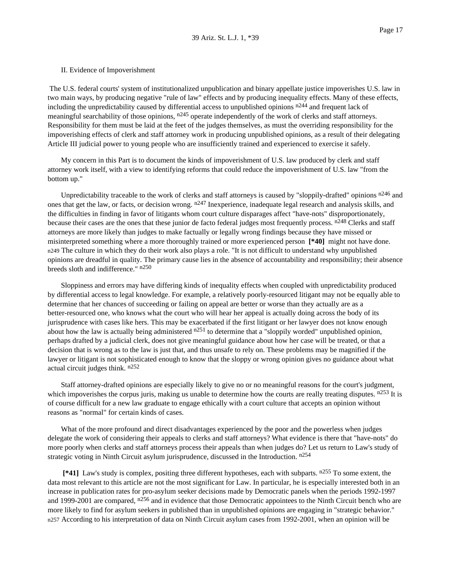#### II. Evidence of Impoverishment

The U.S. federal courts' system of institutionalized unpublication and binary appellate justice impoverishes U.S. law in two main ways, by producing negative "rule of law" effects and by producing inequality effects. Many of these effects, including the unpredictability caused by differential access to unpublished opinions n244 and frequent lack of meaningful searchability of those opinions,  $n^{245}$  operate independently of the work of clerks and staff attorneys. Responsibility for them must be laid at the feet of the judges themselves, as must the overriding responsibility for the impoverishing effects of clerk and staff attorney work in producing unpublished opinions, as a result of their delegating Article III judicial power to young people who are insufficiently trained and experienced to exercise it safely.

My concern in this Part is to document the kinds of impoverishment of U.S. law produced by clerk and staff attorney work itself, with a view to identifying reforms that could reduce the impoverishment of U.S. law "from the bottom up."

Unpredictability traceable to the work of clerks and staff attorneys is caused by "sloppily-drafted" opinions  $n^{246}$  and ones that get the law, or facts, or decision wrong. n<sup>247</sup> Inexperience, inadequate legal research and analysis skills, and the difficulties in finding in favor of litigants whom court culture disparages affect "have-nots" disproportionately, because their cases are the ones that these junior de facto federal judges most frequently process. n<sup>248</sup> Clerks and staff attorneys are more likely than judges to make factually or legally wrong findings because they have missed or misinterpreted something where a more thoroughly trained or more experienced person **[\*40]** might not have done. n249 The culture in which they do their work also plays a role. "It is not difficult to understand why unpublished opinions are dreadful in quality. The primary cause lies in the absence of accountability and responsibility; their absence breeds sloth and indifference." n<sup>250</sup>

Sloppiness and errors may have differing kinds of inequality effects when coupled with unpredictability produced by differential access to legal knowledge. For example, a relatively poorly-resourced litigant may not be equally able to determine that her chances of succeeding or failing on appeal are better or worse than they actually are as a better-resourced one, who knows what the court who will hear her appeal is actually doing across the body of its jurisprudence with cases like hers. This may be exacerbated if the first litigant or her lawyer does not know enough about how the law is actually being administered  $n251$  to determine that a "sloppily worded" unpublished opinion, perhaps drafted by a judicial clerk, does not give meaningful guidance about how her case will be treated, or that a decision that is wrong as to the law is just that, and thus unsafe to rely on. These problems may be magnified if the lawyer or litigant is not sophisticated enough to know that the sloppy or wrong opinion gives no guidance about what actual circuit judges think. n252

Staff attorney-drafted opinions are especially likely to give no or no meaningful reasons for the court's judgment, which impoverishes the corpus juris, making us unable to determine how the courts are really treating disputes.  $n253$  It is of course difficult for a new law graduate to engage ethically with a court culture that accepts an opinion without reasons as "normal" for certain kinds of cases.

What of the more profound and direct disadvantages experienced by the poor and the powerless when judges delegate the work of considering their appeals to clerks and staff attorneys? What evidence is there that "have-nots" do more poorly when clerks and staff attorneys process their appeals than when judges do? Let us return to Law's study of strategic voting in Ninth Circuit asylum jurisprudence, discussed in the Introduction. n<sup>254</sup>

**[\*41]** Law's study is complex, positing three different hypotheses, each with subparts. n255 To some extent, the data most relevant to this article are not the most significant for Law. In particular, he is especially interested both in an increase in publication rates for pro-asylum seeker decisions made by Democratic panels when the periods 1992-1997 and 1999-2001 are compared, n<sup>256</sup> and in evidence that those Democratic appointees to the Ninth Circuit bench who are more likely to find for asylum seekers in published than in unpublished opinions are engaging in "strategic behavior." n257 According to his interpretation of data on Ninth Circuit asylum cases from 1992-2001, when an opinion will be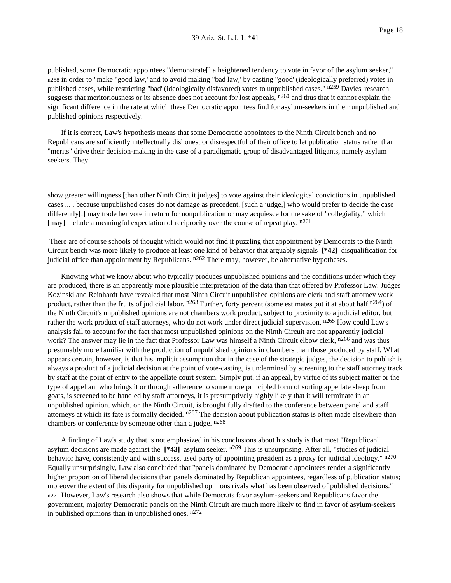published, some Democratic appointees "demonstrate[] a heightened tendency to vote in favor of the asylum seeker," n258 in order to "make "good law,' and to avoid making "bad law,' by casting "good' (ideologically preferred) votes in published cases, while restricting "bad' (ideologically disfavored) votes to unpublished cases." n<sup>259</sup> Davies' research suggests that meritoriousness or its absence does not account for lost appeals,  $n^{260}$  and thus that it cannot explain the significant difference in the rate at which these Democratic appointees find for asylum-seekers in their unpublished and published opinions respectively.

If it is correct, Law's hypothesis means that some Democratic appointees to the Ninth Circuit bench and no Republicans are sufficiently intellectually dishonest or disrespectful of their office to let publication status rather than "merits" drive their decision-making in the case of a paradigmatic group of disadvantaged litigants, namely asylum seekers. They

show greater willingness [than other Ninth Circuit judges] to vote against their ideological convictions in unpublished cases ... . because unpublished cases do not damage as precedent, [such a judge,] who would prefer to decide the case differently[,] may trade her vote in return for nonpublication or may acquiesce for the sake of "collegiality," which [may] include a meaningful expectation of reciprocity over the course of repeat play. n<sup>261</sup>

There are of course schools of thought which would not find it puzzling that appointment by Democrats to the Ninth Circuit bench was more likely to produce at least one kind of behavior that arguably signals **[\*42]** disqualification for judicial office than appointment by Republicans. n<sup>262</sup> There may, however, be alternative hypotheses.

Knowing what we know about who typically produces unpublished opinions and the conditions under which they are produced, there is an apparently more plausible interpretation of the data than that offered by Professor Law. Judges Kozinski and Reinhardt have revealed that most Ninth Circuit unpublished opinions are clerk and staff attorney work product, rather than the fruits of judicial labor.  $n^{263}$  Further, forty percent (some estimates put it at about half  $n^{264}$ ) of the Ninth Circuit's unpublished opinions are not chambers work product, subject to proximity to a judicial editor, but rather the work product of staff attorneys, who do not work under direct judicial supervision. n<sup>265</sup> How could Law's analysis fail to account for the fact that most unpublished opinions on the Ninth Circuit are not apparently judicial work? The answer may lie in the fact that Professor Law was himself a Ninth Circuit elbow clerk, n<sup>266</sup> and was thus presumably more familiar with the production of unpublished opinions in chambers than those produced by staff. What appears certain, however, is that his implicit assumption that in the case of the strategic judges, the decision to publish is always a product of a judicial decision at the point of vote-casting, is undermined by screening to the staff attorney track by staff at the point of entry to the appellate court system. Simply put, if an appeal, by virtue of its subject matter or the type of appellant who brings it or through adherence to some more principled form of sorting appellate sheep from goats, is screened to be handled by staff attorneys, it is presumptively highly likely that it will terminate in an unpublished opinion, which, on the Ninth Circuit, is brought fully drafted to the conference between panel and staff attorneys at which its fate is formally decided.  $n^{267}$  The decision about publication status is often made elsewhere than chambers or conference by someone other than a judge.  $n^{268}$ 

A finding of Law's study that is not emphasized in his conclusions about his study is that most "Republican" asylum decisions are made against the **[\*43]** asylum seeker. n269 This is unsurprising. After all, "studies of judicial behavior have, consistently and with success, used party of appointing president as a proxy for judicial ideology." n<sup>270</sup> Equally unsurprisingly, Law also concluded that "panels dominated by Democratic appointees render a significantly higher proportion of liberal decisions than panels dominated by Republican appointees, regardless of publication status; moreover the extent of this disparity for unpublished opinions rivals what has been observed of published decisions." n271 However, Law's research also shows that while Democrats favor asylum-seekers and Republicans favor the government, majority Democratic panels on the Ninth Circuit are much more likely to find in favor of asylum-seekers in published opinions than in unpublished ones.  $n272$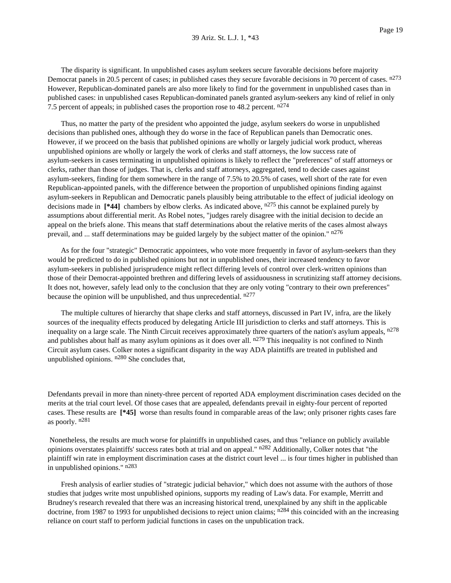The disparity is significant. In unpublished cases asylum seekers secure favorable decisions before majority Democrat panels in 20.5 percent of cases; in published cases they secure favorable decisions in 70 percent of cases. n<sup>273</sup> However, Republican-dominated panels are also more likely to find for the government in unpublished cases than in published cases: in unpublished cases Republican-dominated panels granted asylum-seekers any kind of relief in only 7.5 percent of appeals; in published cases the proportion rose to 48.2 percent. n<sup>274</sup>

Thus, no matter the party of the president who appointed the judge, asylum seekers do worse in unpublished decisions than published ones, although they do worse in the face of Republican panels than Democratic ones. However, if we proceed on the basis that published opinions are wholly or largely judicial work product, whereas unpublished opinions are wholly or largely the work of clerks and staff attorneys, the low success rate of asylum-seekers in cases terminating in unpublished opinions is likely to reflect the "preferences" of staff attorneys or clerks, rather than those of judges. That is, clerks and staff attorneys, aggregated, tend to decide cases against asylum-seekers, finding for them somewhere in the range of 7.5% to 20.5% of cases, well short of the rate for even Republican-appointed panels, with the difference between the proportion of unpublished opinions finding against asylum-seekers in Republican and Democratic panels plausibly being attributable to the effect of judicial ideology on decisions made in [\*44] chambers by elbow clerks. As indicated above,  $n^{275}$  this cannot be explained purely by assumptions about differential merit. As Robel notes, "judges rarely disagree with the initial decision to decide an appeal on the briefs alone. This means that staff determinations about the relative merits of the cases almost always prevail, and ... staff determinations may be guided largely by the subject matter of the opinion." n276

As for the four "strategic" Democratic appointees, who vote more frequently in favor of asylum-seekers than they would be predicted to do in published opinions but not in unpublished ones, their increased tendency to favor asylum-seekers in published jurisprudence might reflect differing levels of control over clerk-written opinions than those of their Democrat-appointed brethren and differing levels of assiduousness in scrutinizing staff attorney decisions. It does not, however, safely lead only to the conclusion that they are only voting "contrary to their own preferences" because the opinion will be unpublished, and thus unprecedential.  $n^{277}$ 

The multiple cultures of hierarchy that shape clerks and staff attorneys, discussed in Part IV, infra, are the likely sources of the inequality effects produced by delegating Article III jurisdiction to clerks and staff attorneys. This is inequality on a large scale. The Ninth Circuit receives approximately three quarters of the nation's asylum appeals, n<sup>278</sup> and publishes about half as many asylum opinions as it does over all.  $n^{279}$  This inequality is not confined to Ninth Circuit asylum cases. Colker notes a significant disparity in the way ADA plaintiffs are treated in published and unpublished opinions. n280 She concludes that,

Defendants prevail in more than ninety-three percent of reported ADA employment discrimination cases decided on the merits at the trial court level. Of those cases that are appealed, defendants prevail in eighty-four percent of reported cases. These results are **[\*45]** worse than results found in comparable areas of the law; only prisoner rights cases fare as poorly. n281

Nonetheless, the results are much worse for plaintiffs in unpublished cases, and thus "reliance on publicly available opinions overstates plaintiffs' success rates both at trial and on appeal." n<sup>282</sup> Additionally, Colker notes that "the plaintiff win rate in employment discrimination cases at the district court level ... is four times higher in published than in unpublished opinions." n283

Fresh analysis of earlier studies of "strategic judicial behavior," which does not assume with the authors of those studies that judges write most unpublished opinions, supports my reading of Law's data. For example, Merritt and Brudney's research revealed that there was an increasing historical trend, unexplained by any shift in the applicable doctrine, from 1987 to 1993 for unpublished decisions to reject union claims;  $n^{284}$  this coincided with an the increasing reliance on court staff to perform judicial functions in cases on the unpublication track.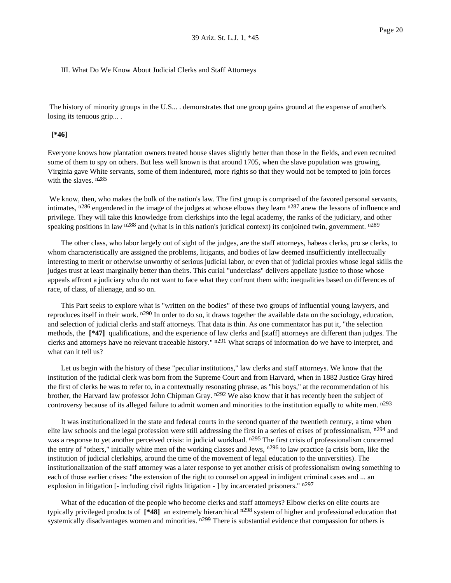#### III. What Do We Know About Judicial Clerks and Staff Attorneys

The history of minority groups in the U.S... . demonstrates that one group gains ground at the expense of another's losing its tenuous grip....

### **[\*46]**

Everyone knows how plantation owners treated house slaves slightly better than those in the fields, and even recruited some of them to spy on others. But less well known is that around 1705, when the slave population was growing, Virginia gave White servants, some of them indentured, more rights so that they would not be tempted to join forces with the slaves.  $n285$ 

We know, then, who makes the bulk of the nation's law. The first group is comprised of the favored personal servants, intimates,  $n^{286}$  engendered in the image of the judges at whose elbows they learn  $n^{287}$  anew the lessons of influence and privilege. They will take this knowledge from clerkships into the legal academy, the ranks of the judiciary, and other speaking positions in law  $n^{288}$  and (what is in this nation's juridical context) its conjoined twin, government.  $n^{289}$ 

The other class, who labor largely out of sight of the judges, are the staff attorneys, habeas clerks, pro se clerks, to whom characteristically are assigned the problems, litigants, and bodies of law deemed insufficiently intellectually interesting to merit or otherwise unworthy of serious judicial labor, or even that of judicial proxies whose legal skills the judges trust at least marginally better than theirs. This curial "underclass" delivers appellate justice to those whose appeals affront a judiciary who do not want to face what they confront them with: inequalities based on differences of race, of class, of alienage, and so on.

This Part seeks to explore what is "written on the bodies" of these two groups of influential young lawyers, and reproduces itself in their work.  $n^{290}$  In order to do so, it draws together the available data on the sociology, education, and selection of judicial clerks and staff attorneys. That data is thin. As one commentator has put it, "the selection methods, the **[\*47]** qualifications, and the experience of law clerks and [staff] attorneys are different than judges. The clerks and attorneys have no relevant traceable history." n<sup>291</sup> What scraps of information do we have to interpret, and what can it tell us?

Let us begin with the history of these "peculiar institutions," law clerks and staff attorneys. We know that the institution of the judicial clerk was born from the Supreme Court and from Harvard, when in 1882 Justice Gray hired the first of clerks he was to refer to, in a contextually resonating phrase, as "his boys," at the recommendation of his brother, the Harvard law professor John Chipman Gray. n<sup>292</sup> We also know that it has recently been the subject of controversy because of its alleged failure to admit women and minorities to the institution equally to white men. n293

It was institutionalized in the state and federal courts in the second quarter of the twentieth century, a time when elite law schools and the legal profession were still addressing the first in a series of crises of professionalism,  $n^{294}$  and was a response to yet another perceived crisis: in judicial workload. n<sup>295</sup> The first crisis of professionalism concerned the entry of "others," initially white men of the working classes and Jews, n296 to law practice (a crisis born, like the institution of judicial clerkships, around the time of the movement of legal education to the universities). The institutionalization of the staff attorney was a later response to yet another crisis of professionalism owing something to each of those earlier crises: "the extension of the right to counsel on appeal in indigent criminal cases and ... an explosion in litigation [- including civil rights litigation - ] by incarcerated prisoners." n<sup>297</sup>

What of the education of the people who become clerks and staff attorneys? Elbow clerks on elite courts are typically privileged products of **[\*48]** an extremely hierarchical n298 system of higher and professional education that systemically disadvantages women and minorities. n<sup>299</sup> There is substantial evidence that compassion for others is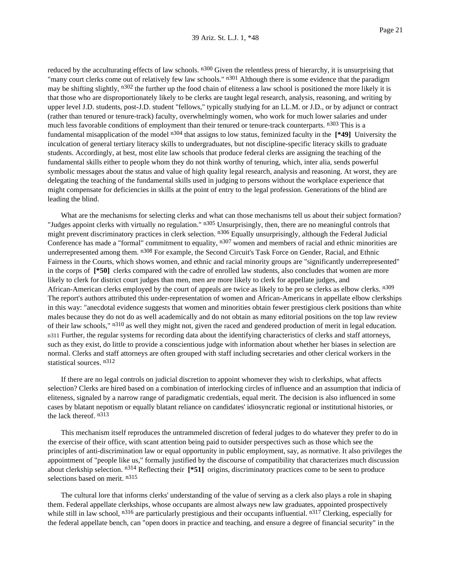reduced by the acculturating effects of law schools.  $n_{300}$  Given the relentless press of hierarchy, it is unsurprising that "many court clerks come out of relatively few law schools."  $n301$  Although there is some evidence that the paradigm may be shifting slightly,  $n^{302}$  the further up the food chain of eliteness a law school is positioned the more likely it is that those who are disproportionately likely to be clerks are taught legal research, analysis, reasoning, and writing by upper level J.D. students, post-J.D. student "fellows," typically studying for an LL.M. or J.D., or by adjunct or contract (rather than tenured or tenure-track) faculty, overwhelmingly women, who work for much lower salaries and under much less favorable conditions of employment than their tenured or tenure-track counterparts. n<sup>303</sup> This is a fundamental misapplication of the model n304 that assigns to low status, feminized faculty in the **[\*49]** University the inculcation of general tertiary literacy skills to undergraduates, but not discipline-specific literacy skills to graduate students. Accordingly, at best, most elite law schools that produce federal clerks are assigning the teaching of the fundamental skills either to people whom they do not think worthy of tenuring, which, inter alia, sends powerful symbolic messages about the status and value of high quality legal research, analysis and reasoning. At worst, they are delegating the teaching of the fundamental skills used in judging to persons without the workplace experience that might compensate for deficiencies in skills at the point of entry to the legal profession. Generations of the blind are leading the blind.

What are the mechanisms for selecting clerks and what can those mechanisms tell us about their subject formation? "Judges appoint clerks with virtually no regulation." n<sup>305</sup> Unsurprisingly, then, there are no meaningful controls that might prevent discriminatory practices in clerk selection. n<sup>306</sup> Equally unsurprisingly, although the Federal Judicial Conference has made a "formal" commitment to equality,  $n307$  women and members of racial and ethnic minorities are underrepresented among them. n<sup>308</sup> For example, the Second Circuit's Task Force on Gender, Racial, and Ethnic Fairness in the Courts, which shows women, and ethnic and racial minority groups are "significantly underrepresented" in the corps of **[\*50]** clerks compared with the cadre of enrolled law students, also concludes that women are more likely to clerk for district court judges than men, men are more likely to clerk for appellate judges, and African-American clerks employed by the court of appeals are twice as likely to be pro se clerks as elbow clerks. n<sup>309</sup> The report's authors attributed this under-representation of women and African-Americans in appellate elbow clerkships in this way: "anecdotal evidence suggests that women and minorities obtain fewer prestigious clerk positions than white males because they do not do as well academically and do not obtain as many editorial positions on the top law review of their law schools," n<sup>310</sup> as well they might not, given the raced and gendered production of merit in legal education. n311 Further, the regular systems for recording data about the identifying characteristics of clerks and staff attorneys, such as they exist, do little to provide a conscientious judge with information about whether her biases in selection are normal. Clerks and staff attorneys are often grouped with staff including secretaries and other clerical workers in the statistical sources. n312

If there are no legal controls on judicial discretion to appoint whomever they wish to clerkships, what affects selection? Clerks are hired based on a combination of interlocking circles of influence and an assumption that indicia of eliteness, signaled by a narrow range of paradigmatic credentials, equal merit. The decision is also influenced in some cases by blatant nepotism or equally blatant reliance on candidates' idiosyncratic regional or institutional histories, or the lack thereof. n313

This mechanism itself reproduces the untrammeled discretion of federal judges to do whatever they prefer to do in the exercise of their office, with scant attention being paid to outsider perspectives such as those which see the principles of anti-discrimination law or equal opportunity in public employment, say, as normative. It also privileges the appointment of "people like us," formally justified by the discourse of compatibility that characterizes much discussion about clerkship selection. n314 Reflecting their **[\*51]** origins, discriminatory practices come to be seen to produce selections based on merit. n<sup>315</sup>

The cultural lore that informs clerks' understanding of the value of serving as a clerk also plays a role in shaping them. Federal appellate clerkships, whose occupants are almost always new law graduates, appointed prospectively while still in law school,  $^{n316}$  are particularly prestigious and their occupants influential.  $^{n317}$  Clerking, especially for the federal appellate bench, can "open doors in practice and teaching, and ensure a degree of financial security" in the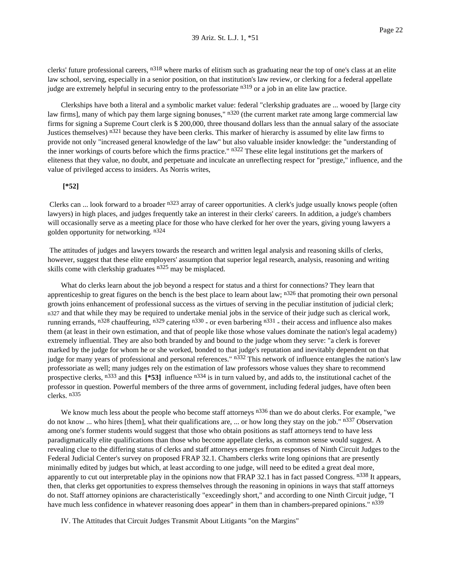clerks' future professional careers,  $n^{318}$  where marks of elitism such as graduating near the top of one's class at an elite law school, serving, especially in a senior position, on that institution's law review, or clerking for a federal appellate judge are extremely helpful in securing entry to the professoriate n<sup>319</sup> or a job in an elite law practice.

Clerkships have both a literal and a symbolic market value: federal "clerkship graduates are ... wooed by [large city law firms], many of which pay them large signing bonuses,"  $n320$  (the current market rate among large commercial law firms for signing a Supreme Court clerk is \$ 200,000, three thousand dollars less than the annual salary of the associate Justices themselves) n<sup>321</sup> because they have been clerks. This marker of hierarchy is assumed by elite law firms to provide not only "increased general knowledge of the law" but also valuable insider knowledge: the "understanding of the inner workings of courts before which the firms practice." n<sup>322</sup> These elite legal institutions get the markers of eliteness that they value, no doubt, and perpetuate and inculcate an unreflecting respect for "prestige," influence, and the value of privileged access to insiders. As Norris writes,

## **[\*52]**

Clerks can ... look forward to a broader n<sup>323</sup> array of career opportunities. A clerk's judge usually knows people (often lawyers) in high places, and judges frequently take an interest in their clerks' careers. In addition, a judge's chambers will occasionally serve as a meeting place for those who have clerked for her over the years, giving young lawyers a golden opportunity for networking. n324

The attitudes of judges and lawyers towards the research and written legal analysis and reasoning skills of clerks, however, suggest that these elite employers' assumption that superior legal research, analysis, reasoning and writing skills come with clerkship graduates  $n^{325}$  may be misplaced.

What do clerks learn about the job beyond a respect for status and a thirst for connections? They learn that apprenticeship to great figures on the bench is the best place to learn about law;  $n^{326}$  that promoting their own personal growth joins enhancement of professional success as the virtues of serving in the peculiar institution of judicial clerk; n327 and that while they may be required to undertake menial jobs in the service of their judge such as clerical work, running errands, n<sup>328</sup> chauffeuring, n<sup>329</sup> catering n<sup>330</sup> - or even barbering n<sup>331</sup> - their access and influence also makes them (at least in their own estimation, and that of people like those whose values dominate the nation's legal academy) extremely influential. They are also both branded by and bound to the judge whom they serve: "a clerk is forever marked by the judge for whom he or she worked, bonded to that judge's reputation and inevitably dependent on that judge for many years of professional and personal references." n<sup>332</sup> This network of influence entangles the nation's law professoriate as well; many judges rely on the estimation of law professors whose values they share to recommend prospective clerks, n333 and this **[\*53]** influence n334 is in turn valued by, and adds to, the institutional cachet of the professor in question. Powerful members of the three arms of government, including federal judges, have often been clerks. n335

We know much less about the people who become staff attorneys  $n336$  than we do about clerks. For example, "we do not know ... who hires [them], what their qualifications are, ... or how long they stay on the job."  $n337$  Observation among one's former students would suggest that those who obtain positions as staff attorneys tend to have less paradigmatically elite qualifications than those who become appellate clerks, as common sense would suggest. A revealing clue to the differing status of clerks and staff attorneys emerges from responses of Ninth Circuit Judges to the Federal Judicial Center's survey on proposed FRAP 32.1. Chambers clerks write long opinions that are presently minimally edited by judges but which, at least according to one judge, will need to be edited a great deal more, apparently to cut out interpretable play in the opinions now that FRAP 32.1 has in fact passed Congress. n<sup>338</sup> It appears, then, that clerks get opportunities to express themselves through the reasoning in opinions in ways that staff attorneys do not. Staff attorney opinions are characteristically "exceedingly short," and according to one Ninth Circuit judge, "I have much less confidence in whatever reasoning does appear" in them than in chambers-prepared opinions." n<sup>339</sup>

IV. The Attitudes that Circuit Judges Transmit About Litigants "on the Margins"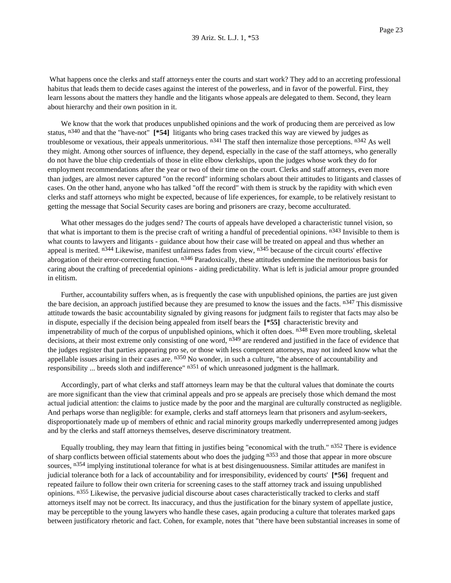What happens once the clerks and staff attorneys enter the courts and start work? They add to an accreting professional habitus that leads them to decide cases against the interest of the powerless, and in favor of the powerful. First, they learn lessons about the matters they handle and the litigants whose appeals are delegated to them. Second, they learn about hierarchy and their own position in it.

We know that the work that produces unpublished opinions and the work of producing them are perceived as low status, n340 and that the "have-not" **[\*54]** litigants who bring cases tracked this way are viewed by judges as troublesome or vexatious, their appeals unmeritorious.  $n341$  The staff then internalize those perceptions.  $n342$  As well they might. Among other sources of influence, they depend, especially in the case of the staff attorneys, who generally do not have the blue chip credentials of those in elite elbow clerkships, upon the judges whose work they do for employment recommendations after the year or two of their time on the court. Clerks and staff attorneys, even more than judges, are almost never captured "on the record" informing scholars about their attitudes to litigants and classes of cases. On the other hand, anyone who has talked "off the record" with them is struck by the rapidity with which even clerks and staff attorneys who might be expected, because of life experiences, for example, to be relatively resistant to getting the message that Social Security cases are boring and prisoners are crazy, become acculturated.

What other messages do the judges send? The courts of appeals have developed a characteristic tunnel vision, so that what is important to them is the precise craft of writing a handful of precedential opinions.  $n^{343}$  Invisible to them is what counts to lawyers and litigants - guidance about how their case will be treated on appeal and thus whether an appeal is merited.  $n^{344}$  Likewise, manifest unfairness fades from view,  $n^{345}$  because of the circuit courts' effective abrogation of their error-correcting function. n<sup>346</sup> Paradoxically, these attitudes undermine the meritorious basis for caring about the crafting of precedential opinions - aiding predictability. What is left is judicial amour propre grounded in elitism.

Further, accountability suffers when, as is frequently the case with unpublished opinions, the parties are just given the bare decision, an approach justified because they are presumed to know the issues and the facts. n<sup>347</sup> This dismissive attitude towards the basic accountability signaled by giving reasons for judgment fails to register that facts may also be in dispute, especially if the decision being appealed from itself bears the **[\*55]** characteristic brevity and impenetrability of much of the corpus of unpublished opinions, which it often does. n348 Even more troubling, skeletal decisions, at their most extreme only consisting of one word,  $n349$  are rendered and justified in the face of evidence that the judges register that parties appearing pro se, or those with less competent attorneys, may not indeed know what the appellable issues arising in their cases are.  $n^{350}$  No wonder, in such a culture, "the absence of accountability and responsibility ... breeds sloth and indifference"  $n351$  of which unreasoned judgment is the hallmark.

Accordingly, part of what clerks and staff attorneys learn may be that the cultural values that dominate the courts are more significant than the view that criminal appeals and pro se appeals are precisely those which demand the most actual judicial attention: the claims to justice made by the poor and the marginal are culturally constructed as negligible. And perhaps worse than negligible: for example, clerks and staff attorneys learn that prisoners and asylum-seekers, disproportionately made up of members of ethnic and racial minority groups markedly underrepresented among judges and by the clerks and staff attorneys themselves, deserve discriminatory treatment.

Equally troubling, they may learn that fitting in justifies being "economical with the truth." n352 There is evidence of sharp conflicts between official statements about who does the judging n<sup>353</sup> and those that appear in more obscure sources, n<sup>354</sup> implying institutional tolerance for what is at best disingenuousness. Similar attitudes are manifest in judicial tolerance both for a lack of accountability and for irresponsibility, evidenced by courts' **[\*56]** frequent and repeated failure to follow their own criteria for screening cases to the staff attorney track and issuing unpublished opinions. n355 Likewise, the pervasive judicial discourse about cases characteristically tracked to clerks and staff attorneys itself may not be correct. Its inaccuracy, and thus the justification for the binary system of appellate justice, may be perceptible to the young lawyers who handle these cases, again producing a culture that tolerates marked gaps between justificatory rhetoric and fact. Cohen, for example, notes that "there have been substantial increases in some of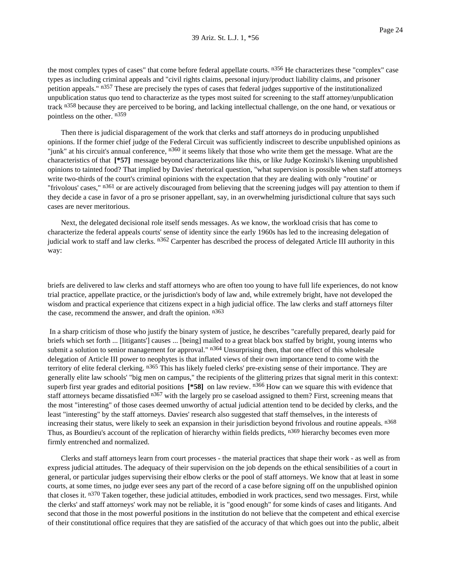the most complex types of cases" that come before federal appellate courts. n<sup>356</sup> He characterizes these "complex" case types as including criminal appeals and "civil rights claims, personal injury/product liability claims, and prisoner petition appeals." n357 These are precisely the types of cases that federal judges supportive of the institutionalized unpublication status quo tend to characterize as the types most suited for screening to the staff attorney/unpublication track n<sup>358</sup> because they are perceived to be boring, and lacking intellectual challenge, on the one hand, or vexatious or pointless on the other. n359

Then there is judicial disparagement of the work that clerks and staff attorneys do in producing unpublished opinions. If the former chief judge of the Federal Circuit was sufficiently indiscreet to describe unpublished opinions as "junk" at his circuit's annual conference,  $n^{360}$  it seems likely that those who write them get the message. What are the characteristics of that **[\*57]** message beyond characterizations like this, or like Judge Kozinski's likening unpublished opinions to tainted food? That implied by Davies' rhetorical question, "what supervision is possible when staff attorneys write two-thirds of the court's criminal opinions with the expectation that they are dealing with only "routine' or "frivolous' cases," n<sup>361</sup> or are actively discouraged from believing that the screening judges will pay attention to them if they decide a case in favor of a pro se prisoner appellant, say, in an overwhelming jurisdictional culture that says such cases are never meritorious.

Next, the delegated decisional role itself sends messages. As we know, the workload crisis that has come to characterize the federal appeals courts' sense of identity since the early 1960s has led to the increasing delegation of judicial work to staff and law clerks. n362 Carpenter has described the process of delegated Article III authority in this way:

briefs are delivered to law clerks and staff attorneys who are often too young to have full life experiences, do not know trial practice, appellate practice, or the jurisdiction's body of law and, while extremely bright, have not developed the wisdom and practical experience that citizens expect in a high judicial office. The law clerks and staff attorneys filter the case, recommend the answer, and draft the opinion. n<sup>363</sup>

In a sharp criticism of those who justify the binary system of justice, he describes "carefully prepared, dearly paid for briefs which set forth ... [litigants'] causes ... [being] mailed to a great black box staffed by bright, young interns who submit a solution to senior management for approval." n364 Unsurprising then, that one effect of this wholesale delegation of Article III power to neophytes is that inflated views of their own importance tend to come with the territory of elite federal clerking. n<sup>365</sup> This has likely fueled clerks' pre-existing sense of their importance. They are generally elite law schools' "big men on campus," the recipients of the glittering prizes that signal merit in this context: superb first year grades and editorial positions **[\*58]** on law review. n366 How can we square this with evidence that staff attorneys became dissatisfied <sup>n367</sup> with the largely pro se caseload assigned to them? First, screening means that the most "interesting" of those cases deemed unworthy of actual judicial attention tend to be decided by clerks, and the least "interesting" by the staff attorneys. Davies' research also suggested that staff themselves, in the interests of increasing their status, were likely to seek an expansion in their jurisdiction beyond frivolous and routine appeals. n368 Thus, as Bourdieu's account of the replication of hierarchy within fields predicts, n369 hierarchy becomes even more firmly entrenched and normalized.

Clerks and staff attorneys learn from court processes - the material practices that shape their work - as well as from express judicial attitudes. The adequacy of their supervision on the job depends on the ethical sensibilities of a court in general, or particular judges supervising their elbow clerks or the pool of staff attorneys. We know that at least in some courts, at some times, no judge ever sees any part of the record of a case before signing off on the unpublished opinion that closes it. n<sup>370</sup> Taken together, these judicial attitudes, embodied in work practices, send two messages. First, while the clerks' and staff attorneys' work may not be reliable, it is "good enough" for some kinds of cases and litigants. And second that those in the most powerful positions in the institution do not believe that the competent and ethical exercise of their constitutional office requires that they are satisfied of the accuracy of that which goes out into the public, albeit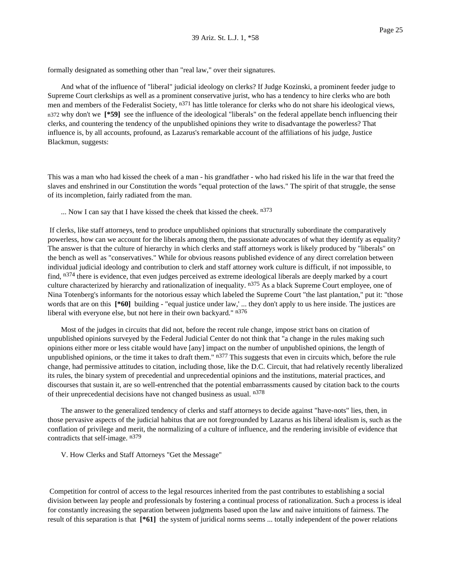formally designated as something other than "real law," over their signatures.

And what of the influence of "liberal" judicial ideology on clerks? If Judge Kozinski, a prominent feeder judge to Supreme Court clerkships as well as a prominent conservative jurist, who has a tendency to hire clerks who are both men and members of the Federalist Society, n<sup>371</sup> has little tolerance for clerks who do not share his ideological views, n372 why don't we **[\*59]** see the influence of the ideological "liberals" on the federal appellate bench influencing their clerks, and countering the tendency of the unpublished opinions they write to disadvantage the powerless? That influence is, by all accounts, profound, as Lazarus's remarkable account of the affiliations of his judge, Justice Blackmun, suggests:

This was a man who had kissed the cheek of a man - his grandfather - who had risked his life in the war that freed the slaves and enshrined in our Constitution the words "equal protection of the laws." The spirit of that struggle, the sense of its incompletion, fairly radiated from the man.

... Now I can say that I have kissed the cheek that kissed the cheek. n<sup>373</sup>

If clerks, like staff attorneys, tend to produce unpublished opinions that structurally subordinate the comparatively powerless, how can we account for the liberals among them, the passionate advocates of what they identify as equality? The answer is that the culture of hierarchy in which clerks and staff attorneys work is likely produced by "liberals" on the bench as well as "conservatives." While for obvious reasons published evidence of any direct correlation between individual judicial ideology and contribution to clerk and staff attorney work culture is difficult, if not impossible, to find, n<sup>374</sup> there is evidence, that even judges perceived as extreme ideological liberals are deeply marked by a court culture characterized by hierarchy and rationalization of inequality. n<sup>375</sup> As a black Supreme Court employee, one of Nina Totenberg's informants for the notorious essay which labeled the Supreme Court "the last plantation," put it: "those words that are on this  $[ *60]$  building - "equal justice under law,' ... they don't apply to us here inside. The justices are liberal with everyone else, but not here in their own backyard." n<sup>376</sup>

Most of the judges in circuits that did not, before the recent rule change, impose strict bans on citation of unpublished opinions surveyed by the Federal Judicial Center do not think that "a change in the rules making such opinions either more or less citable would have [any] impact on the number of unpublished opinions, the length of unpublished opinions, or the time it takes to draft them."  $n377$  This suggests that even in circuits which, before the rule change, had permissive attitudes to citation, including those, like the D.C. Circuit, that had relatively recently liberalized its rules, the binary system of precedential and unprecedential opinions and the institutions, material practices, and discourses that sustain it, are so well-entrenched that the potential embarrassments caused by citation back to the courts of their unprecedential decisions have not changed business as usual. n<sup>378</sup>

The answer to the generalized tendency of clerks and staff attorneys to decide against "have-nots" lies, then, in those pervasive aspects of the judicial habitus that are not foregrounded by Lazarus as his liberal idealism is, such as the conflation of privilege and merit, the normalizing of a culture of influence, and the rendering invisible of evidence that contradicts that self-image. n379

V. How Clerks and Staff Attorneys "Get the Message"

Competition for control of access to the legal resources inherited from the past contributes to establishing a social division between lay people and professionals by fostering a continual process of rationalization. Such a process is ideal for constantly increasing the separation between judgments based upon the law and naive intuitions of fairness. The result of this separation is that **[\*61]** the system of juridical norms seems ... totally independent of the power relations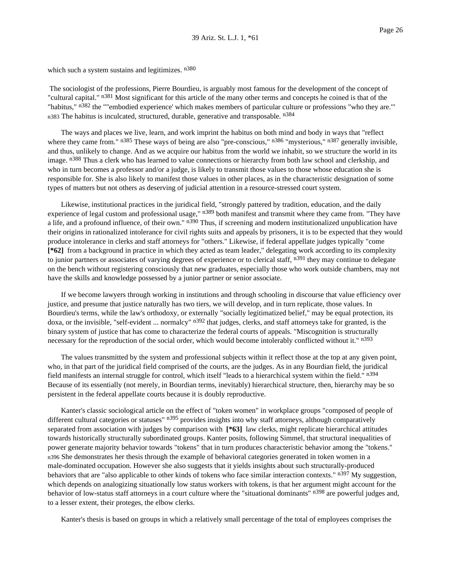which such a system sustains and legitimizes. n<sup>380</sup>

The sociologist of the professions, Pierre Bourdieu, is arguably most famous for the development of the concept of "cultural capital." n<sup>381</sup> Most significant for this article of the many other terms and concepts he coined is that of the "habitus," n<sup>382</sup> the ""embodied experience' which makes members of particular culture or professions "who they are."" n383 The habitus is inculcated, structured, durable, generative and transposable. n<sup>384</sup>

The ways and places we live, learn, and work imprint the habitus on both mind and body in ways that "reflect where they came from." n<sup>385</sup> These ways of being are also "pre-conscious," n<sup>386</sup> "mysterious," n<sup>387</sup> generally invisible, and thus, unlikely to change. And as we acquire our habitus from the world we inhabit, so we structure the world in its image. n<sup>388</sup> Thus a clerk who has learned to value connections or hierarchy from both law school and clerkship, and who in turn becomes a professor and/or a judge, is likely to transmit those values to those whose education she is responsible for. She is also likely to manifest those values in other places, as in the characteristic designation of some types of matters but not others as deserving of judicial attention in a resource-stressed court system.

Likewise, institutional practices in the juridical field, "strongly pattered by tradition, education, and the daily experience of legal custom and professional usage," n<sup>389</sup> both manifest and transmit where they came from. "They have a life, and a profound influence, of their own." n<sup>390</sup> Thus, if screening and modern institutionalized unpublication have their origins in rationalized intolerance for civil rights suits and appeals by prisoners, it is to be expected that they would produce intolerance in clerks and staff attorneys for "others." Likewise, if federal appellate judges typically "come **[\*62]** from a background in practice in which they acted as team leader," delegating work according to its complexity to junior partners or associates of varying degrees of experience or to clerical staff, n<sup>391</sup> they may continue to delegate on the bench without registering consciously that new graduates, especially those who work outside chambers, may not have the skills and knowledge possessed by a junior partner or senior associate.

If we become lawyers through working in institutions and through schooling in discourse that value efficiency over justice, and presume that justice naturally has two tiers, we will develop, and in turn replicate, those values. In Bourdieu's terms, while the law's orthodoxy, or externally "socially legitimatized belief," may be equal protection, its doxa, or the invisible, "self-evident ... normalcy" n<sup>392</sup> that judges, clerks, and staff attorneys take for granted, is the binary system of justice that has come to characterize the federal courts of appeals. "Miscognition is structurally necessary for the reproduction of the social order, which would become intolerably conflicted without it." n<sup>393</sup>

The values transmitted by the system and professional subjects within it reflect those at the top at any given point, who, in that part of the juridical field comprised of the courts, are the judges. As in any Bourdian field, the juridical field manifests an internal struggle for control, which itself "leads to a hierarchical system within the field." n394 Because of its essentially (not merely, in Bourdian terms, inevitably) hierarchical structure, then, hierarchy may be so persistent in the federal appellate courts because it is doubly reproductive.

Kanter's classic sociological article on the effect of "token women" in workplace groups "composed of people of different cultural categories or statuses" n<sup>395</sup> provides insights into why staff attorneys, although comparatively separated from association with judges by comparison with **[\*63]** law clerks, might replicate hierarchical attitudes towards historically structurally subordinated groups. Kanter posits, following Simmel, that structural inequalities of power generate majority behavior towards "tokens" that in turn produces characteristic behavior among the "tokens." n396 She demonstrates her thesis through the example of behavioral categories generated in token women in a male-dominated occupation. However she also suggests that it yields insights about such structurally-produced behaviors that are "also applicable to other kinds of tokens who face similar interaction contexts." n<sup>397</sup> My suggestion, which depends on analogizing situationally low status workers with tokens, is that her argument might account for the behavior of low-status staff attorneys in a court culture where the "situational dominants" n<sup>398</sup> are powerful judges and, to a lesser extent, their proteges, the elbow clerks.

Kanter's thesis is based on groups in which a relatively small percentage of the total of employees comprises the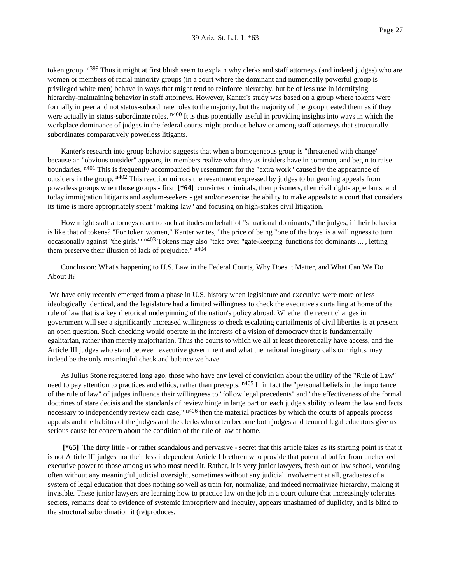token group. <sup>n399</sup> Thus it might at first blush seem to explain why clerks and staff attorneys (and indeed judges) who are women or members of racial minority groups (in a court where the dominant and numerically powerful group is privileged white men) behave in ways that might tend to reinforce hierarchy, but be of less use in identifying hierarchy-maintaining behavior in staff attorneys. However, Kanter's study was based on a group where tokens were formally in peer and not status-subordinate roles to the majority, but the majority of the group treated them as if they were actually in status-subordinate roles.  $n^{400}$  It is thus potentially useful in providing insights into ways in which the workplace dominance of judges in the federal courts might produce behavior among staff attorneys that structurally subordinates comparatively powerless litigants.

Kanter's research into group behavior suggests that when a homogeneous group is "threatened with change" because an "obvious outsider" appears, its members realize what they as insiders have in common, and begin to raise boundaries. n<sup>401</sup> This is frequently accompanied by resentment for the "extra work" caused by the appearance of outsiders in the group. n<sup>402</sup> This reaction mirrors the resentment expressed by judges to burgeoning appeals from powerless groups when those groups - first **[\*64]** convicted criminals, then prisoners, then civil rights appellants, and today immigration litigants and asylum-seekers - get and/or exercise the ability to make appeals to a court that considers its time is more appropriately spent "making law" and focusing on high-stakes civil litigation.

How might staff attorneys react to such attitudes on behalf of "situational dominants," the judges, if their behavior is like that of tokens? "For token women," Kanter writes, "the price of being "one of the boys' is a willingness to turn occasionally against "the girls."  $n^{403}$  Tokens may also "take over "gate-keeping' functions for dominants ..., letting them preserve their illusion of lack of prejudice."  $n404$ 

Conclusion: What's happening to U.S. Law in the Federal Courts, Why Does it Matter, and What Can We Do About It?

We have only recently emerged from a phase in U.S. history when legislature and executive were more or less ideologically identical, and the legislature had a limited willingness to check the executive's curtailing at home of the rule of law that is a key rhetorical underpinning of the nation's policy abroad. Whether the recent changes in government will see a significantly increased willingness to check escalating curtailments of civil liberties is at present an open question. Such checking would operate in the interests of a vision of democracy that is fundamentally egalitarian, rather than merely majoritarian. Thus the courts to which we all at least theoretically have access, and the Article III judges who stand between executive government and what the national imaginary calls our rights, may indeed be the only meaningful check and balance we have.

As Julius Stone registered long ago, those who have any level of conviction about the utility of the "Rule of Law" need to pay attention to practices and ethics, rather than precepts. n<sup>405</sup> If in fact the "personal beliefs in the importance of the rule of law" of judges influence their willingness to "follow legal precedents" and "the effectiveness of the formal doctrines of stare decisis and the standards of review hinge in large part on each judge's ability to learn the law and facts necessary to independently review each case," <sup>n406</sup> then the material practices by which the courts of appeals process appeals and the habitus of the judges and the clerks who often become both judges and tenured legal educators give us serious cause for concern about the condition of the rule of law at home.

**[\*65]** The dirty little - or rather scandalous and pervasive - secret that this article takes as its starting point is that it is not Article III judges nor their less independent Article I brethren who provide that potential buffer from unchecked executive power to those among us who most need it. Rather, it is very junior lawyers, fresh out of law school, working often without any meaningful judicial oversight, sometimes without any judicial involvement at all, graduates of a system of legal education that does nothing so well as train for, normalize, and indeed normativize hierarchy, making it invisible. These junior lawyers are learning how to practice law on the job in a court culture that increasingly tolerates secrets, remains deaf to evidence of systemic impropriety and inequity, appears unashamed of duplicity, and is blind to the structural subordination it (re)produces.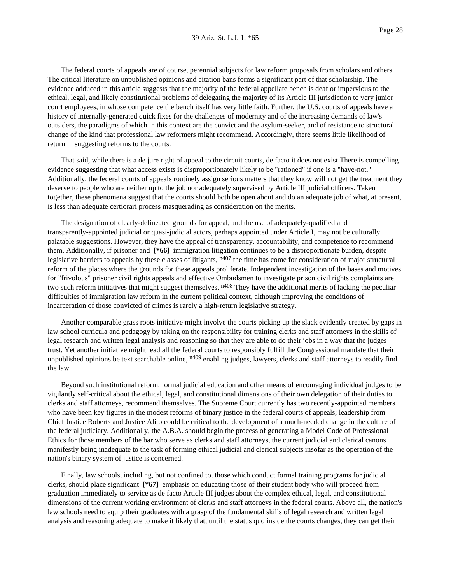The federal courts of appeals are of course, perennial subjects for law reform proposals from scholars and others. The critical literature on unpublished opinions and citation bans forms a significant part of that scholarship. The evidence adduced in this article suggests that the majority of the federal appellate bench is deaf or impervious to the ethical, legal, and likely constitutional problems of delegating the majority of its Article III jurisdiction to very junior court employees, in whose competence the bench itself has very little faith. Further, the U.S. courts of appeals have a history of internally-generated quick fixes for the challenges of modernity and of the increasing demands of law's outsiders, the paradigms of which in this context are the convict and the asylum-seeker, and of resistance to structural change of the kind that professional law reformers might recommend. Accordingly, there seems little likelihood of return in suggesting reforms to the courts.

That said, while there is a de jure right of appeal to the circuit courts, de facto it does not exist There is compelling evidence suggesting that what access exists is disproportionately likely to be "rationed" if one is a "have-not." Additionally, the federal courts of appeals routinely assign serious matters that they know will not get the treatment they deserve to people who are neither up to the job nor adequately supervised by Article III judicial officers. Taken together, these phenomena suggest that the courts should both be open about and do an adequate job of what, at present, is less than adequate certiorari process masquerading as consideration on the merits.

The designation of clearly-delineated grounds for appeal, and the use of adequately-qualified and transparently-appointed judicial or quasi-judicial actors, perhaps appointed under Article I, may not be culturally palatable suggestions. However, they have the appeal of transparency, accountability, and competence to recommend them. Additionally, if prisoner and **[\*66]** immigration litigation continues to be a disproportionate burden, despite legislative barriers to appeals by these classes of litigants,  $n407$  the time has come for consideration of major structural reform of the places where the grounds for these appeals proliferate. Independent investigation of the bases and motives for "frivolous" prisoner civil rights appeals and effective Ombudsmen to investigate prison civil rights complaints are two such reform initiatives that might suggest themselves. n<sup>408</sup> They have the additional merits of lacking the peculiar difficulties of immigration law reform in the current political context, although improving the conditions of incarceration of those convicted of crimes is rarely a high-return legislative strategy.

Another comparable grass roots initiative might involve the courts picking up the slack evidently created by gaps in law school curricula and pedagogy by taking on the responsibility for training clerks and staff attorneys in the skills of legal research and written legal analysis and reasoning so that they are able to do their jobs in a way that the judges trust. Yet another initiative might lead all the federal courts to responsibly fulfill the Congressional mandate that their unpublished opinions be text searchable online, <sup>n409</sup> enabling judges, lawyers, clerks and staff attorneys to readily find the law.

Beyond such institutional reform, formal judicial education and other means of encouraging individual judges to be vigilantly self-critical about the ethical, legal, and constitutional dimensions of their own delegation of their duties to clerks and staff attorneys, recommend themselves. The Supreme Court currently has two recently-appointed members who have been key figures in the modest reforms of binary justice in the federal courts of appeals; leadership from Chief Justice Roberts and Justice Alito could be critical to the development of a much-needed change in the culture of the federal judiciary. Additionally, the A.B.A. should begin the process of generating a Model Code of Professional Ethics for those members of the bar who serve as clerks and staff attorneys, the current judicial and clerical canons manifestly being inadequate to the task of forming ethical judicial and clerical subjects insofar as the operation of the nation's binary system of justice is concerned.

Finally, law schools, including, but not confined to, those which conduct formal training programs for judicial clerks, should place significant **[\*67]** emphasis on educating those of their student body who will proceed from graduation immediately to service as de facto Article III judges about the complex ethical, legal, and constitutional dimensions of the current working environment of clerks and staff attorneys in the federal courts. Above all, the nation's law schools need to equip their graduates with a grasp of the fundamental skills of legal research and written legal analysis and reasoning adequate to make it likely that, until the status quo inside the courts changes, they can get their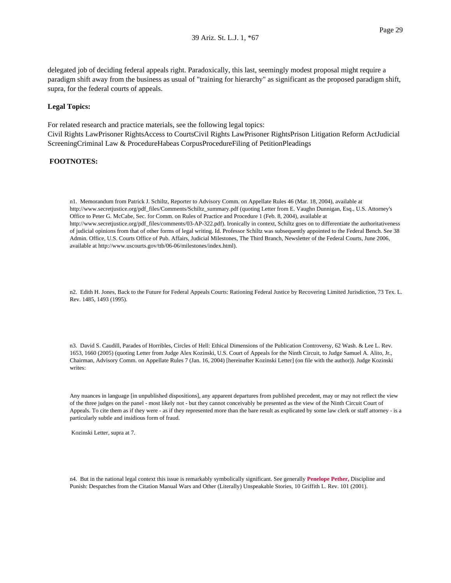delegated job of deciding federal appeals right. Paradoxically, this last, seemingly modest proposal might require a paradigm shift away from the business as usual of "training for hierarchy" as significant as the proposed paradigm shift, supra, for the federal courts of appeals.

#### **Legal Topics:**

For related research and practice materials, see the following legal topics: Civil Rights LawPrisoner RightsAccess to CourtsCivil Rights LawPrisoner RightsPrison Litigation Reform ActJudicial ScreeningCriminal Law & ProcedureHabeas CorpusProcedureFiling of PetitionPleadings

## **FOOTNOTES:**

n1. Memorandum from Patrick J. Schiltz, Reporter to Advisory Comm. on Appellate Rules 46 (Mar. 18, 2004), available at http://www.secretjustice.org/pdf\_files/Comments/Schiltz\_summary.pdf (quoting Letter from E. Vaughn Dunnigan, Esq., U.S. Attorney's Office to Peter G. McCabe, Sec. for Comm. on Rules of Practice and Procedure 1 (Feb. 8, 2004), available at http://www.secretjustice.org/pdf\_files/comments/03-AP-322.pdf). Ironically in context, Schiltz goes on to differentiate the authoritativeness of judicial opinions from that of other forms of legal writing. Id. Professor Schiltz was subsequently appointed to the Federal Bench. See 38 Admin. Office, U.S. Courts Office of Pub. Affairs, Judicial Milestones, The Third Branch, Newsletter of the Federal Courts, June 2006, available at http://www.uscourts.gov/ttb/06-06/milestones/index.html).

n2. Edith H. Jones, Back to the Future for Federal Appeals Courts: Rationing Federal Justice by Recovering Limited Jurisdiction, 73 Tex. L. Rev. 1485, 1493 (1995).

n3. David S. Caudill, Parades of Horribles, Circles of Hell: Ethical Dimensions of the Publication Controversy, 62 Wash. & Lee L. Rev. 1653, 1660 (2005) (quoting Letter from Judge Alex Kozinski, U.S. Court of Appeals for the Ninth Circuit, to Judge Samuel A. Alito, Jr., Chairman, Advisory Comm. on Appellate Rules 7 (Jan. 16, 2004) [hereinafter Kozinski Letter] (on file with the author)). Judge Kozinski writes:

Any nuances in language [in unpublished dispositions], any apparent departures from published precedent, may or may not reflect the view of the three judges on the panel - most likely not - but they cannot conceivably be presented as the view of the Ninth Circuit Court of Appeals. To cite them as if they were - as if they represented more than the bare result as explicated by some law clerk or staff attorney - is a particularly subtle and insidious form of fraud.

Kozinski Letter, supra at 7.

n4. But in the national legal context this issue is remarkably symbolically significant. See generally **Penelope Pether,** Discipline and Punish: Despatches from the Citation Manual Wars and Other (Literally) Unspeakable Stories, 10 Griffith L. Rev. 101 (2001).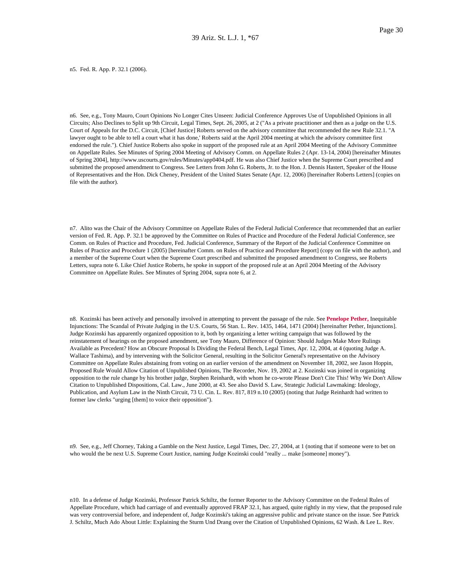n5. Fed. R. App. P. 32.1 (2006).

n6. See, e.g., Tony Mauro, Court Opinions No Longer Cites Unseen: Judicial Conference Approves Use of Unpublished Opinions in all Circuits; Also Declines to Split up 9th Circuit, Legal Times, Sept. 26, 2005, at 2 ("As a private practitioner and then as a judge on the U.S. Court of Appeals for the D.C. Circuit, [Chief Justice] Roberts served on the advisory committee that recommended the new Rule 32.1. "A lawyer ought to be able to tell a court what it has done,' Roberts said at the April 2004 meeting at which the advisory committee first endorsed the rule."). Chief Justice Roberts also spoke in support of the proposed rule at an April 2004 Meeting of the Advisory Committee on Appellate Rules. See Minutes of Spring 2004 Meeting of Advisory Comm. on Appellate Rules 2 (Apr. 13-14, 2004) [hereinafter Minutes of Spring 2004], http://www.uscourts.gov/rules/Minutes/app0404.pdf. He was also Chief Justice when the Supreme Court prescribed and submitted the proposed amendment to Congress. See Letters from John G. Roberts, Jr. to the Hon. J. Dennis Hastert, Speaker of the House of Representatives and the Hon. Dick Cheney, President of the United States Senate (Apr. 12, 2006) [hereinafter Roberts Letters] (copies on file with the author).

n7. Alito was the Chair of the Advisory Committee on Appellate Rules of the Federal Judicial Conference that recommended that an earlier version of Fed. R. App. P. 32.1 be approved by the Committee on Rules of Practice and Procedure of the Federal Judicial Conference, see Comm. on Rules of Practice and Procedure, Fed. Judicial Conference, Summary of the Report of the Judicial Conference Committee on Rules of Practice and Procedure 1 (2005) [hereinafter Comm. on Rules of Practice and Procedure Report] (copy on file with the author), and a member of the Supreme Court when the Supreme Court prescribed and submitted the proposed amendment to Congress, see Roberts Letters, supra note 6. Like Chief Justice Roberts, he spoke in support of the proposed rule at an April 2004 Meeting of the Advisory Committee on Appellate Rules. See Minutes of Spring 2004, supra note 6, at 2.

n8. Kozinski has been actively and personally involved in attempting to prevent the passage of the rule. See **Penelope Pether,** Inequitable Injunctions: The Scandal of Private Judging in the U.S. Courts, 56 Stan. L. Rev. 1435, 1464, 1471 (2004) [hereinafter Pether, Injunctions]. Judge Kozinski has apparently organized opposition to it, both by organizing a letter writing campaign that was followed by the reinstatement of hearings on the proposed amendment, see Tony Mauro, Difference of Opinion: Should Judges Make More Rulings Available as Precedent? How an Obscure Proposal Is Dividing the Federal Bench, Legal Times, Apr. 12, 2004, at 4 (quoting Judge A. Wallace Tashima), and by intervening with the Solicitor General, resulting in the Solicitor General's representative on the Advisory Committee on Appellate Rules abstaining from voting on an earlier version of the amendment on November 18, 2002, see Jason Hoppin, Proposed Rule Would Allow Citation of Unpublished Opinions, The Recorder, Nov. 19, 2002 at 2. Kozinski was joined in organizing opposition to the rule change by his brother judge, Stephen Reinhardt, with whom he co-wrote Please Don't Cite This! Why We Don't Allow Citation to Unpublished Dispositions, Cal. Law., June 2000, at 43. See also David S. Law, Strategic Judicial Lawmaking: Ideology, Publication, and Asylum Law in the Ninth Circuit, 73 U. Cin. L. Rev. 817, 819 n.10 (2005) (noting that Judge Reinhardt had written to former law clerks "urging [them] to voice their opposition").

n9. See, e.g., Jeff Chorney, Taking a Gamble on the Next Justice, Legal Times, Dec. 27, 2004, at 1 (noting that if someone were to bet on who would the be next U.S. Supreme Court Justice, naming Judge Kozinski could "really ... make [someone] money").

n10. In a defense of Judge Kozinski, Professor Patrick Schiltz, the former Reporter to the Advisory Committee on the Federal Rules of Appellate Procedure, which had carriage of and eventually approved FRAP 32.1, has argued, quite rightly in my view, that the proposed rule was very controversial before, and independent of, Judge Kozinski's taking an aggressive public and private stance on the issue. See Patrick J. Schiltz, Much Ado About Little: Explaining the Sturm Und Drang over the Citation of Unpublished Opinions, 62 Wash. & Lee L. Rev.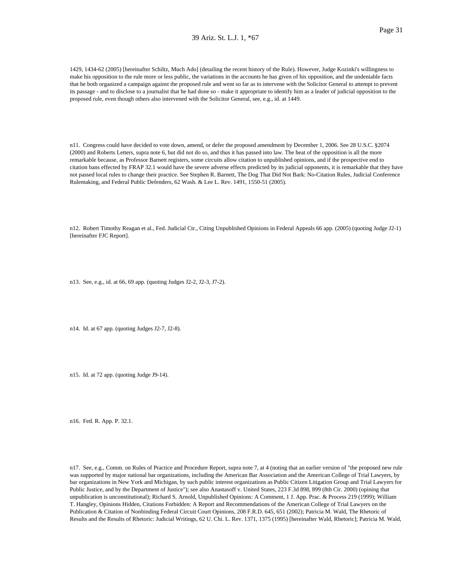#### 39 Ariz. St. L.J. 1, \*67

1429, 1434-62 (2005) [hereinafter Schiltz, Much Ado] (detailing the recent history of the Rule). However, Judge Kozinki's willingness to make his opposition to the rule more or less public, the variations in the accounts he has given of his opposition, and the undeniable facts that he both organized a campaign against the proposed rule and went so far as to intervene with the Solicitor General to attempt to prevent its passage - and to disclose to a journalist that he had done so - make it appropriate to identify him as a leader of judicial opposition to the proposed rule, even though others also intervened with the Solicitor General, see, e.g., id. at 1449.

n11. Congress could have decided to vote down, amend, or defer the proposed amendment by December 1, 2006. See 28 U.S.C. §2074 (2000) and Roberts Letters, supra note 6, but did not do so, and thus it has passed into law. The heat of the opposition is all the more remarkable because, as Professor Barnett registers, some circuits allow citation to unpublished opinions, and if the prospective end to citation bans effected by FRAP 32.1 would have the severe adverse effects predicted by its judicial opponents, it is remarkable that they have not passed local rules to change their practice. See Stephen R. Barnett, The Dog That Did Not Bark: No-Citation Rules, Judicial Conference Rulemaking, and Federal Public Defenders, 62 Wash. & Lee L. Rev. 1491, 1550-51 (2005).

n12. Robert Timothy Reagan et al., Fed. Judicial Ctr., Citing Unpublished Opinions in Federal Appeals 66 app. (2005) (quoting Judge J2-1) [hereinafter FJC Report].

n13. See, e.g., id. at 66, 69 app. (quoting Judges J2-2, J2-3, J7-2).

n14. Id. at 67 app. (quoting Judges J2-7, J2-8).

n15. Id. at 72 app. (quoting Judge J9-14).

n16. Fed. R. App. P. 32.1.

n17. See, e.g., Comm. on Rules of Practice and Procedure Report, supra note 7, at 4 (noting that an earlier version of "the proposed new rule was supported by major national bar organizations, including the American Bar Association and the American College of Trial Lawyers, by bar organizations in New York and Michigan, by such public interest organizations as Public Citizen Litigation Group and Trial Lawyers for Public Justice, and by the Department of Justice"); see also Anastasoff v. United States, 223 F.3d 898, 899 (8th Cir. 2000) (opining that unpublication is unconstitutional); Richard S. Arnold, Unpublished Opinions: A Comment, 1 J. App. Prac. & Process 219 (1999); William T. Hangley, Opinions Hidden, Citations Forbidden: A Report and Recommendations of the American College of Trial Lawyers on the Publication & Citation of Nonbinding Federal Circuit Court Opinions, 208 F.R.D. 645, 651 (2002); Patricia M. Wald, The Rhetoric of Results and the Results of Rhetoric: Judicial Writings, 62 U. Chi. L. Rev. 1371, 1375 (1995) [hereinafter Wald, Rhetoric]; Patricia M. Wald,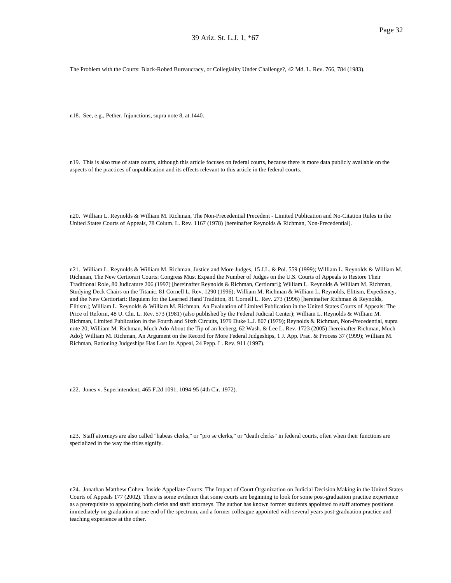The Problem with the Courts: Black-Robed Bureaucracy, or Collegiality Under Challenge?, 42 Md. L. Rev. 766, 784 (1983).

n18. See, e.g., Pether, Injunctions, supra note 8, at 1440.

n19. This is also true of state courts, although this article focuses on federal courts, because there is more data publicly available on the aspects of the practices of unpublication and its effects relevant to this article in the federal courts.

n20. William L. Reynolds & William M. Richman, The Non-Precedential Precedent - Limited Publication and No-Citation Rules in the United States Courts of Appeals, 78 Colum. L. Rev. 1167 (1978) [hereinafter Reynolds & Richman, Non-Precedential].

n21. William L. Reynolds & William M. Richman, Justice and More Judges, 15 J.L. & Pol. 559 (1999); William L. Reynolds & William M. Richman, The New Certiorari Courts: Congress Must Expand the Number of Judges on the U.S. Courts of Appeals to Restore Their Traditional Role, 80 Judicature 206 (1997) [hereinafter Reynolds & Richman, Certiorari]; William L. Reynolds & William M. Richman, Studying Deck Chairs on the Titanic, 81 Cornell L. Rev. 1290 (1996); William M. Richman & William L. Reynolds, Elitism, Expediency, and the New Certioriari: Requiem for the Learned Hand Tradition, 81 Cornell L. Rev. 273 (1996) [hereinafter Richman & Reynolds, Elitism]; William L. Reynolds & William M. Richman, An Evaluation of Limited Publication in the United States Courts of Appeals: The Price of Reform, 48 U. Chi. L. Rev. 573 (1981) (also published by the Federal Judicial Center); William L. Reynolds & William M. Richman, Limited Publication in the Fourth and Sixth Circuits, 1979 Duke L.J. 807 (1979); Reynolds & Richman, Non-Precedential, supra note 20; William M. Richman, Much Ado About the Tip of an Iceberg, 62 Wash. & Lee L. Rev. 1723 (2005) [hereinafter Richman, Much Ado]; William M. Richman, An Argument on the Record for More Federal Judgeships, 1 J. App. Prac. & Process 37 (1999); William M. Richman, Rationing Judgeships Has Lost Its Appeal, 24 Pepp. L. Rev. 911 (1997).

n22. Jones v. Superintendent, 465 F.2d 1091, 1094-95 (4th Cir. 1972).

n23. Staff attorneys are also called "habeas clerks," or "pro se clerks," or "death clerks" in federal courts, often when their functions are specialized in the way the titles signify.

n24. Jonathan Matthew Cohen, Inside Appellate Courts: The Impact of Court Organization on Judicial Decision Making in the United States Courts of Appeals 177 (2002). There is some evidence that some courts are beginning to look for some post-graduation practice experience as a prerequisite to appointing both clerks and staff attorneys. The author has known former students appointed to staff attorney positions immediately on graduation at one end of the spectrum, and a former colleague appointed with several years post-graduation practice and teaching experience at the other.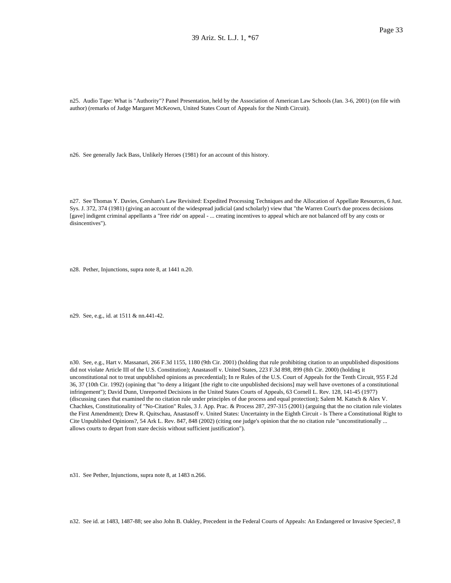n25. Audio Tape: What is "Authority"? Panel Presentation, held by the Association of American Law Schools (Jan. 3-6, 2001) (on file with author) (remarks of Judge Margaret McKeown, United States Court of Appeals for the Ninth Circuit).

n26. See generally Jack Bass, Unlikely Heroes (1981) for an account of this history.

n27. See Thomas Y. Davies, Gresham's Law Revisited: Expedited Processing Techniques and the Allocation of Appellate Resources, 6 Just. Sys. J. 372, 374 (1981) (giving an account of the widespread judicial (and scholarly) view that "the Warren Court's due process decisions [gave] indigent criminal appellants a "free ride' on appeal - ... creating incentives to appeal which are not balanced off by any costs or disincentives").

n28. Pether, Injunctions, supra note 8, at 1441 n.20.

n29. See, e.g., id. at 1511 & nn.441-42.

n30. See, e.g., Hart v. Massanari, 266 F.3d 1155, 1180 (9th Cir. 2001) (holding that rule prohibiting citation to an unpublished dispositions did not violate Article III of the U.S. Constitution); Anastasoff v. United States, 223 F.3d 898, 899 (8th Cir. 2000) (holding it unconstitutional not to treat unpublished opinions as precedential); In re Rules of the U.S. Court of Appeals for the Tenth Circuit, 955 F.2d 36, 37 (10th Cir. 1992) (opining that "to deny a litigant [the right to cite unpublished decisions] may well have overtones of a constitutional infringement"); David Dunn, Unreported Decisions in the United States Courts of Appeals, 63 Cornell L. Rev. 128, 141-45 (1977) (discussing cases that examined the no citation rule under principles of due process and equal protection); Salem M. Katsch & Alex V. Chachkes, Constitutionality of "No-Citation" Rules, 3 J. App. Prac. & Process 287, 297-315 (2001) (arguing that the no citation rule violates the First Amendment); Drew R. Quitschau, Anastasoff v. United States: Uncertainty in the Eighth Circuit - Is There a Constitutional Right to Cite Unpublished Opinions?, 54 Ark L. Rev. 847, 848 (2002) (citing one judge's opinion that the no citation rule "unconstitutionally ... allows courts to depart from stare decisis without sufficient justification").

n31. See Pether, Injunctions, supra note 8, at 1483 n.266.

n32. See id. at 1483, 1487-88; see also John B. Oakley, Precedent in the Federal Courts of Appeals: An Endangered or Invasive Species?, 8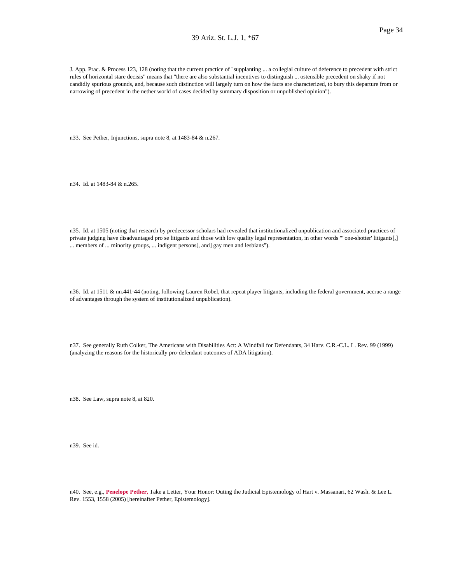J. App. Prac. & Process 123, 128 (noting that the current practice of "supplanting ... a collegial culture of deference to precedent with strict rules of horizontal stare decisis" means that "there are also substantial incentives to distinguish ... ostensible precedent on shaky if not candidly spurious grounds, and, because such distinction will largely turn on how the facts are characterized, to bury this departure from or narrowing of precedent in the nether world of cases decided by summary disposition or unpublished opinion").

n33. See Pether, Injunctions, supra note 8, at 1483-84 & n.267.

n34. Id. at 1483-84 & n.265.

n35. Id. at 1505 (noting that research by predecessor scholars had revealed that institutionalized unpublication and associated practices of private judging have disadvantaged pro se litigants and those with low quality legal representation, in other words ""one-shotter' litigants[,] ... members of ... minority groups, ... indigent persons[, and] gay men and lesbians").

n36. Id. at 1511 & nn.441-44 (noting, following Lauren Robel, that repeat player litigants, including the federal government, accrue a range of advantages through the system of institutionalized unpublication).

n37. See generally Ruth Colker, The Americans with Disabilities Act: A Windfall for Defendants, 34 Harv. C.R.-C.L. L. Rev. 99 (1999) (analyzing the reasons for the historically pro-defendant outcomes of ADA litigation).

n38. See Law, supra note 8, at 820.

n39. See id.

n40. See, e.g., **Penelope Pether,** Take a Letter, Your Honor: Outing the Judicial Epistemology of Hart v. Massanari, 62 Wash. & Lee L. Rev. 1553, 1558 (2005) [hereinafter Pether, Epistemology].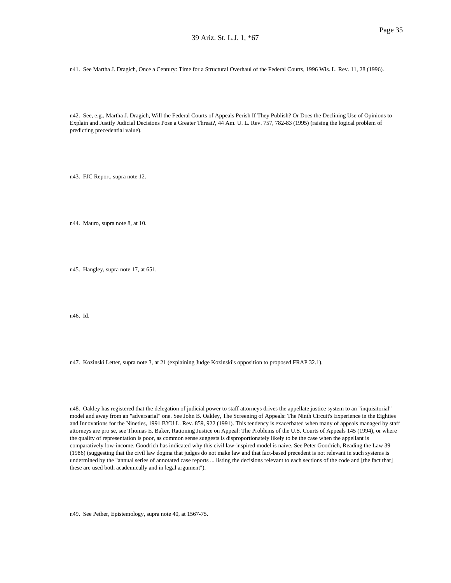n41. See Martha J. Dragich, Once a Century: Time for a Structural Overhaul of the Federal Courts, 1996 Wis. L. Rev. 11, 28 (1996).

n42. See, e.g., Martha J. Dragich, Will the Federal Courts of Appeals Perish If They Publish? Or Does the Declining Use of Opinions to Explain and Justify Judicial Decisions Pose a Greater Threat?, 44 Am. U. L. Rev. 757, 782-83 (1995) (raising the logical problem of predicting precedential value).

n43. FJC Report, supra note 12.

n44. Mauro, supra note 8, at 10.

n45. Hangley, supra note 17, at 651.

n46. Id.

n47. Kozinski Letter, supra note 3, at 21 (explaining Judge Kozinski's opposition to proposed FRAP 32.1).

n48. Oakley has registered that the delegation of judicial power to staff attorneys drives the appellate justice system to an "inquisitorial" model and away from an "adversarial" one. See John B. Oakley, The Screening of Appeals: The Ninth Circuit's Experience in the Eighties and Innovations for the Nineties, 1991 BYU L. Rev. 859, 922 (1991). This tendency is exacerbated when many of appeals managed by staff attorneys are pro se, see Thomas E. Baker, Rationing Justice on Appeal: The Problems of the U.S. Courts of Appeals 145 (1994), or where the quality of representation is poor, as common sense suggests is disproportionately likely to be the case when the appellant is comparatively low-income. Goodrich has indicated why this civil law-inspired model is naive. See Peter Goodrich, Reading the Law 39 (1986) (suggesting that the civil law dogma that judges do not make law and that fact-based precedent is not relevant in such systems is undermined by the "annual series of annotated case reports ... listing the decisions relevant to each sections of the code and [the fact that] these are used both academically and in legal argument").

n49. See Pether, Epistemology, supra note 40, at 1567-75.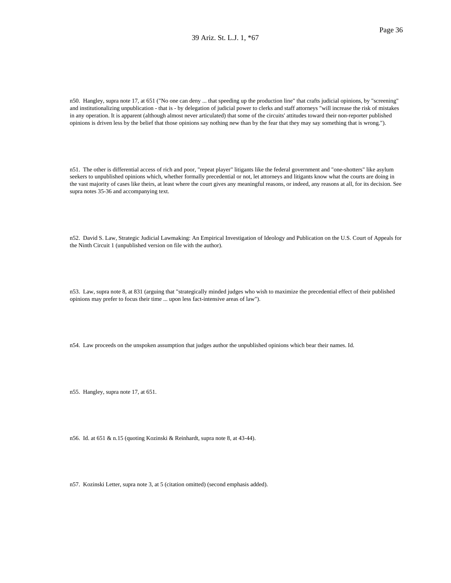n50. Hangley, supra note 17, at 651 ("No one can deny ... that speeding up the production line" that crafts judicial opinions, by "screening" and institutionalizing unpublication - that is - by delegation of judicial power to clerks and staff attorneys "will increase the risk of mistakes in any operation. It is apparent (although almost never articulated) that some of the circuits' attitudes toward their non-reporter published opinions is driven less by the belief that those opinions say nothing new than by the fear that they may say something that is wrong.").

n51. The other is differential access of rich and poor, "repeat player" litigants like the federal government and "one-shotters" like asylum seekers to unpublished opinions which, whether formally precedential or not, let attorneys and litigants know what the courts are doing in the vast majority of cases like theirs, at least where the court gives any meaningful reasons, or indeed, any reasons at all, for its decision. See supra notes 35-36 and accompanying text.

n52. David S. Law, Strategic Judicial Lawmaking: An Empirical Investigation of Ideology and Publication on the U.S. Court of Appeals for the Ninth Circuit 1 (unpublished version on file with the author).

n53. Law, supra note 8, at 831 (arguing that "strategically minded judges who wish to maximize the precedential effect of their published opinions may prefer to focus their time ... upon less fact-intensive areas of law").

n54. Law proceeds on the unspoken assumption that judges author the unpublished opinions which bear their names. Id.

n55. Hangley, supra note 17, at 651.

n56. Id. at 651 & n.15 (quoting Kozinski & Reinhardt, supra note 8, at 43-44).

n57. Kozinski Letter, supra note 3, at 5 (citation omitted) (second emphasis added).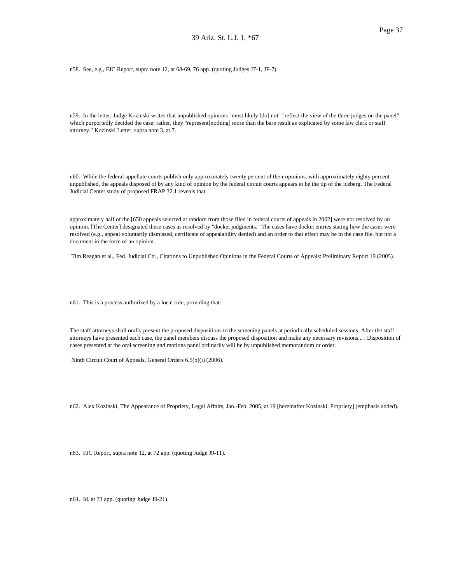n58. See, e.g., FJC Report, supra note 12, at 68-69, 76 app. (quoting Judges J7-1, JF-7).

n59. In the letter, Judge Kozinski writes that unpublished opinions "most likely [do] not" "reflect the view of the three judges on the panel" which purportedly decided the case; rather, they "represent[nothing] more than the bare result as explicated by some law clerk or staff attorney." Kozinski Letter, supra note 3, at 7.

n60. While the federal appellate courts publish only approximately twenty percent of their opinions, with approximately eighty percent unpublished, the appeals disposed of by any kind of opinion by the federal circuit courts appears to be the tip of the iceberg. The Federal Judicial Center study of proposed FRAP 32.1 reveals that

approximately half of the [650 appeals selected at random from those filed in federal courts of appeals in 2002] were not resolved by an opinion. [The Center] designated these cases as resolved by "docket judgments." The cases have docket entries stating how the cases were resolved (e.g., appeal voluntarily dismissed, certificate of appealability denied) and an order to that effect may be in the case file, but not a document in the form of an opinion.

Tim Reagan et al., Fed. Judicial Ctr., Citations to Unpublished Opinions in the Federal Courts of Appeals: Preliminary Report 19 (2005).

n61. This is a process authorized by a local rule, providing that:

The staff attorneys shall orally present the proposed dispositions to the screening panels at periodically scheduled sessions. After the staff attorneys have presented each case, the panel members discuss the proposed disposition and make any necessary revisions... . Disposition of cases presented at the oral screening and motions panel ordinarily will be by unpublished memorandum or order.

Ninth Circuit Court of Appeals, General Orders 6.5(b)(i) (2006).

n62. Alex Kozinski, The Appearance of Propriety, Legal Affairs, Jan.-Feb. 2005, at 19 [hereinafter Kozinski, Propriety] (emphasis added).

n63. FJC Report, supra note 12, at 72 app. (quoting Judge J9-11).

n64. Id. at 73 app. (quoting Judge J9-21).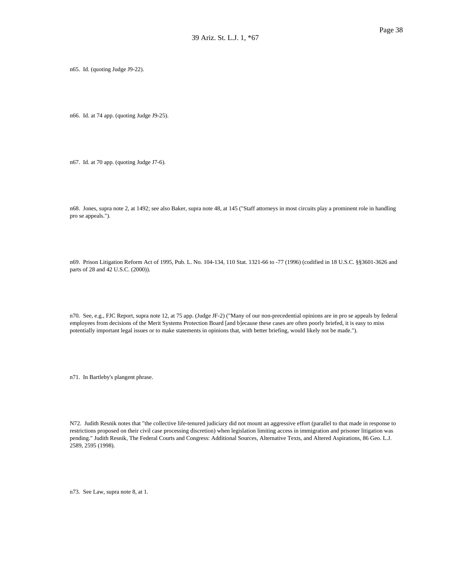n65. Id. (quoting Judge J9-22).

n66. Id. at 74 app. (quoting Judge J9-25).

n67. Id. at 70 app. (quoting Judge J7-6).

n68. Jones, supra note 2, at 1492; see also Baker, supra note 48, at 145 ("Staff attorneys in most circuits play a prominent role in handling pro se appeals.").

n69. Prison Litigation Reform Act of 1995, Pub. L. No. 104-134, 110 Stat. 1321-66 to -77 (1996) (codified in 18 U.S.C. §§3601-3626 and parts of 28 and 42 U.S.C. (2000)).

n70. See, e.g., FJC Report, supra note 12, at 75 app. (Judge JF-2) ("Many of our non-precedential opinions are in pro se appeals by federal employees from decisions of the Merit Systems Protection Board [and b]ecause these cases are often poorly briefed, it is easy to miss potentially important legal issues or to make statements in opinions that, with better briefing, would likely not be made.").

n71. In Bartleby's plangent phrase.

N72. Judith Resnik notes that "the collective life-tenured judiciary did not mount an aggressive effort (parallel to that made in response to restrictions proposed on their civil case processing discretion) when legislation limiting access in immigration and prisoner litigation was pending." Judith Resnik, The Federal Courts and Congress: Additional Sources, Alternative Texts, and Altered Aspirations, 86 Geo. L.J. 2589, 2595 (1998).

n73. See Law, supra note 8, at 1.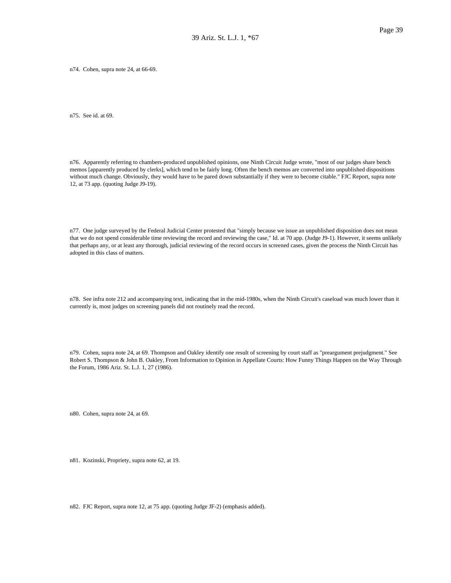n74. Cohen, supra note 24, at 66-69.

n75. See id. at 69.

n76. Apparently referring to chambers-produced unpublished opinions, one Ninth Circuit Judge wrote, "most of our judges share bench memos [apparently produced by clerks], which tend to be fairly long. Often the bench memos are converted into unpublished dispositions without much change. Obviously, they would have to be pared down substantially if they were to become citable." FJC Report, supra note 12, at 73 app. (quoting Judge J9-19).

n77. One judge surveyed by the Federal Judicial Center protested that "simply because we issue an unpublished disposition does not mean that we do not spend considerable time reviewing the record and reviewing the case," Id. at 70 app. (Judge J9-1). However, it seems unlikely that perhaps any, or at least any thorough, judicial reviewing of the record occurs in screened cases, given the process the Ninth Circuit has adopted in this class of matters.

n78. See infra note 212 and accompanying text, indicating that in the mid-1980s, when the Ninth Circuit's caseload was much lower than it currently is, most judges on screening panels did not routinely read the record.

n79. Cohen, supra note 24, at 69. Thompson and Oakley identify one result of screening by court staff as "preargument prejudgment." See Robert S. Thompson & John B. Oakley, From Information to Opinion in Appellate Courts: How Funny Things Happen on the Way Through the Forum, 1986 Ariz. St. L.J. 1, 27 (1986).

n80. Cohen, supra note 24, at 69.

n81. Kozinski, Propriety, supra note 62, at 19.

n82. FJC Report, supra note 12, at 75 app. (quoting Judge JF-2) (emphasis added).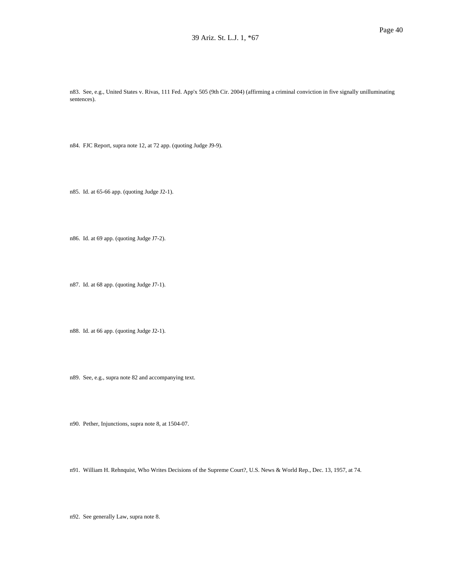n83. See, e.g., United States v. Rivas, 111 Fed. App'x 505 (9th Cir. 2004) (affirming a criminal conviction in five signally unilluminating sentences).

n84. FJC Report, supra note 12, at 72 app. (quoting Judge J9-9).

n85. Id. at 65-66 app. (quoting Judge J2-1).

n86. Id. at 69 app. (quoting Judge J7-2).

n87. Id. at 68 app. (quoting Judge J7-1).

n88. Id. at 66 app. (quoting Judge J2-1).

n89. See, e.g., supra note 82 and accompanying text.

n90. Pether, Injunctions, supra note 8, at 1504-07.

n91. William H. Rehnquist, Who Writes Decisions of the Supreme Court?, U.S. News & World Rep., Dec. 13, 1957, at 74.

n92. See generally Law, supra note 8.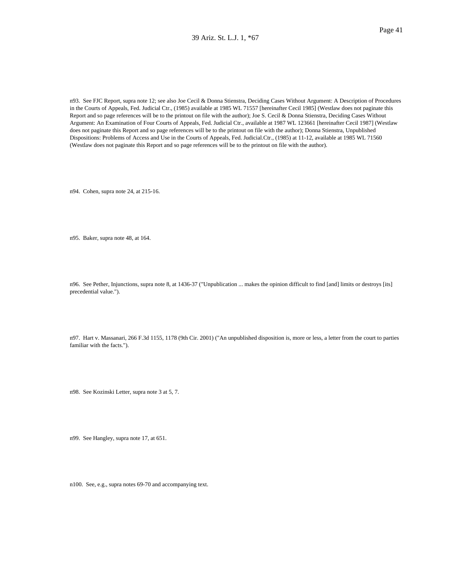n93. See FJC Report, supra note 12; see also Joe Cecil & Donna Stienstra, Deciding Cases Without Argument: A Description of Procedures in the Courts of Appeals, Fed. Judicial Ctr., (1985) available at 1985 WL 71557 [hereinafter Cecil 1985] (Westlaw does not paginate this Report and so page references will be to the printout on file with the author); Joe S. Cecil & Donna Stienstra, Deciding Cases Without Argument: An Examination of Four Courts of Appeals, Fed. Judicial Ctr., available at 1987 WL 123661 [hereinafter Cecil 1987] (Westlaw does not paginate this Report and so page references will be to the printout on file with the author); Donna Stienstra, Unpublished Dispositions: Problems of Access and Use in the Courts of Appeals, Fed. Judicial.Ctr., (1985) at 11-12, available at 1985 WL 71560 (Westlaw does not paginate this Report and so page references will be to the printout on file with the author).

n94. Cohen, supra note 24, at 215-16.

n95. Baker, supra note 48, at 164.

n96. See Pether, Injunctions, supra note 8, at 1436-37 ("Unpublication ... makes the opinion difficult to find [and] limits or destroys [its] precedential value.").

n97. Hart v. Massanari, 266 F.3d 1155, 1178 (9th Cir. 2001) ("An unpublished disposition is, more or less, a letter from the court to parties familiar with the facts.").

n98. See Kozinski Letter, supra note 3 at 5, 7.

n99. See Hangley, supra note 17, at 651.

n100. See, e.g., supra notes 69-70 and accompanying text.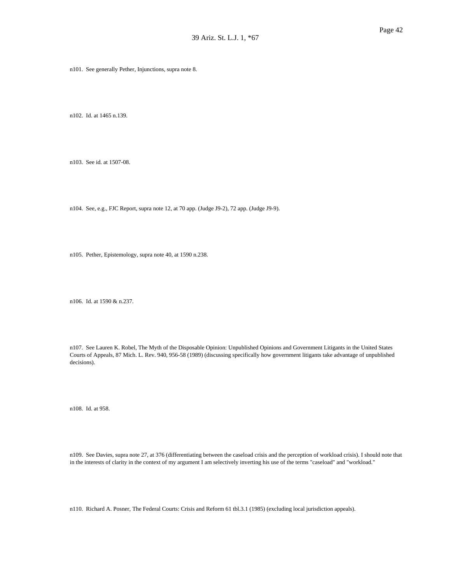n101. See generally Pether, Injunctions, supra note 8.

n102. Id. at 1465 n.139.

n103. See id. at 1507-08.

n104. See, e.g., FJC Report, supra note 12, at 70 app. (Judge J9-2), 72 app. (Judge J9-9).

n105. Pether, Epistemology, supra note 40, at 1590 n.238.

n106. Id. at 1590 & n.237.

n107. See Lauren K. Robel, The Myth of the Disposable Opinion: Unpublished Opinions and Government Litigants in the United States Courts of Appeals, 87 Mich. L. Rev. 940, 956-58 (1989) (discussing specifically how government litigants take advantage of unpublished decisions).

n108. Id. at 958.

n109. See Davies, supra note 27, at 376 (differentiating between the caseload crisis and the perception of workload crisis). I should note that in the interests of clarity in the context of my argument I am selectively inverting his use of the terms "caseload" and "workload."

n110. Richard A. Posner, The Federal Courts: Crisis and Reform 61 tbl.3.1 (1985) (excluding local jurisdiction appeals).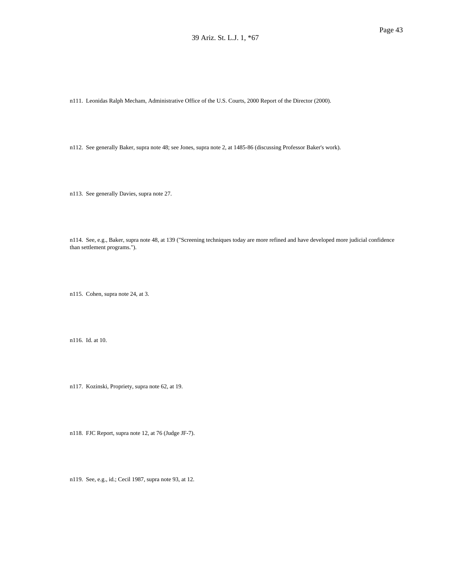n111. Leonidas Ralph Mecham, Administrative Office of the U.S. Courts, 2000 Report of the Director (2000).

n112. See generally Baker, supra note 48; see Jones, supra note 2, at 1485-86 (discussing Professor Baker's work).

n113. See generally Davies, supra note 27.

n114. See, e.g., Baker, supra note 48, at 139 ("Screening techniques today are more refined and have developed more judicial confidence than settlement programs.").

n115. Cohen, supra note 24, at 3.

n116. Id. at 10.

n117. Kozinski, Propriety, supra note 62, at 19.

n118. FJC Report, supra note 12, at 76 (Judge JF-7).

n119. See, e.g., id.; Cecil 1987, supra note 93, at 12.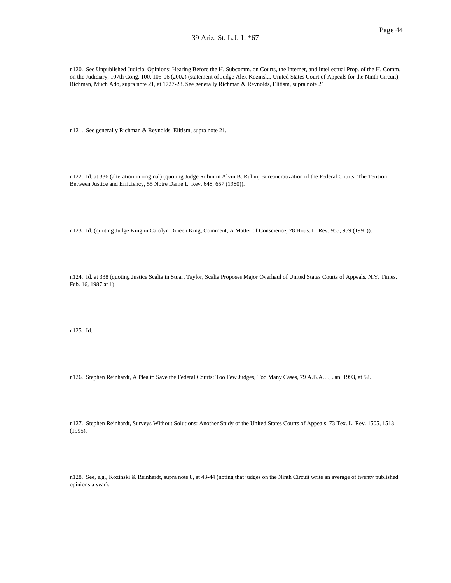n120. See Unpublished Judicial Opinions: Hearing Before the H. Subcomm. on Courts, the Internet, and Intellectual Prop. of the H. Comm. on the Judiciary, 107th Cong. 100, 105-06 (2002) (statement of Judge Alex Kozinski, United States Court of Appeals for the Ninth Circuit); Richman, Much Ado, supra note 21, at 1727-28. See generally Richman & Reynolds, Elitism, supra note 21.

n121. See generally Richman & Reynolds, Elitism, supra note 21.

n122. Id. at 336 (alteration in original) (quoting Judge Rubin in Alvin B. Rubin, Bureaucratization of the Federal Courts: The Tension Between Justice and Efficiency, 55 Notre Dame L. Rev. 648, 657 (1980)).

n123. Id. (quoting Judge King in Carolyn Dineen King, Comment, A Matter of Conscience, 28 Hous. L. Rev. 955, 959 (1991)).

n124. Id. at 338 (quoting Justice Scalia in Stuart Taylor, Scalia Proposes Major Overhaul of United States Courts of Appeals, N.Y. Times, Feb. 16, 1987 at 1).

n125. Id.

n126. Stephen Reinhardt, A Plea to Save the Federal Courts: Too Few Judges, Too Many Cases, 79 A.B.A. J., Jan. 1993, at 52.

n127. Stephen Reinhardt, Surveys Without Solutions: Another Study of the United States Courts of Appeals, 73 Tex. L. Rev. 1505, 1513 (1995).

n128. See, e.g., Kozinski & Reinhardt, supra note 8, at 43-44 (noting that judges on the Ninth Circuit write an average of twenty published opinions a year).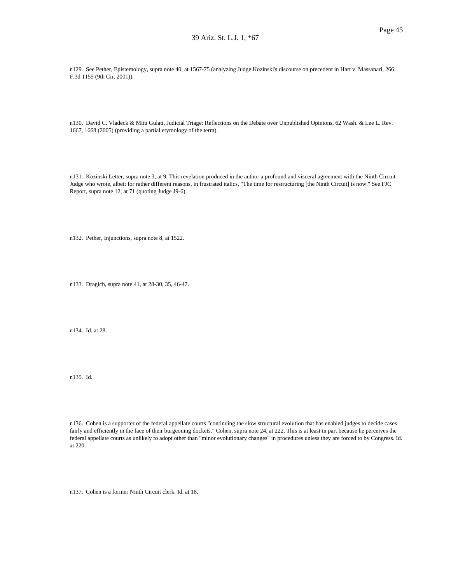n129. See Pether, Epistemology, supra note 40, at 1567-75 (analyzing Judge Kozinski's discourse on precedent in Hart v. Massanari, 266 F.3d 1155 (9th Cir. 2001)).

n130. David C. Vladeck & Mitu Gulati, Judicial Triage: Reflections on the Debate over Unpublished Opinions, 62 Wash. & Lee L. Rev. 1667, 1668 (2005) (providing a partial etymology of the term).

n131. Kozinski Letter, supra note 3, at 9. This revelation produced in the author a profound and visceral agreement with the Ninth Circuit Judge who wrote, albeit for rather different reasons, in frustrated italics, "The time for restructuring [the Ninth Circuit] is now." See FJC Report, supra note 12, at 71 (quoting Judge J9-6).

n132. Pether, Injunctions, supra note 8, at 1522.

n133. Dragich, supra note 41, at 28-30, 35, 46-47.

n134. Id. at 28.

n135. Id.

n136. Cohen is a supporter of the federal appellate courts "continuing the slow structural evolution that has enabled judges to decide cases fairly and efficiently in the face of their burgeoning dockets." Cohen, supra note 24, at 222. This is at least in part because he perceives the federal appellate courts as unlikely to adopt other than "minor evolutionary changes" in procedures unless they are forced to by Congress. Id. at 220.

n137. Cohen is a former Ninth Circuit clerk. Id. at 18.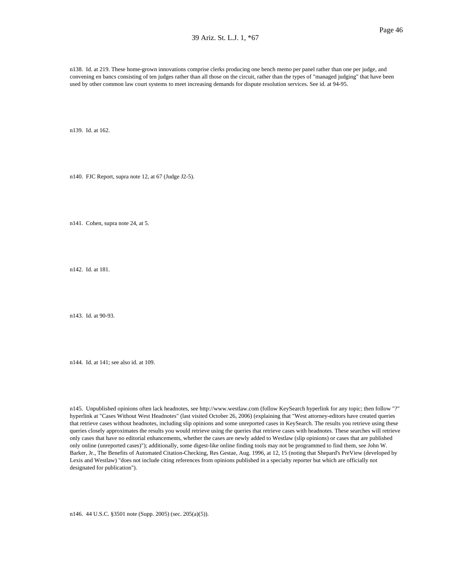n138. Id. at 219. These home-grown innovations comprise clerks producing one bench memo per panel rather than one per judge, and convening en bancs consisting of ten judges rather than all those on the circuit, rather than the types of "managed judging" that have been used by other common law court systems to meet increasing demands for dispute resolution services. See id. at 94-95.

n139. Id. at 162.

n140. FJC Report, supra note 12, at 67 (Judge J2-5).

n141. Cohen, supra note 24, at 5.

n142. Id. at 181.

n143. Id. at 90-93.

n144. Id. at 141; see also id. at 109.

n145. Unpublished opinions often lack headnotes, see http://www.westlaw.com (follow KeySearch hyperlink for any topic; then follow "?" hyperlink at "Cases Without West Headnotes" (last visited October 26, 2006) (explaining that "West attorney-editors have created queries that retrieve cases without headnotes, including slip opinions and some unreported cases in KeySearch. The results you retrieve using these queries closely approximates the results you would retrieve using the queries that retrieve cases with headnotes. These searches will retrieve only cases that have no editorial enhancements, whether the cases are newly added to Westlaw (slip opinions) or cases that are published only online (unreported cases)"); additionally, some digest-like online finding tools may not be programmed to find them, see John W. Barker, Jr., The Benefits of Automated Citation-Checking, Res Gestae, Aug. 1996, at 12, 15 (noting that Shepard's PreView (developed by Lexis and Westlaw) "does not include citing references from opinions published in a specialty reporter but which are officially not designated for publication").

n146. 44 U.S.C. §3501 note (Supp. 2005) (sec. 205(a)(5)).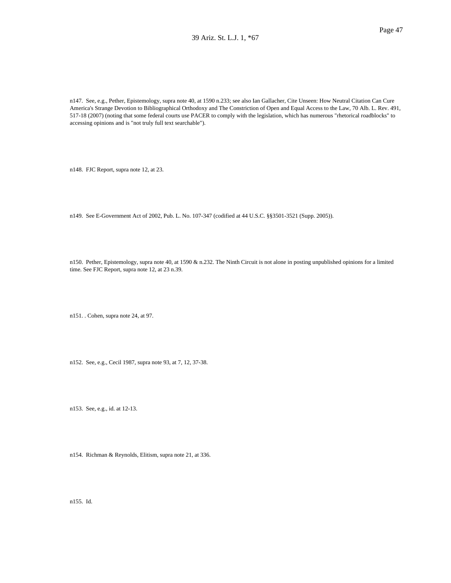n147. See, e.g., Pether, Epistemology, supra note 40, at 1590 n.233; see also Ian Gallacher, Cite Unseen: How Neutral Citation Can Cure America's Strange Devotion to Bibliographical Orthodoxy and The Constriction of Open and Equal Access to the Law, 70 Alb. L. Rev. 491, 517-18 (2007) (noting that some federal courts use PACER to comply with the legislation, which has numerous "rhetorical roadblocks" to accessing opinions and is "not truly full text searchable").

n148. FJC Report, supra note 12, at 23.

n149. See E-Government Act of 2002, Pub. L. No. 107-347 (codified at 44 U.S.C. §§3501-3521 (Supp. 2005)).

n150. Pether, Epistemology, supra note 40, at 1590 & n.232. The Ninth Circuit is not alone in posting unpublished opinions for a limited time. See FJC Report, supra note 12, at 23 n.39.

n151. . Cohen, supra note 24, at 97.

n152. See, e.g., Cecil 1987, supra note 93, at 7, 12, 37-38.

n153. See, e.g., id. at 12-13.

n154. Richman & Reynolds, Elitism, supra note 21, at 336.

n155. Id.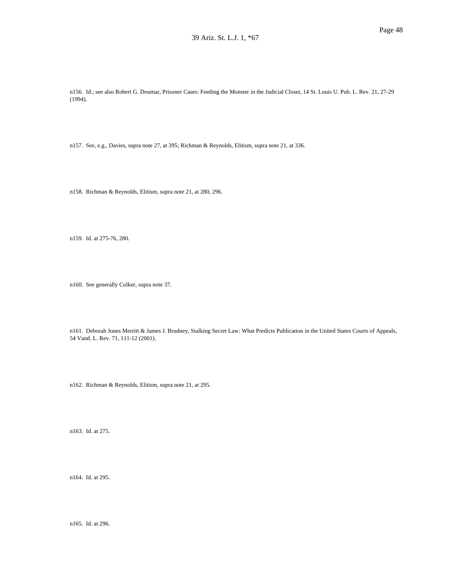n156. Id.; see also Robert G. Doumar, Prisoner Cases: Feeding the Monster in the Judicial Closet, 14 St. Louis U. Pub. L. Rev. 21, 27-29 (1994).

n157. See, e.g., Davies, supra note 27, at 395; Richman & Reynolds, Elitism, supra note 21, at 336.

n158. Richman & Reynolds, Elitism, supra note 21, at 280, 296.

n159. Id. at 275-76, 280.

n160. See generally Colker, supra note 37.

n161. Deborah Jones Merritt & James J. Brudney, Stalking Secret Law: What Predicts Publication in the United States Courts of Appeals, 54 Vand. L. Rev. 71, 111-12 (2001).

n162. Richman & Reynolds, Elitism, supra note 21, at 295.

n163. Id. at 275.

n164. Id. at 295.

n165. Id. at 296.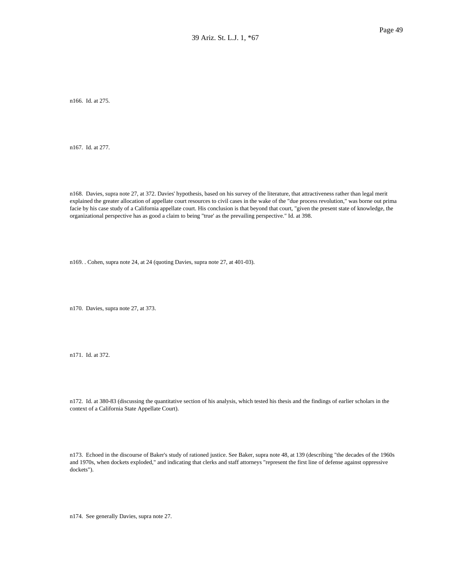n166. Id. at 275.

n167. Id. at 277.

n168. Davies, supra note 27, at 372. Davies' hypothesis, based on his survey of the literature, that attractiveness rather than legal merit explained the greater allocation of appellate court resources to civil cases in the wake of the "due process revolution," was borne out prima facie by his case study of a California appellate court. His conclusion is that beyond that court, "given the present state of knowledge, the organizational perspective has as good a claim to being "true' as the prevailing perspective." Id. at 398.

n169. . Cohen, supra note 24, at 24 (quoting Davies, supra note 27, at 401-03).

n170. Davies, supra note 27, at 373.

n171. Id. at 372.

n172. Id. at 380-83 (discussing the quantitative section of his analysis, which tested his thesis and the findings of earlier scholars in the context of a California State Appellate Court).

n173. Echoed in the discourse of Baker's study of rationed justice. See Baker, supra note 48, at 139 (describing "the decades of the 1960s and 1970s, when dockets exploded," and indicating that clerks and staff attorneys "represent the first line of defense against oppressive dockets").

n174. See generally Davies, supra note 27.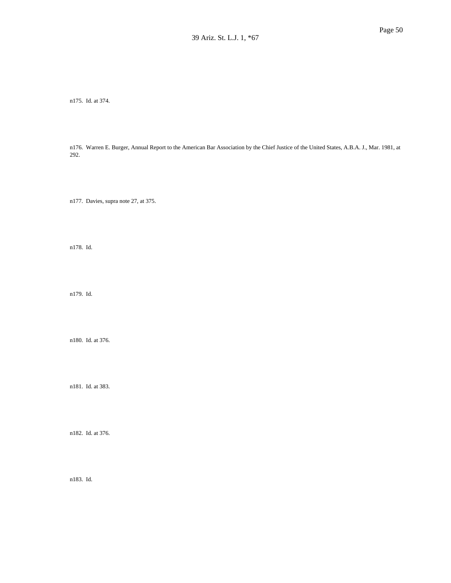n175. Id. at 374.

n176. Warren E. Burger, Annual Report to the American Bar Association by the Chief Justice of the United States, A.B.A. J., Mar. 1981, at 292.

n177. Davies, supra note 27, at 375.

n178. Id.

n179. Id.

n180. Id. at 376.

n181. Id. at 383.

n182. Id. at 376.

n183. Id.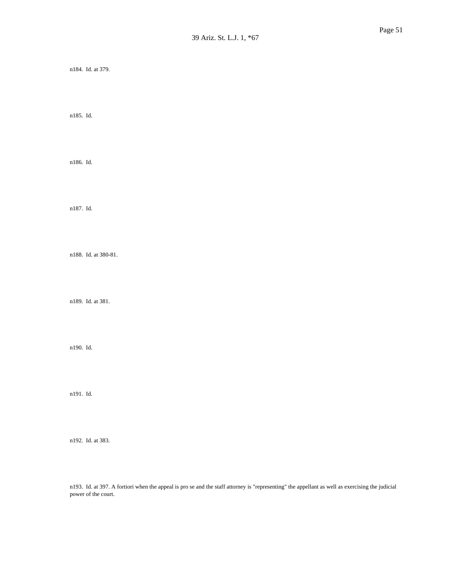n184. Id. at 379.

n185. Id.

n186. Id.

n187. Id.

n188. Id. at 380-81.

n189. Id. at 381.

n190. Id.

n191. Id.

n192. Id. at 383.

n193. Id. at 397. A fortiori when the appeal is pro se and the staff attorney is "representing" the appellant as well as exercising the judicial power of the court.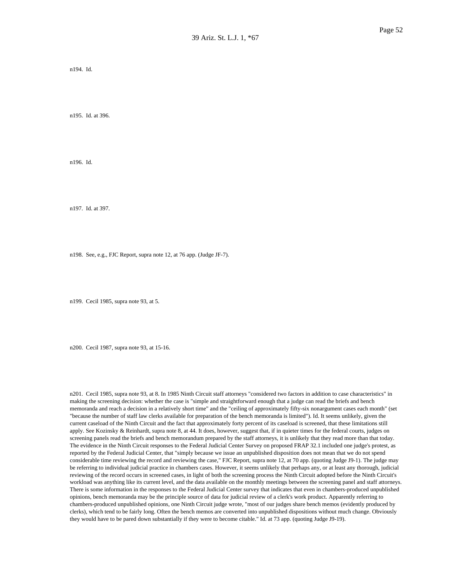n194. Id.

n195. Id. at 396.

n196. Id.

n197. Id. at 397.

n198. See, e.g., FJC Report, supra note 12, at 76 app. (Judge JF-7).

n199. Cecil 1985, supra note 93, at 5.

n200. Cecil 1987, supra note 93, at 15-16.

n201. Cecil 1985, supra note 93, at 8. In 1985 Ninth Circuit staff attorneys "considered two factors in addition to case characteristics" in making the screening decision: whether the case is "simple and straightforward enough that a judge can read the briefs and bench memoranda and reach a decision in a relatively short time" and the "ceiling of approximately fifty-six nonargument cases each month" (set "because the number of staff law clerks available for preparation of the bench memoranda is limited"). Id. It seems unlikely, given the current caseload of the Ninth Circuit and the fact that approximately forty percent of its caseload is screened, that these limitations still apply. See Kozinsky & Reinhardt, supra note 8, at 44. It does, however, suggest that, if in quieter times for the federal courts, judges on screening panels read the briefs and bench memorandum prepared by the staff attorneys, it is unlikely that they read more than that today. The evidence in the Ninth Circuit responses to the Federal Judicial Center Survey on proposed FRAP 32.1 included one judge's protest, as reported by the Federal Judicial Center, that "simply because we issue an unpublished disposition does not mean that we do not spend considerable time reviewing the record and reviewing the case," FJC Report, supra note 12, at 70 app. (quoting Judge J9-1). The judge may be referring to individual judicial practice in chambers cases. However, it seems unlikely that perhaps any, or at least any thorough, judicial reviewing of the record occurs in screened cases, in light of both the screening process the Ninth Circuit adopted before the Ninth Circuit's workload was anything like its current level, and the data available on the monthly meetings between the screening panel and staff attorneys. There is some information in the responses to the Federal Judicial Center survey that indicates that even in chambers-produced unpublished opinions, bench memoranda may be the principle source of data for judicial review of a clerk's work product. Apparently referring to chambers-produced unpublished opinions, one Ninth Circuit judge wrote, "most of our judges share bench memos (evidently produced by clerks), which tend to be fairly long. Often the bench memos are converted into unpublished dispositions without much change. Obviously they would have to be pared down substantially if they were to become citable." Id. at 73 app. (quoting Judge J9-19).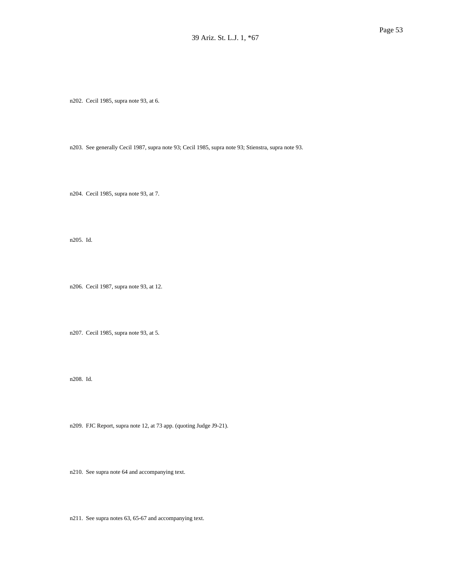n202. Cecil 1985, supra note 93, at 6.

n203. See generally Cecil 1987, supra note 93; Cecil 1985, supra note 93; Stienstra, supra note 93.

n204. Cecil 1985, supra note 93, at 7.

n205. Id.

n206. Cecil 1987, supra note 93, at 12.

n207. Cecil 1985, supra note 93, at 5.

n208. Id.

n209. FJC Report, supra note 12, at 73 app. (quoting Judge J9-21).

n210. See supra note 64 and accompanying text.

n211. See supra notes 63, 65-67 and accompanying text.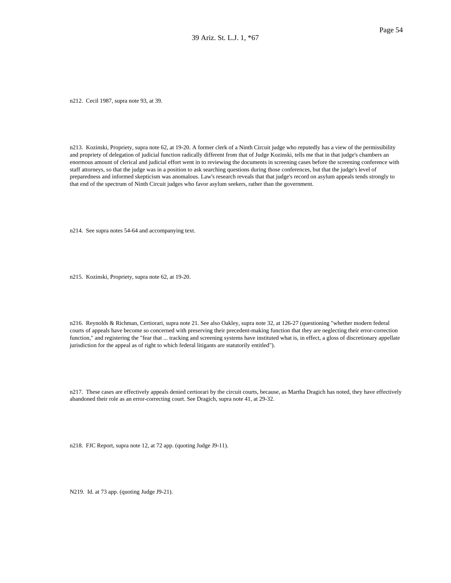n212. Cecil 1987, supra note 93, at 39.

n213. Kozinski, Propriety, supra note 62, at 19-20. A former clerk of a Ninth Circuit judge who reputedly has a view of the permissibility and propriety of delegation of judicial function radically different from that of Judge Kozinski, tells me that in that judge's chambers an enormous amount of clerical and judicial effort went in to reviewing the documents in screening cases before the screening conference with staff attorneys, so that the judge was in a position to ask searching questions during those conferences, but that the judge's level of preparedness and informed skepticism was anomalous. Law's research reveals that that judge's record on asylum appeals tends strongly to that end of the spectrum of Ninth Circuit judges who favor asylum seekers, rather than the government.

n214. See supra notes 54-64 and accompanying text.

n215. Kozinski, Propriety, supra note 62, at 19-20.

n216. Reynolds & Richman, Certiorari, supra note 21. See also Oakley, supra note 32, at 126-27 (questioning "whether modern federal courts of appeals have become so concerned with preserving their precedent-making function that they are neglecting their error-correction function," and registering the "fear that ... tracking and screening systems have instituted what is, in effect, a gloss of discretionary appellate jurisdiction for the appeal as of right to which federal litigants are statutorily entitled").

n217. These cases are effectively appeals denied certiorari by the circuit courts, because, as Martha Dragich has noted, they have effectively abandoned their role as an error-correcting court. See Dragich, supra note 41, at 29-32.

n218. FJC Report, supra note 12, at 72 app. (quoting Judge J9-11).

N219. Id. at 73 app. (quoting Judge J9-21).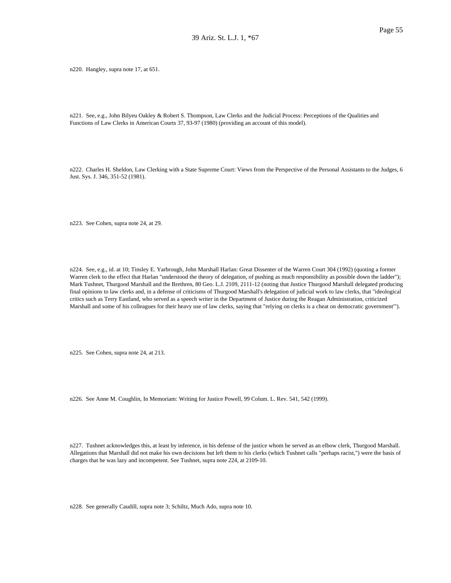n220. Hangley, supra note 17, at 651.

n221. See, e.g., John Bilyeu Oakley & Robert S. Thompson, Law Clerks and the Judicial Process: Perceptions of the Qualities and Functions of Law Clerks in American Courts 37, 93-97 (1980) (providing an account of this model).

n222. Charles H. Sheldon, Law Clerking with a State Supreme Court: Views from the Perspective of the Personal Assistants to the Judges, 6 Just. Sys. J. 346, 351-52 (1981).

n223. See Cohen, supra note 24, at 29.

n224. See, e.g., id. at 10; Tinsley E. Yarbrough, John Marshall Harlan: Great Dissenter of the Warren Court 304 (1992) (quoting a former Warren clerk to the effect that Harlan "understood the theory of delegation, of pushing as much responsibility as possible down the ladder"); Mark Tushnet, Thurgood Marshall and the Brethren, 80 Geo. L.J. 2109, 2111-12 (noting that Justice Thurgood Marshall delegated producing final opinions to law clerks and, in a defense of criticisms of Thurgood Marshall's delegation of judicial work to law clerks, that "ideological critics such as Terry Eastland, who served as a speech writer in the Department of Justice during the Reagan Administration, criticized Marshall and some of his colleagues for their heavy use of law clerks, saying that "relying on clerks is a cheat on democratic government'").

n225. See Cohen, supra note 24, at 213.

n226. See Anne M. Coughlin, In Memoriam: Writing for Justice Powell, 99 Colum. L. Rev. 541, 542 (1999).

n227. Tushnet acknowledges this, at least by inference, in his defense of the justice whom he served as an elbow clerk, Thurgood Marshall. Allegations that Marshall did not make his own decisions but left them to his clerks (which Tushnet calls "perhaps racist,") were the basis of charges that he was lazy and incompetent. See Tushnet, supra note 224, at 2109-10.

n228. See generally Caudill, supra note 3; Schiltz, Much Ado, supra note 10.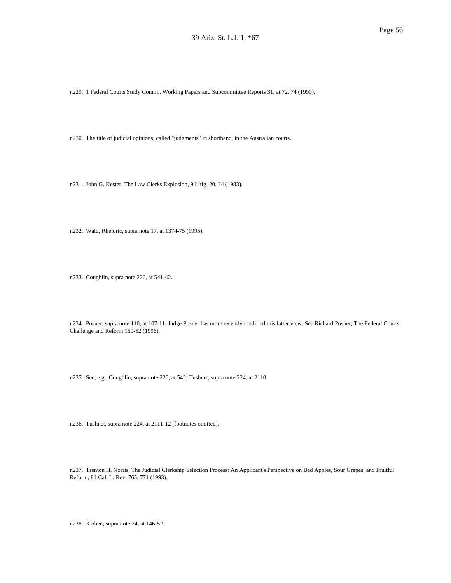n229. 1 Federal Courts Study Comm., Working Papers and Subcommittee Reports 31, at 72, 74 (1990).

n230. The title of judicial opinions, called "judgments" in shorthand, in the Australian courts.

n231. John G. Kester, The Law Clerks Explosion, 9 Litig. 20, 24 (1983).

n232. Wald, Rhetoric, supra note 17, at 1374-75 (1995).

n233. Coughlin, supra note 226, at 541-42.

n234. Posner, supra note 110, at 107-11. Judge Posner has more recently modified this latter view. See Richard Posner, The Federal Courts: Challenge and Reform 150-52 (1996).

n235. See, e.g., Coughlin, supra note 226, at 542; Tushnet, supra note 224, at 2110.

n236. Tushnet, supra note 224, at 2111-12 (footnotes omitted).

n237. Trenton H. Norris, The Judicial Clerkship Selection Process: An Applicant's Perspective on Bad Apples, Sour Grapes, and Fruitful Reform, 81 Cal. L. Rev. 765, 771 (1993).

n238. . Cohen, supra note 24, at 146-52.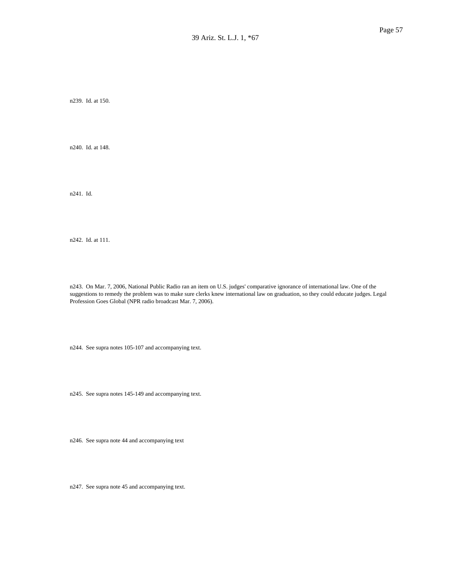n239. Id. at 150.

n240. Id. at 148.

n241. Id.

n242. Id. at 111.

n243. On Mar. 7, 2006, National Public Radio ran an item on U.S. judges' comparative ignorance of international law. One of the suggestions to remedy the problem was to make sure clerks knew international law on graduation, so they could educate judges. Legal Profession Goes Global (NPR radio broadcast Mar. 7, 2006).

n244. See supra notes 105-107 and accompanying text.

n245. See supra notes 145-149 and accompanying text.

n246. See supra note 44 and accompanying text

n247. See supra note 45 and accompanying text.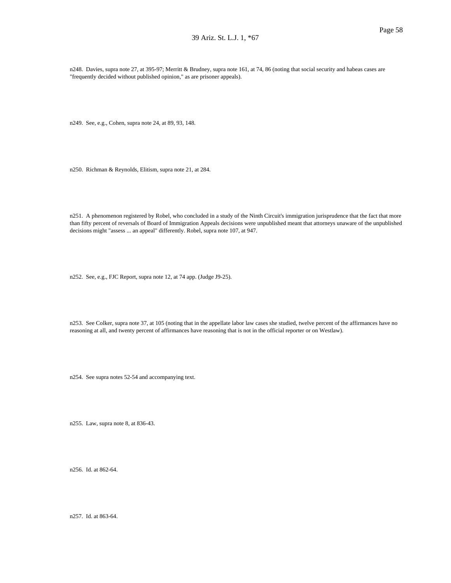n248. Davies, supra note 27, at 395-97; Merritt & Brudney, supra note 161, at 74, 86 (noting that social security and habeas cases are "frequently decided without published opinion," as are prisoner appeals).

n249. See, e.g., Cohen, supra note 24, at 89, 93, 148.

n250. Richman & Reynolds, Elitism, supra note 21, at 284.

n251. A phenomenon registered by Robel, who concluded in a study of the Ninth Circuit's immigration jurisprudence that the fact that more than fifty percent of reversals of Board of Immigration Appeals decisions were unpublished meant that attorneys unaware of the unpublished decisions might "assess ... an appeal" differently. Robel, supra note 107, at 947.

n252. See, e.g., FJC Report, supra note 12, at 74 app. (Judge J9-25).

n253. See Colker, supra note 37, at 105 (noting that in the appellate labor law cases she studied, twelve percent of the affirmances have no reasoning at all, and twenty percent of affirmances have reasoning that is not in the official reporter or on Westlaw).

n254. See supra notes 52-54 and accompanying text.

n255. Law, supra note 8, at 836-43.

n256. Id. at 862-64.

n257. Id. at 863-64.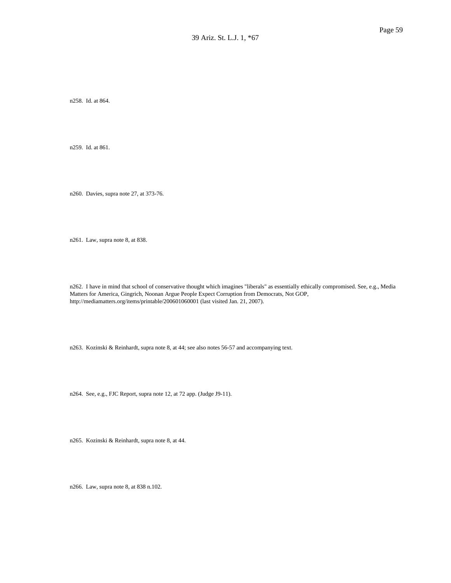n258. Id. at 864.

n259. Id. at 861.

n260. Davies, supra note 27, at 373-76.

n261. Law, supra note 8, at 838.

n262. I have in mind that school of conservative thought which imagines "liberals" as essentially ethically compromised. See, e.g., Media Matters for America, Gingrich, Noonan Argue People Expect Corruption from Democrats, Not GOP, http://mediamatters.org/items/printable/200601060001 (last visited Jan. 21, 2007).

n263. Kozinski & Reinhardt, supra note 8, at 44; see also notes 56-57 and accompanying text.

n264. See, e.g., FJC Report, supra note 12, at 72 app. (Judge J9-11).

n265. Kozinski & Reinhardt, supra note 8, at 44.

n266. Law, supra note 8, at 838 n.102.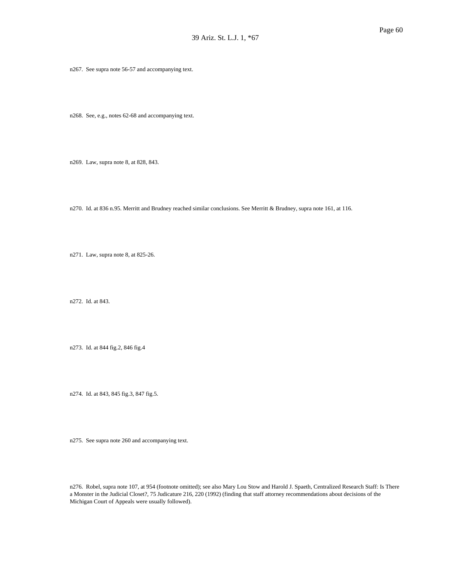n267. See supra note 56-57 and accompanying text.

n268. See, e.g., notes 62-68 and accompanying text.

n269. Law, supra note 8, at 828, 843.

n270. Id. at 836 n.95. Merritt and Brudney reached similar conclusions. See Merritt & Brudney, supra note 161, at 116.

n271. Law, supra note 8, at 825-26.

n272. Id. at 843.

n273. Id. at 844 fig.2, 846 fig.4

n274. Id. at 843, 845 fig.3, 847 fig.5.

n275. See supra note 260 and accompanying text.

n276. Robel, supra note 107, at 954 (footnote omitted); see also Mary Lou Stow and Harold J. Spaeth, Centralized Research Staff: Is There a Monster in the Judicial Closet?, 75 Judicature 216, 220 (1992) (finding that staff attorney recommendations about decisions of the Michigan Court of Appeals were usually followed).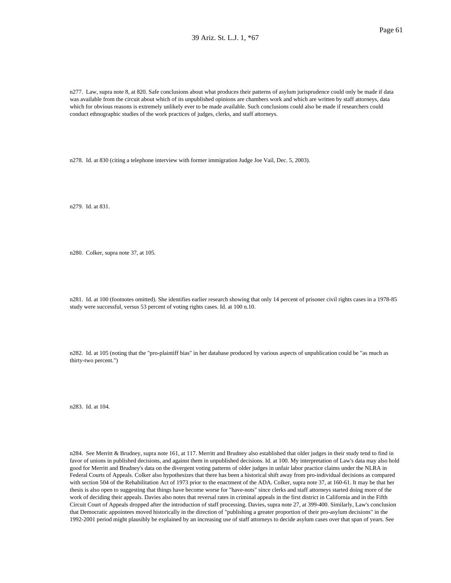n277. Law, supra note 8, at 820. Safe conclusions about what produces their patterns of asylum jurisprudence could only be made if data was available from the circuit about which of its unpublished opinions are chambers work and which are written by staff attorneys, data which for obvious reasons is extremely unlikely ever to be made available. Such conclusions could also be made if researchers could conduct ethnographic studies of the work practices of judges, clerks, and staff attorneys.

n278. Id. at 830 (citing a telephone interview with former immigration Judge Joe Vail, Dec. 5, 2003).

n279. Id. at 831.

n280. Colker, supra note 37, at 105.

n281. Id. at 100 (footnotes omitted). She identifies earlier research showing that only 14 percent of prisoner civil rights cases in a 1978-85 study were successful, versus 53 percent of voting rights cases. Id. at 100 n.10.

n282. Id. at 105 (noting that the "pro-plaintiff bias" in her database produced by various aspects of unpublication could be "as much as thirty-two percent.")

n283. Id. at 104.

n284. See Merritt & Brudney, supra note 161, at 117. Merritt and Brudney also established that older judges in their study tend to find in favor of unions in published decisions, and against them in unpublished decisions. Id. at 100. My interpretation of Law's data may also hold good for Merritt and Brudney's data on the divergent voting patterns of older judges in unfair labor practice claims under the NLRA in Federal Courts of Appeals. Colker also hypothesizes that there has been a historical shift away from pro-individual decisions as compared with section 504 of the Rehabilitation Act of 1973 prior to the enactment of the ADA. Colker, supra note 37, at 160-61. It may be that her thesis is also open to suggesting that things have become worse for "have-nots" since clerks and staff attorneys started doing more of the work of deciding their appeals. Davies also notes that reversal rates in criminal appeals in the first district in California and in the Fifth Circuit Court of Appeals dropped after the introduction of staff processing. Davies, supra note 27, at 399-400. Similarly, Law's conclusion that Democratic appointees moved historically in the direction of "publishing a greater proportion of their pro-asylum decisions" in the 1992-2001 period might plausibly be explained by an increasing use of staff attorneys to decide asylum cases over that span of years. See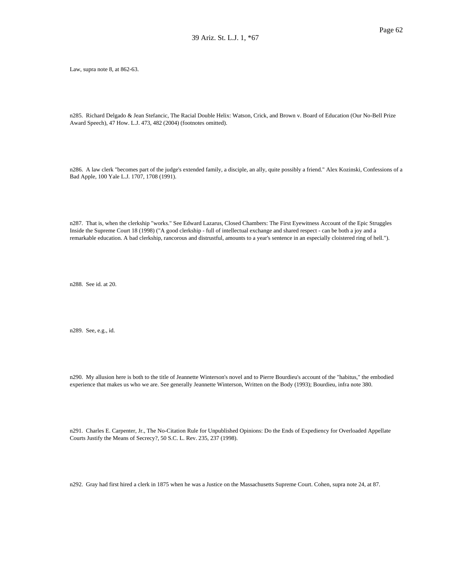Law, supra note 8, at 862-63.

n285. Richard Delgado & Jean Stefancic, The Racial Double Helix: Watson, Crick, and Brown v. Board of Education (Our No-Bell Prize Award Speech), 47 How. L.J. 473, 482 (2004) (footnotes omitted).

n286. A law clerk "becomes part of the judge's extended family, a disciple, an ally, quite possibly a friend." Alex Kozinski, Confessions of a Bad Apple, 100 Yale L.J. 1707, 1708 (1991).

n287. That is, when the clerkship "works." See Edward Lazarus, Closed Chambers: The First Eyewitness Account of the Epic Struggles Inside the Supreme Court 18 (1998) ("A good clerkship - full of intellectual exchange and shared respect - can be both a joy and a remarkable education. A bad clerkship, rancorous and distrustful, amounts to a year's sentence in an especially cloistered ring of hell.").

n288. See id. at 20.

n289. See, e.g., id.

n290. My allusion here is both to the title of Jeannette Winterson's novel and to Pierre Bourdieu's account of the "habitus," the embodied experience that makes us who we are. See generally Jeannette Winterson, Written on the Body (1993); Bourdieu, infra note 380.

n291. Charles E. Carpenter, Jr., The No-Citation Rule for Unpublished Opinions: Do the Ends of Expediency for Overloaded Appellate Courts Justify the Means of Secrecy?, 50 S.C. L. Rev. 235, 237 (1998).

n292. Gray had first hired a clerk in 1875 when he was a Justice on the Massachusetts Supreme Court. Cohen, supra note 24, at 87.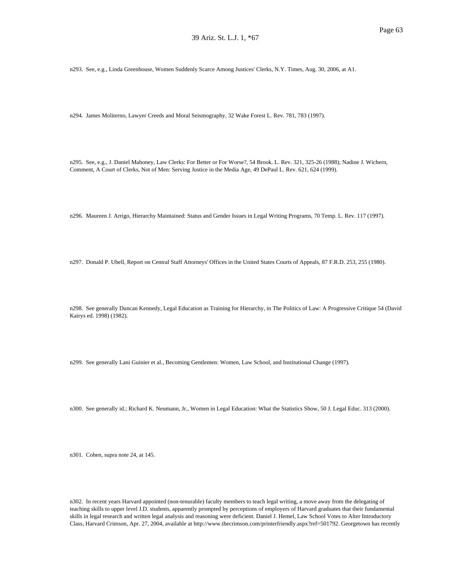n293. See, e.g., Linda Greenhouse, Women Suddenly Scarce Among Justices' Clerks, N.Y. Times, Aug. 30, 2006, at A1.

n294. James Moliterno, Lawyer Creeds and Moral Seismography, 32 Wake Forest L. Rev. 781, 783 (1997).

n295. See, e.g., J. Daniel Mahoney, Law Clerks: For Better or For Worse?, 54 Brook. L. Rev. 321, 325-26 (1988); Nadine J. Wichern, Comment, A Court of Clerks, Not of Men: Serving Justice in the Media Age, 49 DePaul L. Rev. 621, 624 (1999).

n296. Maureen J. Arrigo, Hierarchy Maintained: Status and Gender Issues in Legal Writing Programs, 70 Temp. L. Rev. 117 (1997).

n297. Donald P. Ubell, Report on Central Staff Attorneys' Offices in the United States Courts of Appeals, 87 F.R.D. 253, 255 (1980).

n298. See generally Duncan Kennedy, Legal Education as Training for Hierarchy, in The Politics of Law: A Progressive Critique 54 (David Kairys ed. 1998) (1982).

n299. See generally Lani Guinier et al., Becoming Gentlemen: Women, Law School, and Institutional Change (1997).

n300. See generally id.; Richard K. Neumann, Jr., Women in Legal Education: What the Statistics Show, 50 J. Legal Educ. 313 (2000).

n301. Cohen, supra note 24, at 145.

n302. In recent years Harvard appointed (non-tenurable) faculty members to teach legal writing, a move away from the delegating of teaching skills to upper level J.D. students, apparently prompted by perceptions of employers of Harvard graduates that their fundamental skills in legal research and written legal analysis and reasoning were deficient. Daniel J. Hemel, Law School Votes to Alter Introductory Class, Harvard Crimson, Apr. 27, 2004, available at http://www.thecrimson.com/printerfriendly.aspx?ref=501792. Georgetown has recently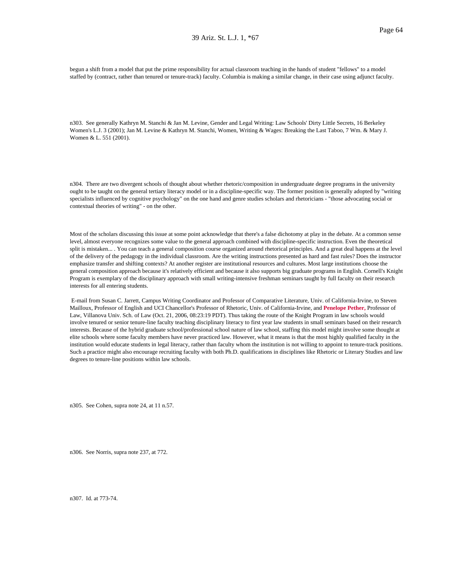begun a shift from a model that put the prime responsibility for actual classroom teaching in the hands of student "fellows" to a model staffed by (contract, rather than tenured or tenure-track) faculty. Columbia is making a similar change, in their case using adjunct faculty.

n303. See generally Kathryn M. Stanchi & Jan M. Levine, Gender and Legal Writing: Law Schools' Dirty Little Secrets, 16 Berkeley Women's L.J. 3 (2001); Jan M. Levine & Kathryn M. Stanchi, Women, Writing & Wages: Breaking the Last Taboo, 7 Wm. & Mary J. Women & L. 551 (2001).

n304. There are two divergent schools of thought about whether rhetoric/composition in undergraduate degree programs in the university ought to be taught on the general tertiary literacy model or in a discipline-specific way. The former position is generally adopted by "writing specialists influenced by cognitive psychology" on the one hand and genre studies scholars and rhetoricians - "those advocating social or contextual theories of writing" - on the other.

Most of the scholars discussing this issue at some point acknowledge that there's a false dichotomy at play in the debate. At a common sense level, almost everyone recognizes some value to the general approach combined with discipline-specific instruction. Even the theoretical split is mistaken... . You can teach a general composition course organized around rhetorical principles. And a great deal happens at the level of the delivery of the pedagogy in the individual classroom. Are the writing instructions presented as hard and fast rules? Does the instructor emphasize transfer and shifting contexts? At another register are institutional resources and cultures. Most large institutions choose the general composition approach because it's relatively efficient and because it also supports big graduate programs in English. Cornell's Knight Program is exemplary of the disciplinary approach with small writing-intensive freshman seminars taught by full faculty on their research interests for all entering students.

E-mail from Susan C. Jarrett, Campus Writing Coordinator and Professor of Comparative Literature, Univ. of California-Irvine, to Steven Mailloux, Professor of English and UCI Chancellor's Professor of Rhetoric, Univ. of California-Irvine, and **Penelope Pether,** Professor of Law, Villanova Univ. Sch. of Law (Oct. 21, 2006, 08:23:19 PDT). Thus taking the route of the Knight Program in law schools would involve tenured or senior tenure-line faculty teaching disciplinary literacy to first year law students in small seminars based on their research interests. Because of the hybrid graduate school/professional school nature of law school, staffing this model might involve some thought at elite schools where some faculty members have never practiced law. However, what it means is that the most highly qualified faculty in the institution would educate students in legal literacy, rather than faculty whom the institution is not willing to appoint to tenure-track positions. Such a practice might also encourage recruiting faculty with both Ph.D. qualifications in disciplines like Rhetoric or Literary Studies and law degrees to tenure-line positions within law schools.

n305. See Cohen, supra note 24, at 11 n.57.

n306. See Norris, supra note 237, at 772.

n307. Id. at 773-74.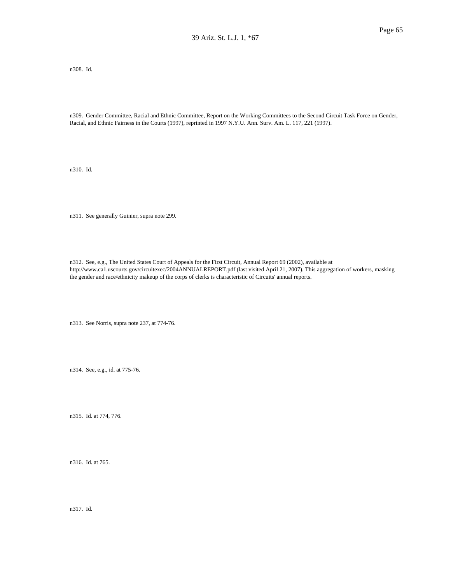n308. Id.

n309. Gender Committee, Racial and Ethnic Committee, Report on the Working Committees to the Second Circuit Task Force on Gender, Racial, and Ethnic Fairness in the Courts (1997), reprinted in 1997 N.Y.U. Ann. Surv. Am. L. 117, 221 (1997).

n310. Id.

n311. See generally Guinier, supra note 299.

n312. See, e.g., The United States Court of Appeals for the First Circuit, Annual Report 69 (2002), available at http://www.ca1.uscourts.gov/circuitexec/2004ANNUALREPORT.pdf (last visited April 21, 2007). This aggregation of workers, masking the gender and race/ethnicity makeup of the corps of clerks is characteristic of Circuits' annual reports.

n313. See Norris, supra note 237, at 774-76.

n314. See, e.g., id. at 775-76.

n315. Id. at 774, 776.

n316. Id. at 765.

n317. Id.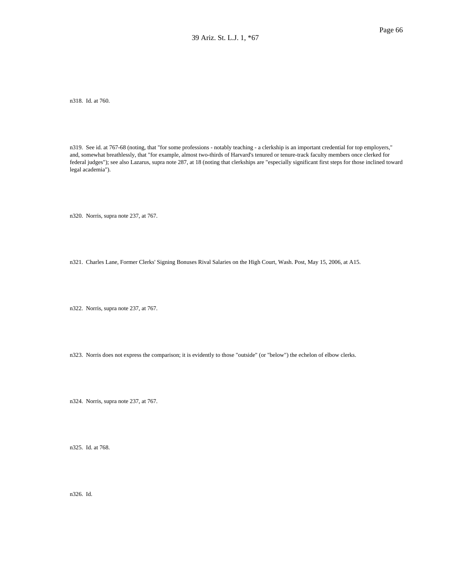n318. Id. at 760.

n319. See id. at 767-68 (noting, that "for some professions - notably teaching - a clerkship is an important credential for top employers," and, somewhat breathlessly, that "for example, almost two-thirds of Harvard's tenured or tenure-track faculty members once clerked for federal judges"); see also Lazarus, supra note 287, at 18 (noting that clerkships are "especially significant first steps for those inclined toward legal academia").

n320. Norris, supra note 237, at 767.

n321. Charles Lane, Former Clerks' Signing Bonuses Rival Salaries on the High Court, Wash. Post, May 15, 2006, at A15.

n322. Norris, supra note 237, at 767.

n323. Norris does not express the comparison; it is evidently to those "outside" (or "below") the echelon of elbow clerks.

n324. Norris, supra note 237, at 767.

n325. Id. at 768.

n326. Id.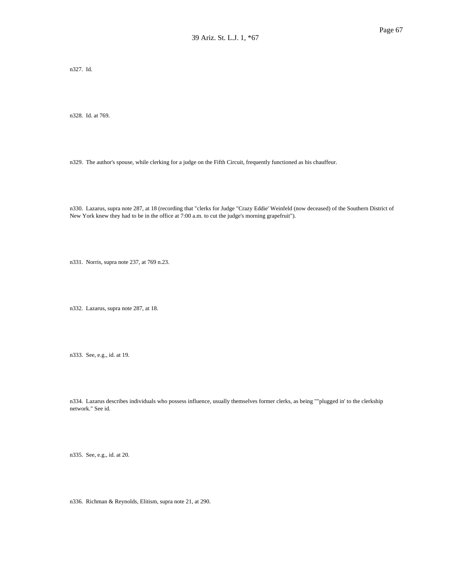n327. Id.

n328. Id. at 769.

n329. The author's spouse, while clerking for a judge on the Fifth Circuit, frequently functioned as his chauffeur.

n330. Lazarus, supra note 287, at 18 (recording that "clerks for Judge "Crazy Eddie' Weinfeld (now deceased) of the Southern District of New York knew they had to be in the office at 7:00 a.m. to cut the judge's morning grapefruit").

n331. Norris, supra note 237, at 769 n.23.

n332. Lazarus, supra note 287, at 18.

n333. See, e.g., id. at 19.

n334. Lazarus describes individuals who possess influence, usually themselves former clerks, as being ""plugged in' to the clerkship network." See id.

n335. See, e.g., id. at 20.

n336. Richman & Reynolds, Elitism, supra note 21, at 290.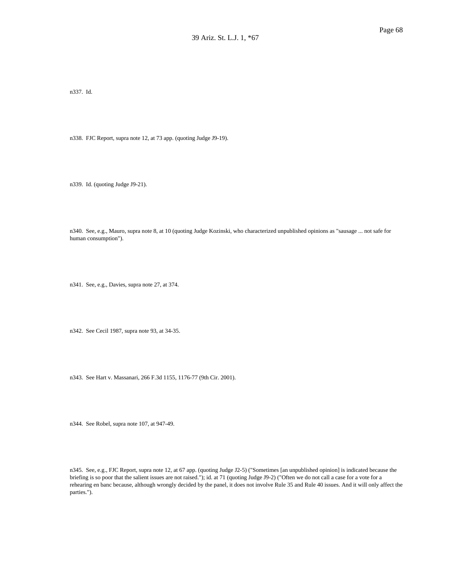n337. Id.

n338. FJC Report, supra note 12, at 73 app. (quoting Judge J9-19).

n339. Id. (quoting Judge J9-21).

n340. See, e.g., Mauro, supra note 8, at 10 (quoting Judge Kozinski, who characterized unpublished opinions as "sausage ... not safe for human consumption").

n341. See, e.g., Davies, supra note 27, at 374.

n342. See Cecil 1987, supra note 93, at 34-35.

n343. See Hart v. Massanari, 266 F.3d 1155, 1176-77 (9th Cir. 2001).

n344. See Robel, supra note 107, at 947-49.

n345. See, e.g., FJC Report, supra note 12, at 67 app. (quoting Judge J2-5) ("Sometimes [an unpublished opinion] is indicated because the briefing is so poor that the salient issues are not raised."); id. at 71 (quoting Judge J9-2) ("Often we do not call a case for a vote for a rehearing en banc because, although wrongly decided by the panel, it does not involve Rule 35 and Rule 40 issues. And it will only affect the parties.").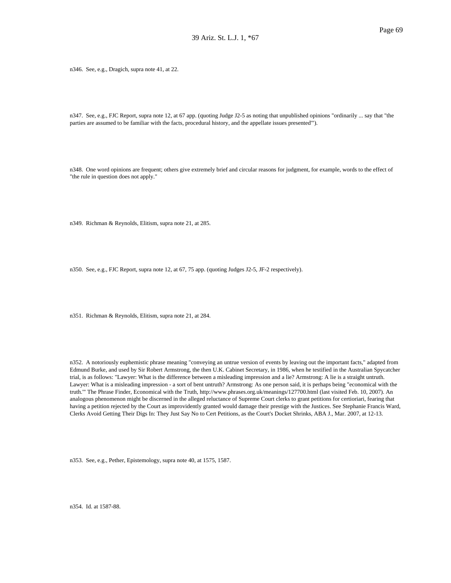n346. See, e.g., Dragich, supra note 41, at 22.

n347. See, e.g., FJC Report, supra note 12, at 67 app. (quoting Judge J2-5 as noting that unpublished opinions "ordinarily ... say that "the parties are assumed to be familiar with the facts, procedural history, and the appellate issues presented'").

n348. One word opinions are frequent; others give extremely brief and circular reasons for judgment, for example, words to the effect of "the rule in question does not apply."

n349. Richman & Reynolds, Elitism, supra note 21, at 285.

n350. See, e.g., FJC Report, supra note 12, at 67, 75 app. (quoting Judges J2-5, JF-2 respectively).

n351. Richman & Reynolds, Elitism, supra note 21, at 284.

n352. A notoriously euphemistic phrase meaning "conveying an untrue version of events by leaving out the important facts," adapted from Edmund Burke, and used by Sir Robert Armstrong, the then U.K. Cabinet Secretary, in 1986, when he testified in the Australian Spycatcher trial, is as follows: "Lawyer: What is the difference between a misleading impression and a lie? Armstrong: A lie is a straight untruth. Lawyer: What is a misleading impression - a sort of bent untruth? Armstrong: As one person said, it is perhaps being "economical with the truth.'" The Phrase Finder, Economical with the Truth, http://www.phrases.org.uk/meanings/127700.html (last visited Feb. 10, 2007). An analogous phenomenon might be discerned in the alleged reluctance of Supreme Court clerks to grant petitions for certioriari, fearing that having a petition rejected by the Court as improvidently granted would damage their prestige with the Justices. See Stephanie Francis Ward, Clerks Avoid Getting Their Digs In: They Just Say No to Cert Petitions, as the Court's Docket Shrinks, ABA J., Mar. 2007, at 12-13.

n353. See, e.g., Pether, Epistemology, supra note 40, at 1575, 1587.

n354. Id. at 1587-88.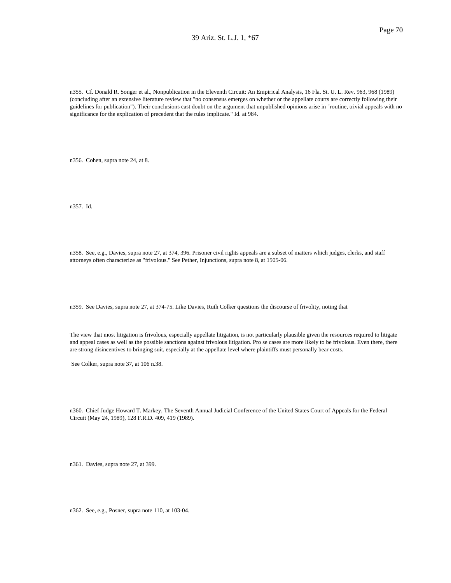n355. Cf. Donald R. Songer et al., Nonpublication in the Eleventh Circuit: An Empirical Analysis, 16 Fla. St. U. L. Rev. 963, 968 (1989) (concluding after an extensive literature review that "no consensus emerges on whether or the appellate courts are correctly following their guidelines for publication"). Their conclusions cast doubt on the argument that unpublished opinions arise in "routine, trivial appeals with no significance for the explication of precedent that the rules implicate." Id. at 984.

n356. Cohen, supra note 24, at 8.

n357. Id.

n358. See, e.g., Davies, supra note 27, at 374, 396. Prisoner civil rights appeals are a subset of matters which judges, clerks, and staff attorneys often characterize as "frivolous." See Pether, Injunctions, supra note 8, at 1505-06.

n359. See Davies, supra note 27, at 374-75. Like Davies, Ruth Colker questions the discourse of frivolity, noting that

The view that most litigation is frivolous, especially appellate litigation, is not particularly plausible given the resources required to litigate and appeal cases as well as the possible sanctions against frivolous litigation. Pro se cases are more likely to be frivolous. Even there, there are strong disincentives to bringing suit, especially at the appellate level where plaintiffs must personally bear costs.

See Colker, supra note 37, at 106 n.38.

n360. Chief Judge Howard T. Markey, The Seventh Annual Judicial Conference of the United States Court of Appeals for the Federal Circuit (May 24, 1989), 128 F.R.D. 409, 419 (1989).

n361. Davies, supra note 27, at 399.

n362. See, e.g., Posner, supra note 110, at 103-04.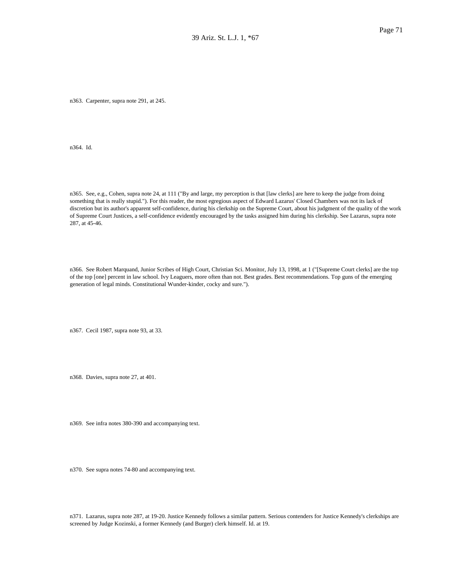n363. Carpenter, supra note 291, at 245.

n364. Id.

n365. See, e.g., Cohen, supra note 24, at 111 ("By and large, my perception is that [law clerks] are here to keep the judge from doing something that is really stupid."). For this reader, the most egregious aspect of Edward Lazarus' Closed Chambers was not its lack of discretion but its author's apparent self-confidence, during his clerkship on the Supreme Court, about his judgment of the quality of the work of Supreme Court Justices, a self-confidence evidently encouraged by the tasks assigned him during his clerkship. See Lazarus, supra note 287, at 45-46.

n366. See Robert Marquand, Junior Scribes of High Court, Christian Sci. Monitor, July 13, 1998, at 1 ("[Supreme Court clerks] are the top of the top [one] percent in law school. Ivy Leaguers, more often than not. Best grades. Best recommendations. Top guns of the emerging generation of legal minds. Constitutional Wunder-kinder, cocky and sure.").

n367. Cecil 1987, supra note 93, at 33.

n368. Davies, supra note 27, at 401.

n369. See infra notes 380-390 and accompanying text.

n370. See supra notes 74-80 and accompanying text.

n371. Lazarus, supra note 287, at 19-20. Justice Kennedy follows a similar pattern. Serious contenders for Justice Kennedy's clerkships are screened by Judge Kozinski, a former Kennedy (and Burger) clerk himself. Id. at 19.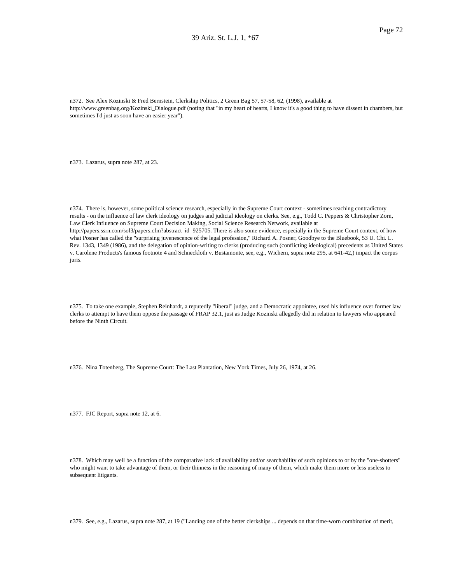n372. See Alex Kozinski & Fred Bernstein, Clerkship Politics, 2 Green Bag 57, 57-58, 62, (1998), available at http://www.greenbag.org/Kozinski\_Dialogue.pdf (noting that "in my heart of hearts, I know it's a good thing to have dissent in chambers, but sometimes I'd just as soon have an easier year").

n373. Lazarus, supra note 287, at 23.

n374. There is, however, some political science research, especially in the Supreme Court context - sometimes reaching contradictory results - on the influence of law clerk ideology on judges and judicial ideology on clerks. See, e.g., Todd C. Peppers & Christopher Zorn, Law Clerk Influence on Supreme Court Decision Making, Social Science Research Network, available at http://papers.ssrn.com/sol3/papers.cfm?abstract\_id=925705. There is also some evidence, especially in the Supreme Court context, of how what Posner has called the "surprising juvenescence of the legal profession," Richard A. Posner, Goodbye to the Bluebook, 53 U. Chi. L. Rev. 1343, 1349 (1986), and the delegation of opinion-writing to clerks (producing such (conflicting ideological) precedents as United States v. Carolene Products's famous footnote 4 and Schneckloth v. Bustamonte, see, e.g., Wichern, supra note 295, at 641-42,) impact the corpus juris.

n375. To take one example, Stephen Reinhardt, a reputedly "liberal" judge, and a Democratic appointee, used his influence over former law clerks to attempt to have them oppose the passage of FRAP 32.1, just as Judge Kozinski allegedly did in relation to lawyers who appeared before the Ninth Circuit.

n376. Nina Totenberg, The Supreme Court: The Last Plantation, New York Times, July 26, 1974, at 26.

n377. FJC Report, supra note 12, at 6.

n378. Which may well be a function of the comparative lack of availability and/or searchability of such opinions to or by the "one-shotters" who might want to take advantage of them, or their thinness in the reasoning of many of them, which make them more or less useless to subsequent litigants.

n379. See, e.g., Lazarus, supra note 287, at 19 ("Landing one of the better clerkships ... depends on that time-worn combination of merit,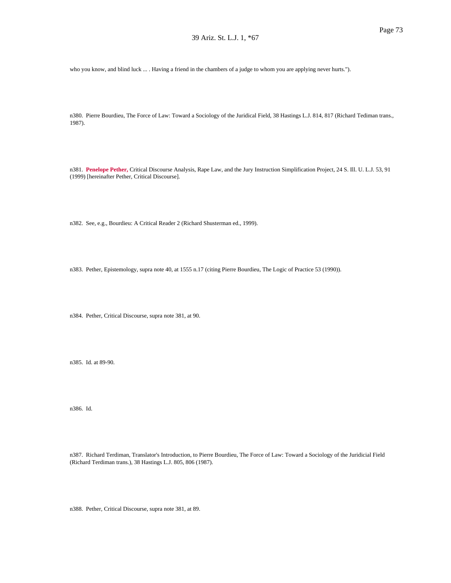who you know, and blind luck ... . Having a friend in the chambers of a judge to whom you are applying never hurts.").

n380. Pierre Bourdieu, The Force of Law: Toward a Sociology of the Juridical Field, 38 Hastings L.J. 814, 817 (Richard Tediman trans., 1987).

n381. **Penelope Pether,** Critical Discourse Analysis, Rape Law, and the Jury Instruction Simplification Project, 24 S. Ill. U. L.J. 53, 91 (1999) [hereinafter Pether, Critical Discourse].

n382. See, e.g., Bourdieu: A Critical Reader 2 (Richard Shusterman ed., 1999).

n383. Pether, Epistemology, supra note 40, at 1555 n.17 (citing Pierre Bourdieu, The Logic of Practice 53 (1990)).

n384. Pether, Critical Discourse, supra note 381, at 90.

n385. Id. at 89-90.

n386. Id.

n387. Richard Terdiman, Translator's Introduction, to Pierre Bourdieu, The Force of Law: Toward a Sociology of the Juridicial Field (Richard Terdiman trans.), 38 Hastings L.J. 805, 806 (1987).

n388. Pether, Critical Discourse, supra note 381, at 89.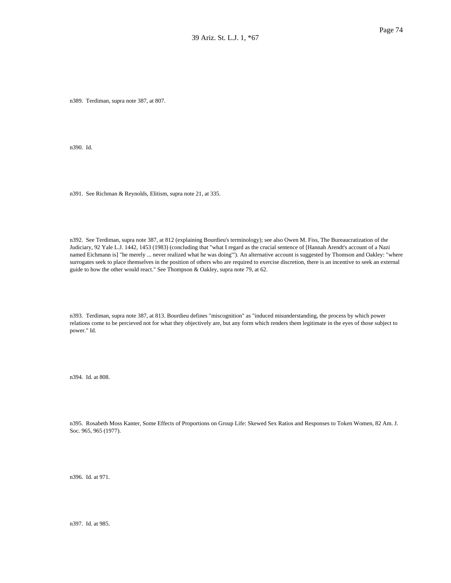n389. Terdiman, supra note 387, at 807.

n390. Id.

n391. See Richman & Reynolds, Elitism, supra note 21, at 335.

n392. See Terdiman, supra note 387, at 812 (explaining Bourdieu's terminology); see also Owen M. Fiss, The Bureaucratization of the Judiciary, 92 Yale L.J. 1442, 1453 (1983) (concluding that "what I regard as the crucial sentence of [Hannah Arendt's account of a Nazi named Eichmann is] "he merely ... never realized what he was doing'"). An alternative account is suggested by Thomson and Oakley: "where surrogates seek to place themselves in the position of others who are required to exercise discretion, there is an incentive to seek an external guide to how the other would react." See Thompson & Oakley, supra note 79, at 62.

n393. Terdiman, supra note 387, at 813. Bourdieu defines "miscognition" as "induced misunderstanding, the process by which power relations come to be percieved not for what they objectively are, but any form which renders them legitimate in the eyes of those subject to power." Id.

n394. Id. at 808.

n395. Rosabeth Moss Kanter, Some Effects of Proportions on Group Life: Skewed Sex Ratios and Responses to Token Women, 82 Am. J. Soc. 965, 965 (1977).

n396. Id. at 971.

n397. Id. at 985.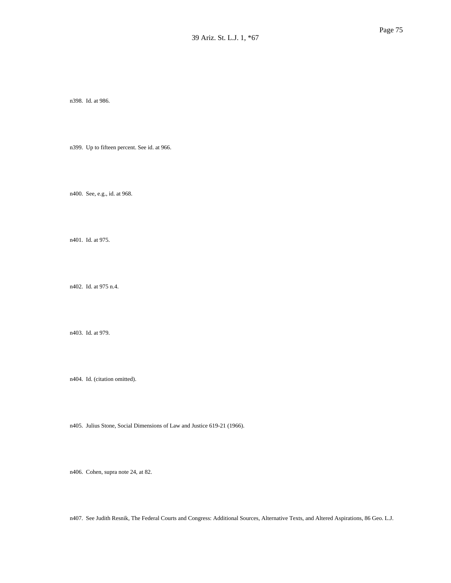n398. Id. at 986.

n399. Up to fifteen percent. See id. at 966.

n400. See, e.g., id. at 968.

n401. Id. at 975.

n402. Id. at 975 n.4.

n403. Id. at 979.

n404. Id. (citation omitted).

n405. Julius Stone, Social Dimensions of Law and Justice 619-21 (1966).

n406. Cohen, supra note 24, at 82.

n407. See Judith Resnik, The Federal Courts and Congress: Additional Sources, Alternative Texts, and Altered Aspirations, 86 Geo. L.J.